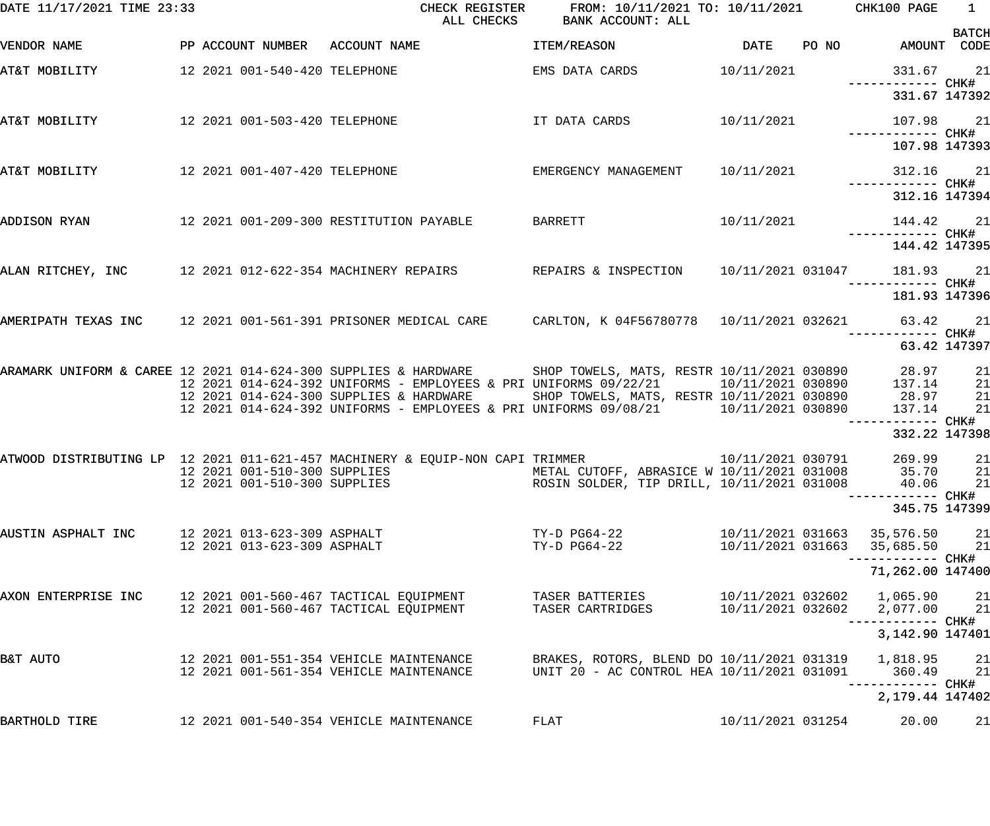| DATE 11/17/2021 TIME 23:33 |                               | CHECK REGISTER<br>ALL CHECKS                                                                                                                                                                       | FROM: 10/11/2021 TO: 10/11/2021 CHK100 PAGE<br>BANK ACCOUNT: ALL                         |                   |       |                             | $\overline{1}$ |
|----------------------------|-------------------------------|----------------------------------------------------------------------------------------------------------------------------------------------------------------------------------------------------|------------------------------------------------------------------------------------------|-------------------|-------|-----------------------------|----------------|
| VENDOR NAME                |                               | PP ACCOUNT NUMBER ACCOUNT NAME                                                                                                                                                                     | ITEM/REASON                                                                              | <b>DATE</b>       | PO NO | AMOUNT CODE                 | <b>BATCH</b>   |
| AT&T MOBILITY              | 12 2021 001-540-420 TELEPHONE |                                                                                                                                                                                                    | EMS DATA CARDS                                                                           | 10/11/2021        |       | 331.67 21                   |                |
|                            |                               |                                                                                                                                                                                                    |                                                                                          |                   |       | 331.67 147392               |                |
| AT&T MOBILITY              |                               | 12 2021 001-503-420 TELEPHONE                        IT DATA CARDS              10/11/2021                                                                                                         |                                                                                          |                   |       | 107.98 21                   |                |
|                            |                               |                                                                                                                                                                                                    |                                                                                          |                   |       | 107.98 147393               |                |
| AT&T MOBILITY              |                               | 12 2021 001-407-420 TELEPHONE                                                                                                                                                                      | EMERGENCY MANAGEMENT                                                                     | 10/11/2021        |       | 312.16 21                   |                |
|                            |                               |                                                                                                                                                                                                    |                                                                                          |                   |       | 312.16 147394               |                |
| ADDISON RYAN               |                               | 12 2021 001-209-300 RESTITUTION PAYABLE                                                                                                                                                            | BARRETT                                                                                  | 10/11/2021        |       | 144.42 21                   |                |
|                            |                               |                                                                                                                                                                                                    |                                                                                          |                   |       | 144.42 147395               |                |
|                            |                               | ALAN RITCHEY, INC 32021 012-622-354 MACHINERY REPAIRS 8 REPAIRS & INSPECTION 30/11/2021 031047 31.93 21                                                                                            |                                                                                          |                   |       |                             |                |
|                            |                               |                                                                                                                                                                                                    |                                                                                          |                   |       | 181.93 147396               |                |
|                            |                               | AMERIPATH TEXAS INC 12 2021 001-561-391 PRISONER MEDICAL CARE CARLTON, K04F56780778 10/11/2021 032621 63.42 21                                                                                     |                                                                                          |                   |       | ------------ CHK#           |                |
|                            |                               |                                                                                                                                                                                                    |                                                                                          |                   |       | 63.42 147397                |                |
|                            |                               | ARAMARK UNIFORM & CAREE 12 2021 014-624-300 SUPPLIES & HARDWARE SHOP TOWELS, MATS, RESTR 10/11/2021 030890 28.97<br>137.14 137.14 12 2021 014-624-392 UNIFORMS - EMPLOYEES & PRI UNIFORMS 09/22/21 |                                                                                          |                   |       | 28.97                       | 21<br>21       |
|                            |                               | 12 2021 014-624-300 SUPPLIES & HARDWARE                                                                                                                                                            | SHOP TOWELS, MATS, RESTR 10/11/2021 030890 28.97                                         |                   |       |                             | 21             |
|                            |                               | 12 2021 014-624-392 UNIFORMS - EMPLOYEES & PRI UNIFORMS 09/08/21 10/11/2021 030890                                                                                                                 |                                                                                          |                   |       | 137.14<br>------------ CHK# | 21             |
|                            |                               |                                                                                                                                                                                                    |                                                                                          |                   |       | 332.22 147398               |                |
|                            |                               | ATWOOD DISTRIBUTING LP 12 2021 011-621-457 MACHINERY & EQUIP-NON CAPI TRIMMER                                                                                                                      |                                                                                          | 10/11/2021 030791 |       | 269.99                      | 21             |
|                            | 12 2021 001-510-300 SUPPLIES  | 12 2021 001-510-300 SUPPLIES             METAL CUTOFF, ABRASICE W 10/11/2021 031008       35.70     21                                                                                             | ROSIN SOLDER, TIP DRILL, 10/11/2021 031008                                               |                   |       | 40.06                       | 21             |
|                            |                               |                                                                                                                                                                                                    |                                                                                          |                   |       | 345.75 147399               |                |
| AUSTIN ASPHALT INC         | 12 2021 013-623-309 ASPHALT   |                                                                                                                                                                                                    | TY-D PG64-22                                                                             |                   |       | 10/11/2021 031663 35,576.50 | 21             |
|                            | 12 2021 013-623-309 ASPHALT   |                                                                                                                                                                                                    | TY-D PG64-22                                                                             | 10/11/2021 031663 |       | 35,685.50                   | 21             |
|                            |                               |                                                                                                                                                                                                    |                                                                                          |                   |       | 71,262.00 147400            |                |
| AXON ENTERPRISE INC        |                               | 12 2021 001-560-467 TACTICAL EQUIPMENT                                                                                                                                                             | TASER BATTERIES                                                                          |                   |       | 10/11/2021 032602 1,065.90  | 21             |
|                            |                               | 12 2021 001-560-467 TACTICAL EQUIPMENT                                                                                                                                                             | TASER CARTRIDGES                                                                         | 10/11/2021 032602 |       | 2,077.00                    | 21             |
|                            |                               |                                                                                                                                                                                                    |                                                                                          |                   |       | 3,142.90 147401             |                |
| B&T AUTO                   |                               | 12 2021 001-551-354 VEHICLE MAINTENANCE<br>12 2021 001-561-354 VEHICLE MAINTENANCE                                                                                                                 | BRAKES, ROTORS, BLEND DO 10/11/2021 031319<br>UNIT 20 - AC CONTROL HEA 10/11/2021 031091 |                   |       | 1,818.95<br>360.49          | 21<br>21       |
|                            |                               |                                                                                                                                                                                                    |                                                                                          |                   |       | 2,179.44 147402             |                |
| BARTHOLD TIRE              |                               | 12 2021 001-540-354 VEHICLE MAINTENANCE                                                                                                                                                            | FLAT                                                                                     | 10/11/2021 031254 |       | 20.00                       | 21             |
|                            |                               |                                                                                                                                                                                                    |                                                                                          |                   |       |                             |                |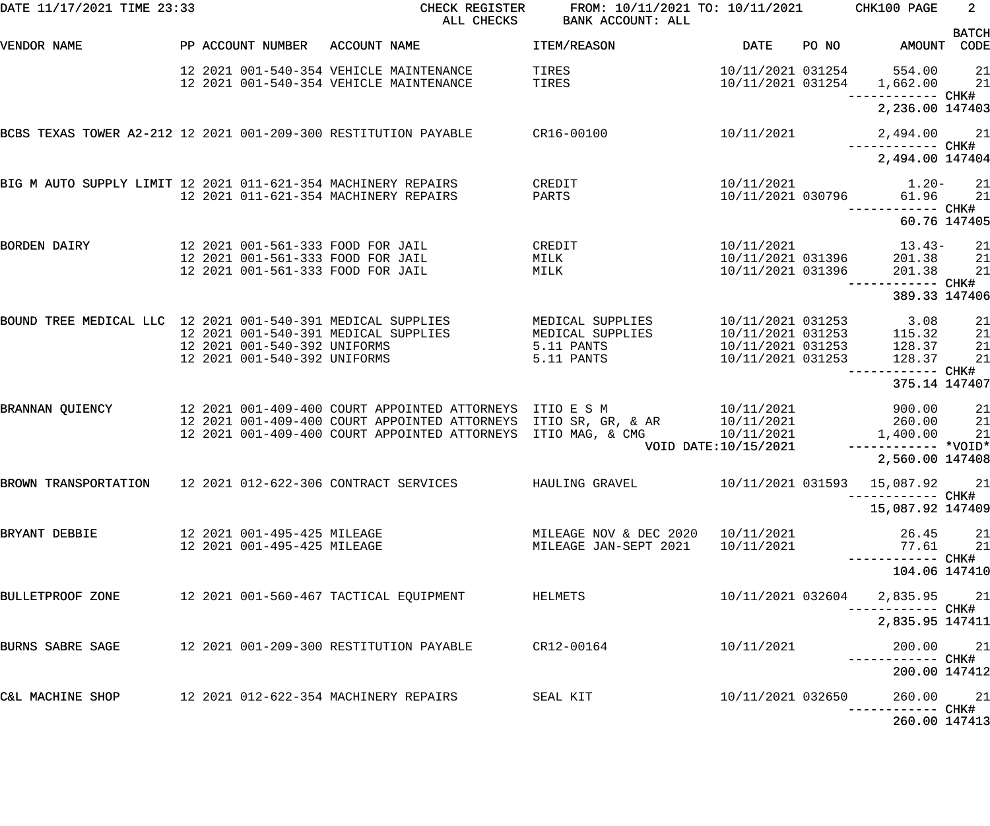| DATE 11/17/2021 TIME 23:33                                      |                                                              | CHECK REGISTER<br>ALL CHECKS                                                                                                                               | FROM: 10/11/2021 TO: 10/11/2021<br>BANK ACCOUNT: ALL                  |                                                                                  |       | CHK100 PAGE                                       | $2^{\circ}$          |
|-----------------------------------------------------------------|--------------------------------------------------------------|------------------------------------------------------------------------------------------------------------------------------------------------------------|-----------------------------------------------------------------------|----------------------------------------------------------------------------------|-------|---------------------------------------------------|----------------------|
| VENDOR NAME                                                     | PP ACCOUNT NUMBER                                            | ACCOUNT NAME                                                                                                                                               | ITEM/REASON                                                           | <b>DATE</b>                                                                      | PO NO | AMOUNT CODE                                       | <b>BATCH</b>         |
|                                                                 |                                                              | 12 2021 001-540-354 VEHICLE MAINTENANCE<br>12 2021 001-540-354 VEHICLE MAINTENANCE                                                                         | TIRES<br>TIRES                                                        | 10/11/2021 031254<br>10/11/2021 031254                                           |       | 554.00<br>1,662.00                                | 21<br>21             |
|                                                                 |                                                              |                                                                                                                                                            |                                                                       |                                                                                  |       | —————————— CHK#<br>2,236.00 147403                |                      |
| BCBS TEXAS TOWER A2-212 12 2021 001-209-300 RESTITUTION PAYABLE |                                                              |                                                                                                                                                            | CR16-00100                                                            | 10/11/2021                                                                       |       | 2,494.00<br>------------ CHK#                     | 21                   |
|                                                                 |                                                              |                                                                                                                                                            |                                                                       |                                                                                  |       | 2,494.00 147404                                   |                      |
| BIG M AUTO SUPPLY LIMIT 12 2021 011-621-354 MACHINERY REPAIRS   |                                                              | 12 2021 011-621-354 MACHINERY REPAIRS                                                                                                                      | CREDIT<br>PARTS                                                       | 10/11/2021<br>10/11/2021 030796                                                  |       | $1.20-$<br>61.96                                  | 21<br>21             |
|                                                                 |                                                              |                                                                                                                                                            |                                                                       |                                                                                  |       | 60.76 147405                                      |                      |
| <b>BORDEN DAIRY</b>                                             |                                                              | 12 2021 001-561-333 FOOD FOR JAIL<br>12 2021 001-561-333 FOOD FOR JAIL<br>12 2021 001-561-333 FOOD FOR JAIL                                                | CREDIT<br>MILK<br>MILK                                                | 10/11/2021<br>10/11/2021 031396<br>10/11/2021 031396                             |       | 13.43-<br>201.38<br>201.38                        | 21<br>21<br>21       |
|                                                                 |                                                              |                                                                                                                                                            |                                                                       |                                                                                  |       | ------------ CHK#<br>389.33 147406                |                      |
| BOUND TREE MEDICAL LLC 12 2021 001-540-391 MEDICAL SUPPLIES     | 12 2021 001-540-392 UNIFORMS<br>12 2021 001-540-392 UNIFORMS | 12 2021 001-540-391 MEDICAL SUPPLIES                                                                                                                       | MEDICAL SUPPLIES<br>MEDICAL SUPPLIES<br>5.11 PANTS<br>5.11 PANTS      | 10/11/2021 031253<br>10/11/2021 031253<br>10/11/2021 031253<br>10/11/2021 031253 |       | 3.08<br>115.32<br>128.37<br>128.37                | 21<br>21<br>21<br>21 |
|                                                                 |                                                              |                                                                                                                                                            |                                                                       |                                                                                  |       | ------------ CHK#<br>375.14 147407                |                      |
| BRANNAN QUIENCY                                                 |                                                              | 12 2021 001-409-400 COURT APPOINTED ATTORNEYS ITIO E S M<br>12 2021 001-409-400 COURT APPOINTED ATTORNEYS<br>12 2021 001-409-400 COURT APPOINTED ATTORNEYS | ITIO SR, GR, & AR<br>ITIO MAG, & CMG                                  | 10/11/2021<br>10/11/2021<br>10/11/2021<br>VOID DATE: 10/15/2021                  |       | 900.00<br>260.00<br>1,400.00<br>$---------*VOLD*$ | 21<br>21<br>21       |
|                                                                 |                                                              |                                                                                                                                                            |                                                                       |                                                                                  |       | 2,560.00 147408                                   |                      |
| BROWN TRANSPORTATION 12 2021 012-622-306 CONTRACT SERVICES      |                                                              |                                                                                                                                                            | HAULING GRAVEL                                                        |                                                                                  |       | 10/11/2021 031593 15,087.92 21                    |                      |
|                                                                 |                                                              |                                                                                                                                                            |                                                                       |                                                                                  |       | 15,087.92 147409                                  |                      |
| BRYANT DEBBIE                                                   | 12 2021 001-495-425 MILEAGE<br>12 2021 001-495-425 MILEAGE   |                                                                                                                                                            | MILEAGE NOV & DEC 2020 10/11/2021<br>MILEAGE JAN-SEPT 2021 10/11/2021 |                                                                                  |       | 26.45 21<br>77.61 21                              |                      |
|                                                                 |                                                              |                                                                                                                                                            |                                                                       |                                                                                  |       | ------------ CHK#<br>104.06 147410                |                      |
| BULLETPROOF ZONE 12 2021 001-560-467 TACTICAL EQUIPMENT         |                                                              |                                                                                                                                                            | HELMETS                                                               |                                                                                  |       | 10/11/2021 032604 2,835.95 21                     |                      |
|                                                                 |                                                              |                                                                                                                                                            |                                                                       |                                                                                  |       | 2,835.95 147411                                   |                      |
|                                                                 |                                                              |                                                                                                                                                            |                                                                       | 10/11/2021                                                                       |       | 200.00 21                                         |                      |
|                                                                 |                                                              |                                                                                                                                                            |                                                                       |                                                                                  |       | 200.00 147412                                     |                      |
|                                                                 |                                                              | C&L MACHINE SHOP 12 2021 012-622-354 MACHINERY REPAIRS SEAL KIT                                                                                            |                                                                       | 10/11/2021 032650                                                                |       | 260.00 21                                         |                      |
|                                                                 |                                                              |                                                                                                                                                            |                                                                       |                                                                                  |       | 260.00 147413                                     |                      |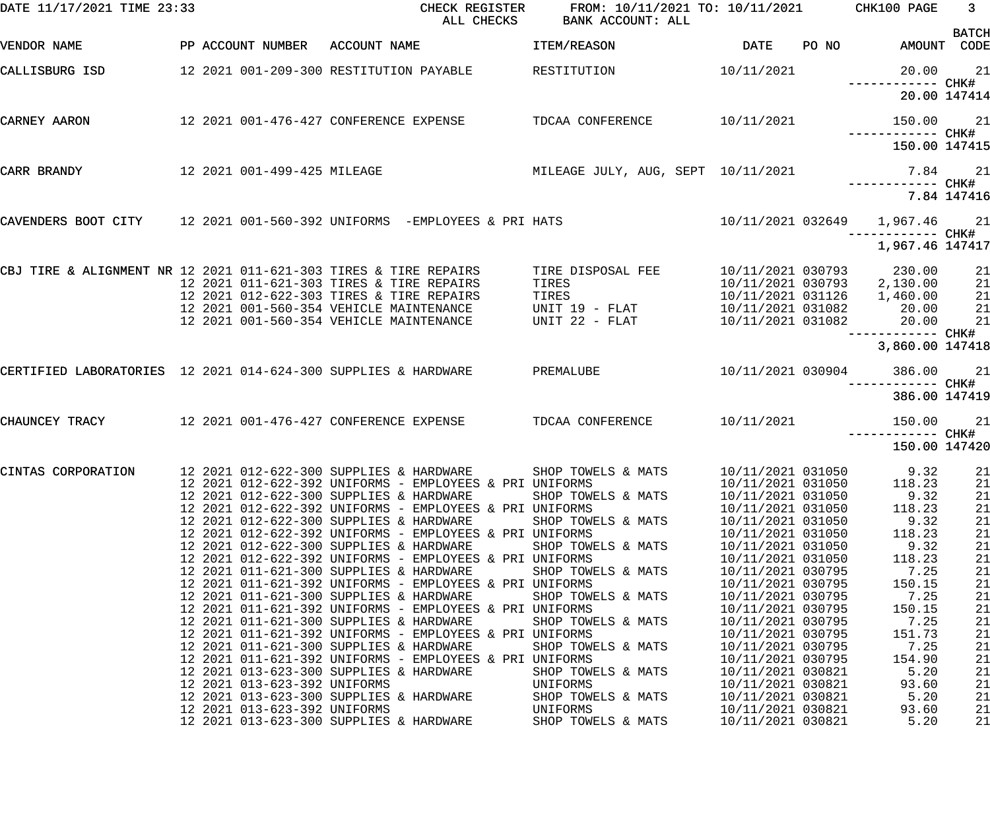| DATE 11/17/2021 TIME 23:33                                       |                              | CHECK REGISTER<br>ALL CHECKS                                                                                 | FROM: 10/11/2021 TO: 10/11/2021 CHK100 PAGE<br>BANK ACCOUNT: ALL |                   |       |                                 | $\overline{\mathbf{3}}$<br><b>BATCH</b> |
|------------------------------------------------------------------|------------------------------|--------------------------------------------------------------------------------------------------------------|------------------------------------------------------------------|-------------------|-------|---------------------------------|-----------------------------------------|
| VENDOR NAME                                                      |                              | PP ACCOUNT NUMBER ACCOUNT NAME                                                                               | ITEM/REASON                                                      | <b>DATE</b>       | PO NO |                                 | AMOUNT CODE                             |
| CALLISBURG ISD                                                   |                              | 12 2021 001-209-300 RESTITUTION PAYABLE                                                                      | RESTITUTION                                                      | 10/11/2021        |       |                                 | 20.00 21                                |
|                                                                  |                              |                                                                                                              |                                                                  |                   |       |                                 | 20.00 147414                            |
| CARNEY AARON                                                     |                              | 12  2021  001-476-427  CONFERENCE EXPENSE                                                                    | TDCAA CONFERENCE                                                 | 10/11/2021        |       | 150.00 21                       |                                         |
|                                                                  |                              |                                                                                                              |                                                                  |                   |       | 150.00 147415                   |                                         |
| CARR BRANDY                                                      | 12 2021 001-499-425 MILEAGE  |                                                                                                              | MILEAGE JULY, AUG, SEPT 10/11/2021                               |                   |       |                                 | 7.84 21                                 |
|                                                                  |                              |                                                                                                              |                                                                  |                   |       |                                 | 7.84 147416                             |
|                                                                  |                              | CAVENDERS BOOT CITY $12\ 2021\ 001-560-392$ UNIFORMS -EMPLOYEES & PRI HATS                                   |                                                                  |                   |       | 10/11/2021 032649  1,967.46  21 |                                         |
|                                                                  |                              |                                                                                                              |                                                                  |                   |       | 1,967.46 147417                 |                                         |
| CBJ TIRE & ALIGNMENT NR 12 2021 011-621-303 TIRES & TIRE REPAIRS |                              |                                                                                                              | TIRE DISPOSAL FEE                                                |                   |       | 10/11/2021 030793 230.00        | 21                                      |
|                                                                  |                              | 12 2021 011-621-303 TIRES & TIRE REPAIRS                                                                     | TIRES                                                            |                   |       | 10/11/2021 030793 2,130.00      | 21                                      |
|                                                                  |                              | 12 2021 012-622-303 TIRES & TIRE REPAIRS                                                                     |                                                                  |                   |       | 10/11/2021 031126   1,460.00    | 21                                      |
|                                                                  |                              | 12 2021 001-560-354 VEHICLE MAINTENANCE                                                                      | ------<br>TIRES<br>UNIT 19 - FLAT<br>UNIT 22 - FLAT              | 10/11/2021 031082 |       | 20.00                           | 21                                      |
|                                                                  |                              | 12 2021 001-560-354 VEHICLE MAINTENANCE                                                                      |                                                                  | 10/11/2021 031082 |       | 20.00                           | 21                                      |
|                                                                  |                              |                                                                                                              |                                                                  |                   |       | 3,860.00 147418                 |                                         |
| CERTIFIED LABORATORIES 12 2021 014-624-300 SUPPLIES & HARDWARE   |                              |                                                                                                              | PREMALUBE                                                        | 10/11/2021 030904 |       | 386.00 21                       |                                         |
|                                                                  |                              |                                                                                                              |                                                                  |                   |       | 386.00 147419                   |                                         |
| CHAUNCEY TRACY                                                   |                              | 12  2021  001-476-427  CONFERENCE EXPENSE                                                                    | TDCAA CONFERENCE                                                 | 10/11/2021        |       | 150.00 21<br>------------ CHK#  |                                         |
|                                                                  |                              |                                                                                                              |                                                                  |                   |       | 150.00 147420                   |                                         |
|                                                                  |                              | CINTAS CORPORATION 12 2021 012-622-300 SUPPLIES & HARDWARE SHOP TOWELS & MATS 10/11/2021 031050 9.32 21      |                                                                  |                   |       |                                 |                                         |
|                                                                  |                              | 12 2021 012-622-392 UNIFORMS - EMPLOYEES & PRI UNIFORMS                                                      |                                                                  | 10/11/2021 031050 |       | 118.23                          | 21                                      |
|                                                                  |                              | 12 2021 012-622-300 SUPPLIES & HARDWARE                                                                      | SHOP TOWELS & MATS                                               | 10/11/2021 031050 |       | 9.32                            | 21                                      |
|                                                                  |                              | 12 2021 012-622-392 UNIFORMS - EMPLOYEES & PRI UNIFORMS                                                      |                                                                  | 10/11/2021 031050 |       | 118.23                          | 21                                      |
|                                                                  |                              | 12 2021 012-622-300 SUPPLIES & HARDWARE                                                                      | SHOP TOWELS & MATS                                               | 10/11/2021 031050 |       | 9.32                            | 21                                      |
|                                                                  |                              | 12 2021 012-622-392 UNIFORMS - EMPLOYEES & PRI UNIFORMS                                                      |                                                                  | 10/11/2021 031050 |       | 118.23                          | 21                                      |
|                                                                  |                              | 12 2021 012-622-300 SUPPLIES & HARDWARE                                                                      | SHOP TOWELS & MATS                                               | 10/11/2021 031050 |       | 9.32                            | 21                                      |
|                                                                  |                              | 12 2021 012-622-392 UNIFORMS - EMPLOYEES & PRI UNIFORMS                                                      |                                                                  | 10/11/2021 031050 |       | 118.23                          | 21                                      |
|                                                                  |                              | 12 2021 011-621-300 SUPPLIES & HARDWARE                                                                      | SHOP TOWELS & MATS                                               | 10/11/2021 030795 |       | 7.25                            | 21                                      |
|                                                                  |                              | 12 2021 011-621-392 UNIFORMS - EMPLOYEES & PRI UNIFORMS                                                      |                                                                  | 10/11/2021 030795 |       | 150.15                          | 21                                      |
|                                                                  |                              | 12 2021 011-621-300 SUPPLIES & HARDWARE                                                                      | SHOP TOWELS & MATS                                               | 10/11/2021 030795 |       | 7.25                            | 21                                      |
|                                                                  |                              | 12 2021 011-621-392 UNIFORMS - EMPLOYEES & PRI UNIFORMS                                                      |                                                                  | 10/11/2021 030795 |       | 150.15                          | 21                                      |
|                                                                  |                              | 12 2021 011-621-300 SUPPLIES & HARDWARE                                                                      | SHOP TOWELS & MATS                                               | 10/11/2021 030795 |       | 7.25                            | 21                                      |
|                                                                  |                              | 12 2021 011-621-392 UNIFORMS - EMPLOYEES & PRI UNIFORMS                                                      |                                                                  | 10/11/2021 030795 |       | 151.73                          | 21                                      |
|                                                                  |                              | 12 2021 011-621-300 SUPPLIES & HARDWARE                                                                      | SHOP TOWELS & MATS                                               | 10/11/2021 030795 |       | 7.25                            | 21                                      |
|                                                                  |                              | 12 2021 011-621-392 UNIFORMS - EMPLOYEES & PRI UNIFORMS                                                      |                                                                  | 10/11/2021 030795 |       | 154.90                          | 21                                      |
|                                                                  |                              | 12 2021 013-623-300 SUPPLIES & HARDWARE                                                                      | SHOP TOWELS & MATS                                               | 10/11/2021 030821 |       | 5.20                            | 21                                      |
|                                                                  | 12 2021 013-623-392 UNIFORMS |                                                                                                              | UNIFORMS                                                         | 10/11/2021 030821 |       | 93.60                           | 21                                      |
|                                                                  |                              |                                                                                                              |                                                                  | 10/11/2021 030821 |       | 5.20                            | 21                                      |
|                                                                  |                              | 12 2021 013-623-300 SUPPLIES & HARDWARE SHOP TOWELS & MATS<br>12 2021 013-623-392 UNIFORMS UNIFORMS UNIFORMS |                                                                  | 10/11/2021 030821 |       | 93.60                           | 21                                      |
|                                                                  |                              | 12 2021 013-623-300 SUPPLIES & HARDWARE SHOP TOWELS & MATS                                                   |                                                                  | 10/11/2021 030821 |       | 5.20                            | 21                                      |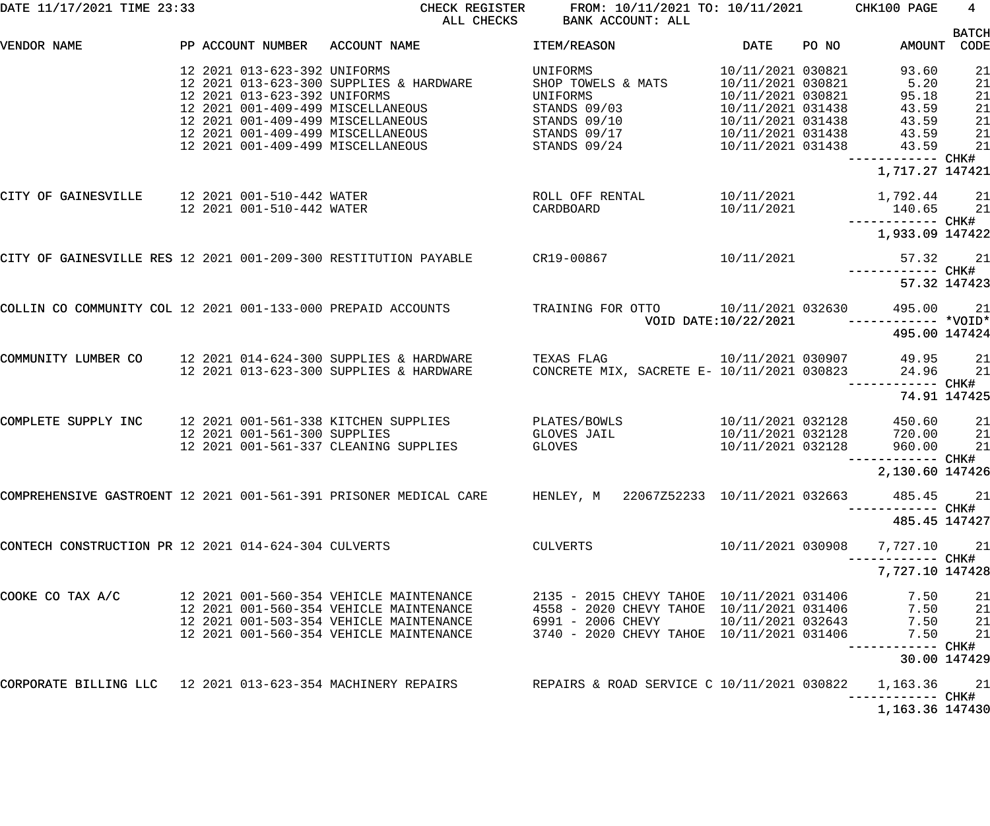| DATE 11/17/2021 TIME 23:33                           |  |                                                              | CHECK REGISTER<br>ALL CHECKS                                                                                                                                                                | FROM: 10/11/2021 TO: 10/11/2021 CHK100 PAGE<br>BANK ACCOUNT: ALL                                                                                                                 |                                                                                                                                                 |       |                                                                                 | 4                                      |
|------------------------------------------------------|--|--------------------------------------------------------------|---------------------------------------------------------------------------------------------------------------------------------------------------------------------------------------------|----------------------------------------------------------------------------------------------------------------------------------------------------------------------------------|-------------------------------------------------------------------------------------------------------------------------------------------------|-------|---------------------------------------------------------------------------------|----------------------------------------|
| VENDOR NAME                                          |  |                                                              | PP ACCOUNT NUMBER ACCOUNT NAME                                                                                                                                                              | ITEM/REASON                                                                                                                                                                      | <b>DATE</b>                                                                                                                                     | PO NO | AMOUNT CODE                                                                     | <b>BATCH</b>                           |
|                                                      |  | 12 2021 013-623-392 UNIFORMS<br>12 2021 013-623-392 UNIFORMS | 12 2021 013-623-300 SUPPLIES & HARDWARE<br>12 2021 001-409-499 MISCELLANEOUS<br>12 2021 001-409-499 MISCELLANEOUS<br>12 2021 001-409-499 MISCELLANEOUS<br>12 2021 001-409-499 MISCELLANEOUS | UNIFORMS<br>SHOP TOWELS & MATS<br>UNIFORMS<br>STANDS 09/03<br>STANDS 09/10<br>STANDS 09/17<br>STANDS 09/24                                                                       | 10/11/2021 030821<br>10/11/2021 030821<br>10/11/2021 030821<br>10/11/2021 031438<br>10/11/2021 031438<br>10/11/2021 031438<br>10/11/2021 031438 |       | 93.60<br>5.20<br>95.18<br>43.59<br>43.59<br>43.59<br>43.59<br>------------ CHK# | 21<br>21<br>21<br>21<br>21<br>21<br>21 |
|                                                      |  |                                                              |                                                                                                                                                                                             |                                                                                                                                                                                  |                                                                                                                                                 |       | 1,717.27 147421                                                                 |                                        |
| CITY OF GAINESVILLE 12 2021 001-510-442 WATER        |  | 12 2021 001-510-442 WATER                                    |                                                                                                                                                                                             | ROLL OFF RENTAL<br>CARDBOARD                                                                                                                                                     | 10/11/2021<br>10/11/2021                                                                                                                        |       | 1,792.44 21<br>140.65 21                                                        |                                        |
|                                                      |  |                                                              |                                                                                                                                                                                             |                                                                                                                                                                                  |                                                                                                                                                 |       | 1,933.09 147422                                                                 |                                        |
|                                                      |  |                                                              | CITY OF GAINESVILLE RES 12 2021 001-209-300 RESTITUTION PAYABLE CR19-00867                                                                                                                  |                                                                                                                                                                                  | 10/11/2021                                                                                                                                      |       | 57.32 21                                                                        |                                        |
|                                                      |  |                                                              |                                                                                                                                                                                             |                                                                                                                                                                                  |                                                                                                                                                 |       | 57.32 147423                                                                    |                                        |
|                                                      |  |                                                              | 21<br>COLLIN CO COMMUNITY COL 12 2021 001-133-000 PREPAID ACCOUNTS TRAINING FOR OTTO 10/11/2021 032630 495.00 21<br>*VOID -------------- *VOID                                              |                                                                                                                                                                                  |                                                                                                                                                 |       |                                                                                 |                                        |
|                                                      |  |                                                              |                                                                                                                                                                                             |                                                                                                                                                                                  |                                                                                                                                                 |       | 495.00 147424                                                                   |                                        |
| COMMUNITY LUMBER CO                                  |  |                                                              | 12 2021 014-624-300 SUPPLIES & HARDWARE<br>12 2021 013-623-300 SUPPLIES & HARDWARE                                                                                                          | TEXAS FLAG<br>CONCRETE MIX, SACRETE E- 10/11/2021 030823                                                                                                                         | 10/11/2021 030907                                                                                                                               |       | 49.95<br>24.96                                                                  | 21<br>21                               |
|                                                      |  |                                                              |                                                                                                                                                                                             |                                                                                                                                                                                  |                                                                                                                                                 |       | 74.91 147425                                                                    |                                        |
| COMPLETE SUPPLY INC                                  |  | 12 2021 001-561-300 SUPPLIES                                 | 12 2021 001-561-338 KITCHEN SUPPLIES<br>12 2021 001-561-337 CLEANING SUPPLIES                                                                                                               | PLATES/BOWLS<br>GLOVES JAIL<br>GLOVES                                                                                                                                            | 10/11/2021 032128<br>10/11/2021 032128<br>10/11/2021 032128                                                                                     |       | 450.60<br>720.00<br>960.00<br>------------ CHK#                                 | 21<br>21<br>21                         |
|                                                      |  |                                                              |                                                                                                                                                                                             |                                                                                                                                                                                  |                                                                                                                                                 |       | 2,130.60 147426                                                                 |                                        |
|                                                      |  |                                                              | COMPREHENSIVE GASTROENT 12 2021 001-561-391 PRISONER MEDICAL CARE HENLEY, M 22067Z52233 10/11/2021 032663                                                                                   |                                                                                                                                                                                  |                                                                                                                                                 |       | 485.45 21<br>--------- CHK#                                                     |                                        |
|                                                      |  |                                                              |                                                                                                                                                                                             |                                                                                                                                                                                  |                                                                                                                                                 |       | 485.45 147427                                                                   |                                        |
| CONTECH CONSTRUCTION PR 12 2021 014-624-304 CULVERTS |  |                                                              |                                                                                                                                                                                             | CULVERTS                                                                                                                                                                         | 10/11/2021 030908                                                                                                                               |       | 7,727.10<br>----------- CHK#                                                    | 21                                     |
|                                                      |  |                                                              |                                                                                                                                                                                             |                                                                                                                                                                                  |                                                                                                                                                 |       | 7,727.10 147428                                                                 |                                        |
| COOKE CO TAX A/C                                     |  |                                                              | 12 2021 001-560-354 VEHICLE MAINTENANCE<br>12 2021 001-560-354 VEHICLE MAINTENANCE<br>12 2021 001-503-354 VEHICLE MAINTENANCE<br>12 2021 001-560-354 VEHICLE MAINTENANCE                    | 2135 - 2015 CHEVY TAHOE 10/11/2021 031406<br>$4558 - 2020$ CHEVY TAHOE $10/11/2021$ 031406<br>6991 - 2006 CHEVY $10/11/2021$ 032643<br>3740 - 2020 CHEVY TAHOE 10/11/2021 031406 |                                                                                                                                                 |       | 7.50<br>7.50<br>7.50<br>7.50<br>------ CHK <b>#</b>                             | 21<br>21<br>21<br>21                   |
|                                                      |  |                                                              |                                                                                                                                                                                             |                                                                                                                                                                                  |                                                                                                                                                 |       | 30.00 147429                                                                    |                                        |
|                                                      |  |                                                              | CORPORATE BILLING LLC $12\,2021\,013-623-354$ MACHINERY REPAIRS (EPAIRS & ROAD SERVICE C $10/11/2021\,030822$                                                                               |                                                                                                                                                                                  |                                                                                                                                                 |       | 1,163.36 21<br>----------- CHK#                                                 |                                        |
|                                                      |  |                                                              |                                                                                                                                                                                             |                                                                                                                                                                                  |                                                                                                                                                 |       | 1,163.36 147430                                                                 |                                        |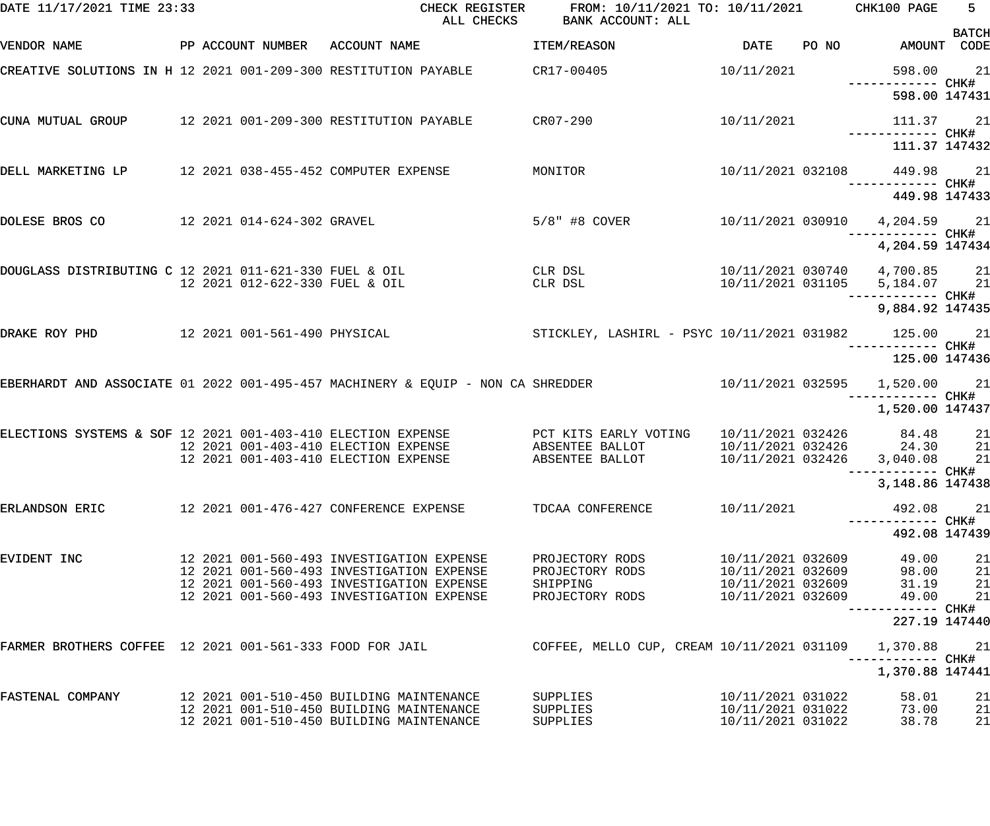| DATE 11/17/2021 TIME 23:33                               |                                | CHECK REGISTER<br>ALL CHECKS                                                                                                                                                     | FROM: 10/11/2021 TO: 10/11/2021 CHK100 PAGE<br>BANK ACCOUNT: ALL  |                                                                                  |                                                                                       | $5 -$                |
|----------------------------------------------------------|--------------------------------|----------------------------------------------------------------------------------------------------------------------------------------------------------------------------------|-------------------------------------------------------------------|----------------------------------------------------------------------------------|---------------------------------------------------------------------------------------|----------------------|
| VENDOR NAME                                              | PP ACCOUNT NUMBER ACCOUNT NAME |                                                                                                                                                                                  | ITEM/REASON                                                       | DATE                                                                             | PO NO AMOUNT CODE                                                                     | <b>BATCH</b>         |
|                                                          |                                | CREATIVE SOLUTIONS IN H 12 2021 001-209-300 RESTITUTION PAYABLE CR17-00405                                                                                                       |                                                                   | 10/11/2021                                                                       | 598.00                                                                                | 21                   |
|                                                          |                                |                                                                                                                                                                                  |                                                                   |                                                                                  | ------------ CHK#<br>598.00 147431                                                    |                      |
| CUNA MUTUAL GROUP                                        |                                | 12 2021 001-209-300 RESTITUTION PAYABLE                                                                                                                                          | $CR07 - 290$                                                      | 10/11/2021                                                                       | 111.37 21<br>------------ CHK#                                                        |                      |
|                                                          |                                |                                                                                                                                                                                  |                                                                   |                                                                                  | 111.37 147432                                                                         |                      |
| DELL MARKETING LP                                        |                                | 12 2021 038-455-452 COMPUTER EXPENSE<br>MONITOR                                                                                                                                  |                                                                   |                                                                                  | 10/11/2021 032108 449.98 21                                                           |                      |
|                                                          |                                |                                                                                                                                                                                  |                                                                   |                                                                                  | 449.98 147433                                                                         |                      |
| DOLESE BROS CO                                           | 12 2021 014-624-302 GRAVEL     |                                                                                                                                                                                  | $5/8$ " #8 COVER                                                  |                                                                                  | 10/11/2021 030910 4,204.59 21<br>------------ CHK#                                    |                      |
|                                                          |                                |                                                                                                                                                                                  |                                                                   |                                                                                  | 4,204.59 147434                                                                       |                      |
| DOUGLASS DISTRIBUTING C 12 2021 011-621-330 FUEL & OIL   | 12 2021 012-622-330 FUEL & OIL |                                                                                                                                                                                  | CLR DSL<br>CLR DSL                                                |                                                                                  | 10/11/2021 030740  4,700.85  21<br>10/11/2021 031105 5,184.07 21<br>------------ CHK# |                      |
|                                                          |                                |                                                                                                                                                                                  |                                                                   |                                                                                  | 9,884.92 147435                                                                       |                      |
| DRAKE ROY PHD                                            |                                | 12 2021 001-561-490 PHYSICAL                                                                                                                                                     | STICKLEY, LASHIRL - PSYC 10/11/2021 031982 125.00 21              |                                                                                  |                                                                                       |                      |
|                                                          |                                |                                                                                                                                                                                  |                                                                   |                                                                                  | 125.00 147436                                                                         |                      |
|                                                          |                                | EBERHARDT AND ASSOCIATE 01 2022 001-495-457 MACHINERY & EQUIP - NON CA SHREDDER                                                                                                  |                                                                   |                                                                                  | 10/11/2021 032595   1,520.00<br>------- CHK#                                          | 21                   |
|                                                          |                                |                                                                                                                                                                                  |                                                                   |                                                                                  | 1,520.00 147437                                                                       |                      |
|                                                          |                                | ELECTIONS SYSTEMS & SOF 12 2021 001-403-410 ELECTION EXPENSE THE PCT KITS EARLY VOTING<br>12 2021 001-403-410 ELECTION EXPENSE<br>12 2021 001-403-410 ELECTION EXPENSE           | ABSENTEE BALLOT<br>ABSENTEE BALLOT                                | 10/11/2021 032426                                                                | 10/11/2021 032426 84.48<br>24.30<br>10/11/2021 032426 3,040.08                        | 21<br>21<br>21       |
|                                                          |                                |                                                                                                                                                                                  |                                                                   |                                                                                  | 3,148.86 147438                                                                       |                      |
| ERLANDSON ERIC                                           |                                | 12 2021 001-476-427 CONFERENCE EXPENSE                                                                                                                                           | TDCAA CONFERENCE                                                  | 10/11/2021                                                                       | 492.08                                                                                | 21                   |
|                                                          |                                |                                                                                                                                                                                  |                                                                   |                                                                                  | 492.08 147439                                                                         |                      |
| EVIDENT INC                                              |                                | 12 2021 001-560-493 INVESTIGATION EXPENSE<br>12 2021 001-560-493 INVESTIGATION EXPENSE<br>12 2021 001-560-493 INVESTIGATION EXPENSE<br>12 2021 001-560-493 INVESTIGATION EXPENSE | PROJECTORY RODS<br>PROJECTORY RODS<br>SHIPPING<br>PROJECTORY RODS | 10/11/2021 032609<br>10/11/2021 032609<br>10/11/2021 032609<br>10/11/2021 032609 | 49.00<br>98.00<br>31.19<br>49.00                                                      | 21<br>21<br>21<br>21 |
|                                                          |                                |                                                                                                                                                                                  |                                                                   |                                                                                  | 227.19 147440                                                                         |                      |
| FARMER BROTHERS COFFEE 12 2021 001-561-333 FOOD FOR JAIL |                                |                                                                                                                                                                                  | COFFEE, MELLO CUP, CREAM 10/11/2021 031109                        |                                                                                  | 1,370.88                                                                              | 21                   |
|                                                          |                                |                                                                                                                                                                                  |                                                                   |                                                                                  | 1,370.88 147441                                                                       |                      |
| FASTENAL COMPANY                                         |                                | 12 2021 001-510-450 BUILDING MAINTENANCE<br>12 2021 001-510-450 BUILDING MAINTENANCE<br>12 2021 001-510-450 BUILDING MAINTENANCE                                                 | SUPPLIES<br>SUPPLIES<br>SUPPLIES                                  | 10/11/2021 031022<br>10/11/2021 031022<br>10/11/2021 031022                      | 58.01<br>73.00<br>38.78                                                               | 21<br>21<br>21       |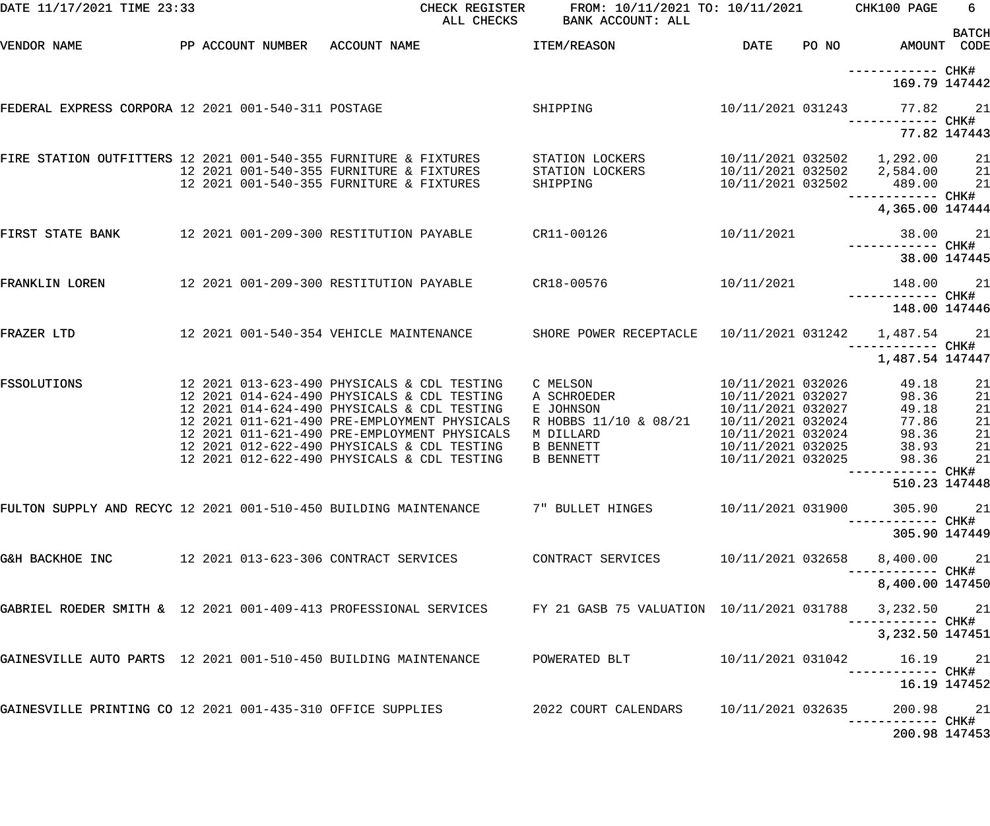| DATE 11/17/2021 TIME 23:33                                       |  |                                                                                            | CHECK REGISTER<br>ALL CHECKS                             | FROM: 10/11/2021 TO: 10/11/2021<br>BANK ACCOUNT: ALL                                                                   |                                        |       | CHK100 PAGE                      | 6            |
|------------------------------------------------------------------|--|--------------------------------------------------------------------------------------------|----------------------------------------------------------|------------------------------------------------------------------------------------------------------------------------|----------------------------------------|-------|----------------------------------|--------------|
| VENDOR NAME                                                      |  | PP ACCOUNT NUMBER ACCOUNT NAME                                                             |                                                          | <b>ITEM/REASON</b>                                                                                                     | DATE                                   | PO NO | AMOUNT CODE                      | <b>BATCH</b> |
|                                                                  |  |                                                                                            |                                                          |                                                                                                                        |                                        |       | —————————— CHK#<br>169.79 147442 |              |
| FEDERAL EXPRESS CORPORA 12 2021 001-540-311 POSTAGE              |  |                                                                                            |                                                          | SHIPPING                                                                                                               | 10/11/2021 031243                      |       | 77.82                            | 21           |
|                                                                  |  |                                                                                            |                                                          |                                                                                                                        |                                        |       |                                  | 77.82 147443 |
| FIRE STATION OUTFITTERS 12 2021 001-540-355 FURNITURE & FIXTURES |  |                                                                                            |                                                          | STATION LOCKERS                                                                                                        |                                        |       |                                  | 21           |
|                                                                  |  | 12 2021 001-540-355 FURNITURE & FIXTURES<br>12 2021 001-540-355 FURNITURE & FIXTURES       |                                                          | STATION LOCKERS<br>SHIPPING                                                                                            | 10/11/2021 032502                      |       | 10/11/2021 032502 2,584.00       | 21<br>21     |
|                                                                  |  |                                                                                            |                                                          |                                                                                                                        |                                        |       | 489.00                           |              |
|                                                                  |  |                                                                                            |                                                          |                                                                                                                        |                                        |       | 4,365.00 147444                  |              |
| FIRST STATE BANK                                                 |  |                                                                                            | 12  2021  001-209-300  RESTITUTION  PAYABLE   CR11-00126 |                                                                                                                        | 10/11/2021                             |       | 38.00                            | 21           |
|                                                                  |  |                                                                                            |                                                          |                                                                                                                        |                                        |       |                                  | 38.00 147445 |
| FRANKLIN LOREN                                                   |  |                                                                                            |                                                          |                                                                                                                        | 10/11/2021                             |       | 148.00                           | 21           |
|                                                                  |  |                                                                                            |                                                          |                                                                                                                        |                                        |       | 148.00 147446                    |              |
| FRAZER LTD                                                       |  |                                                                                            |                                                          | 12 2021 001-540-354 VEHICLE MAINTENANCE SHORE POWER RECEPTACLE                                                         | 10/11/2021 031242                      |       | 1,487.54                         | 21           |
|                                                                  |  |                                                                                            |                                                          |                                                                                                                        |                                        |       | 1,487.54 147447                  |              |
| <b>FSSOLUTIONS</b>                                               |  | 12 2021 013-623-490 PHYSICALS & CDL TESTING                                                |                                                          | C MELSON                                                                                                               | 10/11/2021 032026                      |       | 49.18                            | 21           |
|                                                                  |  | 12 2021 014-624-490 PHYSICALS & CDL TESTING<br>12 2021 014-624-490 PHYSICALS & CDL TESTING |                                                          | A SCHROEDER                                                                                                            | 10/11/2021 032027<br>10/11/2021 032027 |       | 98.36<br>49.18                   | 21           |
|                                                                  |  |                                                                                            | 12 2021 011-621-490 PRE-EMPLOYMENT PHYSICALS             | E JOHNSON<br>R HOBBS 11/10 & 08/21                                                                                     | 10/11/2021 032024                      |       | 77.86                            | 21<br>21     |
|                                                                  |  |                                                                                            | 12 2021 011-621-490 PRE-EMPLOYMENT PHYSICALS             | M DILLARD                                                                                                              | 10/11/2021 032024                      |       | 98.36                            | 21           |
|                                                                  |  | 12 2021 012-622-490 PHYSICALS & CDL TESTING                                                |                                                          | <b>B BENNETT</b>                                                                                                       | 10/11/2021 032025                      |       | 38.93                            | 21           |
|                                                                  |  | 12 2021 012-622-490 PHYSICALS & CDL TESTING                                                |                                                          | B BENNETT                                                                                                              | 10/11/2021 032025                      |       | 98.36                            | 21           |
|                                                                  |  |                                                                                            |                                                          |                                                                                                                        |                                        |       |                                  |              |
|                                                                  |  |                                                                                            |                                                          |                                                                                                                        |                                        |       | 510.23 147448                    |              |
| FULTON SUPPLY AND RECYC 12 2021 001-510-450 BUILDING MAINTENANCE |  |                                                                                            |                                                          | 7" BULLET HINGES 10/11/2021 031900                                                                                     |                                        |       | 305.90 21<br>------------ CHK#   |              |
|                                                                  |  |                                                                                            |                                                          |                                                                                                                        |                                        |       | 305.90 147449                    |              |
| G&H BACKHOE INC 12 2021 013-623-306 CONTRACT SERVICES            |  |                                                                                            |                                                          | CONTRACT SERVICES $10/11/2021$ 032658 8,400.00 21                                                                      |                                        |       | ------------ CHK#                |              |
|                                                                  |  |                                                                                            |                                                          |                                                                                                                        |                                        |       | 8,400.00 147450                  |              |
|                                                                  |  |                                                                                            |                                                          | GABRIEL ROEDER SMITH & 12 2021 001-409-413 PROFESSIONAL SERVICES FY 21 GASB 75 VALUATION 10/11/2021 031788 3,232.50 21 |                                        |       |                                  |              |
|                                                                  |  |                                                                                            |                                                          |                                                                                                                        |                                        |       | 3,232.50 147451                  |              |
| GAINESVILLE AUTO PARTS 12 2021 001-510-450 BUILDING MAINTENANCE  |  |                                                                                            |                                                          | POWERATED BLT                                                                                                          |                                        |       | 10/11/2021 031042 16.19 21       |              |
|                                                                  |  |                                                                                            |                                                          |                                                                                                                        |                                        |       | ------------ CHK#                | 16.19 147452 |
| GAINESVILLE PRINTING CO 12 2021 001-435-310 OFFICE SUPPLIES      |  |                                                                                            |                                                          | 2022 COURT CALENDARS 10/11/2021 032635 200.98 21<br>----------- CHK#                                                   |                                        |       |                                  |              |
|                                                                  |  |                                                                                            |                                                          |                                                                                                                        |                                        |       | 200.98 147453                    |              |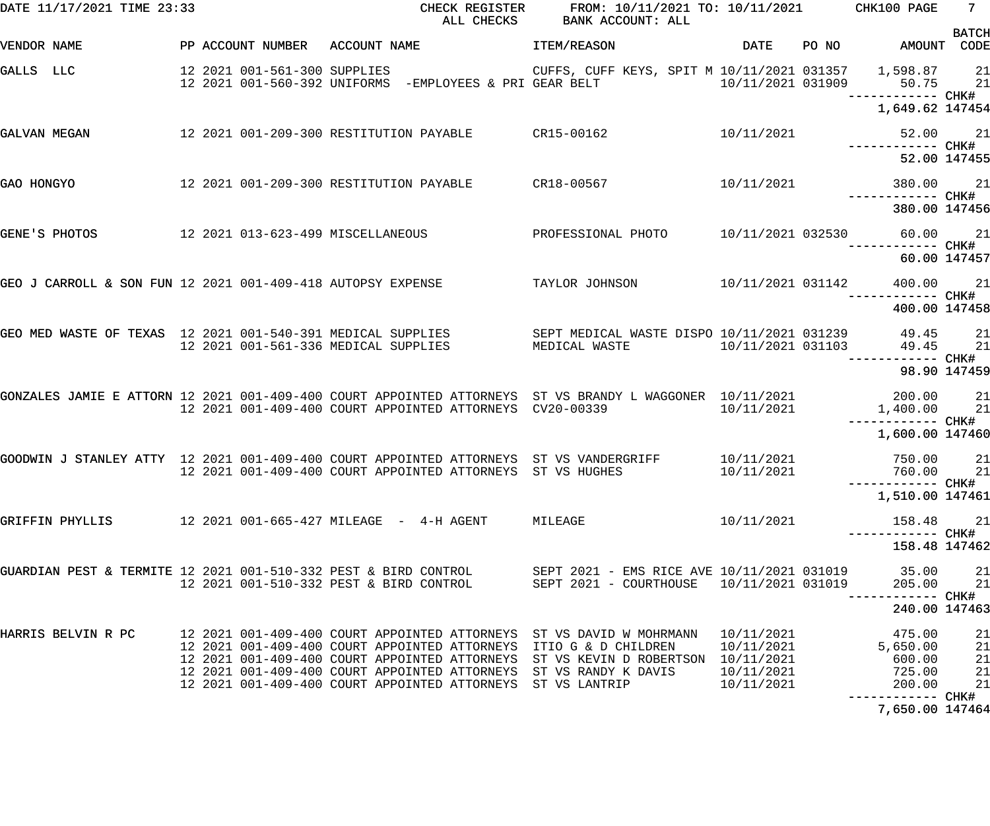| DATE 11/17/2021 TIME 23:33                                      |                                         | ALL CHECKS                                                                                                                                                                                       | CHECK REGISTER FROM: 10/11/2021 TO: 10/11/2021 CHK100 PAGE<br>BANK ACCOUNT: ALL                                                                                           |                                                      |                                                  | $7^{\circ}$                |
|-----------------------------------------------------------------|-----------------------------------------|--------------------------------------------------------------------------------------------------------------------------------------------------------------------------------------------------|---------------------------------------------------------------------------------------------------------------------------------------------------------------------------|------------------------------------------------------|--------------------------------------------------|----------------------------|
| VENDOR NAME                                                     |                                         | PP ACCOUNT NUMBER ACCOUNT NAME                                                                                                                                                                   | <b>ITEM/REASON</b>                                                                                                                                                        | <b>DATE</b>                                          | PO NO AMOUNT CODE                                | <b>BATCH</b>               |
| GALLS LLC                                                       | 12 2021 001-561-300 SUPPLIES            |                                                                                                                                                                                                  | CUFFS, CUFF KEYS, SPIT M 10/11/2021 031357 1,598.87 21                                                                                                                    |                                                      | 50.75 21                                         |                            |
|                                                                 |                                         |                                                                                                                                                                                                  |                                                                                                                                                                           |                                                      | 1,649.62 147454                                  |                            |
| GALVAN MEGAN                                                    |                                         |                                                                                                                                                                                                  | 12 2021 001-209-300 RESTITUTION PAYABLE CR15-00162 10/11/2021                                                                                                             |                                                      | 52.00 21<br>------------ CHK#                    |                            |
|                                                                 |                                         |                                                                                                                                                                                                  |                                                                                                                                                                           |                                                      | 52.00 147455                                     |                            |
| GAO HONGYO                                                      | 12 2021 001-209-300 RESTITUTION PAYABLE |                                                                                                                                                                                                  | $CR18-00567$                                                                                                                                                              | 10/11/2021                                           | 380.00 21<br>------------ CHK#                   |                            |
|                                                                 |                                         |                                                                                                                                                                                                  |                                                                                                                                                                           |                                                      | 380.00 147456                                    |                            |
| GENE'S PHOTOS                                                   | 12 2021 013-623-499 MISCELLANEOUS       |                                                                                                                                                                                                  | PROFESSIONAL PHOTO                                                                                                                                                        |                                                      | 10/11/2021 032530 60.00 21<br>------------ CHK#  |                            |
|                                                                 |                                         |                                                                                                                                                                                                  |                                                                                                                                                                           |                                                      | 60.00 147457                                     |                            |
| GEO J CARROLL & SON FUN 12 2021 001-409-418 AUTOPSY EXPENSE     |                                         |                                                                                                                                                                                                  | TAYLOR JOHNSON                                                                                                                                                            | 10/11/2021 031142                                    | 400.00 21<br>------------ CHK#                   |                            |
|                                                                 |                                         |                                                                                                                                                                                                  |                                                                                                                                                                           |                                                      | 400.00 147458                                    |                            |
|                                                                 |                                         |                                                                                                                                                                                                  | GEO MED WASTE OF TEXAS 12 2021 001-540-391 MEDICAL SUPPLIES SEPT MEDICAL WASTE DISPO 10/11/2021 031239 49.45 21<br>MEDICAL WASTE                                          |                                                      | 10/11/2021 031103 49.45 21<br>------------ CHK#  |                            |
|                                                                 |                                         |                                                                                                                                                                                                  |                                                                                                                                                                           |                                                      | 98.90 147459                                     |                            |
|                                                                 |                                         | 12 2021 001-409-400 COURT APPOINTED ATTORNEYS CV20-00339                                                                                                                                         | GONZALES JAMIE E ATTORN 12 2021 001-409-400 COURT APPOINTED ATTORNEYS ST VS BRANDY L WAGGONER 10/11/2021 200.00 21                                                        | 10/11/2021                                           | $1,400.00$ 21                                    |                            |
|                                                                 |                                         |                                                                                                                                                                                                  |                                                                                                                                                                           |                                                      | 1,600.00 147460                                  |                            |
|                                                                 |                                         | 12 2021 001-409-400 COURT APPOINTED ATTORNEYS ST VS HUGHES                                                                                                                                       | GOODWIN J STANLEY ATTY 12 2021 001-409-400 COURT APPOINTED ATTORNEYS ST VS VANDERGRIFF 10/11/2021                                                                         | 10/11/2021                                           | 750.00<br>760.00 21                              | 21                         |
|                                                                 |                                         |                                                                                                                                                                                                  |                                                                                                                                                                           |                                                      | 1,510.00 147461                                  |                            |
| GRIFFIN PHYLLIS                                                 |                                         |                                                                                                                                                                                                  | MILEAGE                                                                                                                                                                   | 10/11/2021                                           | 158.48                                           | 21                         |
|                                                                 |                                         |                                                                                                                                                                                                  |                                                                                                                                                                           |                                                      | 158.48 147462                                    |                            |
| GUARDIAN PEST & TERMITE 12 2021 001-510-332 PEST & BIRD CONTROL | 12 2021 001-510-332 PEST & BIRD CONTROL |                                                                                                                                                                                                  | SEPT 2021 - EMS RICE AVE 10/11/2021 031019 35.00<br>SEPT 2021 - COURTHOUSE 10/11/2021 031019                                                                              |                                                      | 205.00                                           | 21<br>21                   |
|                                                                 |                                         |                                                                                                                                                                                                  |                                                                                                                                                                           |                                                      | 240.00 147463                                    |                            |
| HARRIS BELVIN R PC                                              |                                         | 12 2021 001-409-400 COURT APPOINTED ATTORNEYS<br>12 2021 001-409-400 COURT APPOINTED ATTORNEYS<br>12 2021 001-409-400 COURT APPOINTED ATTORNEYS<br>12 2021 001-409-400 COURT APPOINTED ATTORNEYS | 12 2021 001-409-400 COURT APPOINTED ATTORNEYS ST VS DAVID W MOHRMANN<br>ITIO G & D CHILDREN<br>ST VS KEVIN D ROBERTSON 10/11/2021<br>ST VS RANDY K DAVIS<br>ST VS LANTRIP | 10/11/2021<br>10/11/2021<br>10/11/2021<br>10/11/2021 | 475.00<br>5,650.00<br>600.00<br>725.00<br>200.00 | 21<br>21<br>21<br>21<br>21 |
|                                                                 |                                         |                                                                                                                                                                                                  |                                                                                                                                                                           |                                                      | 7,650.00 147464                                  |                            |
|                                                                 |                                         |                                                                                                                                                                                                  |                                                                                                                                                                           |                                                      |                                                  |                            |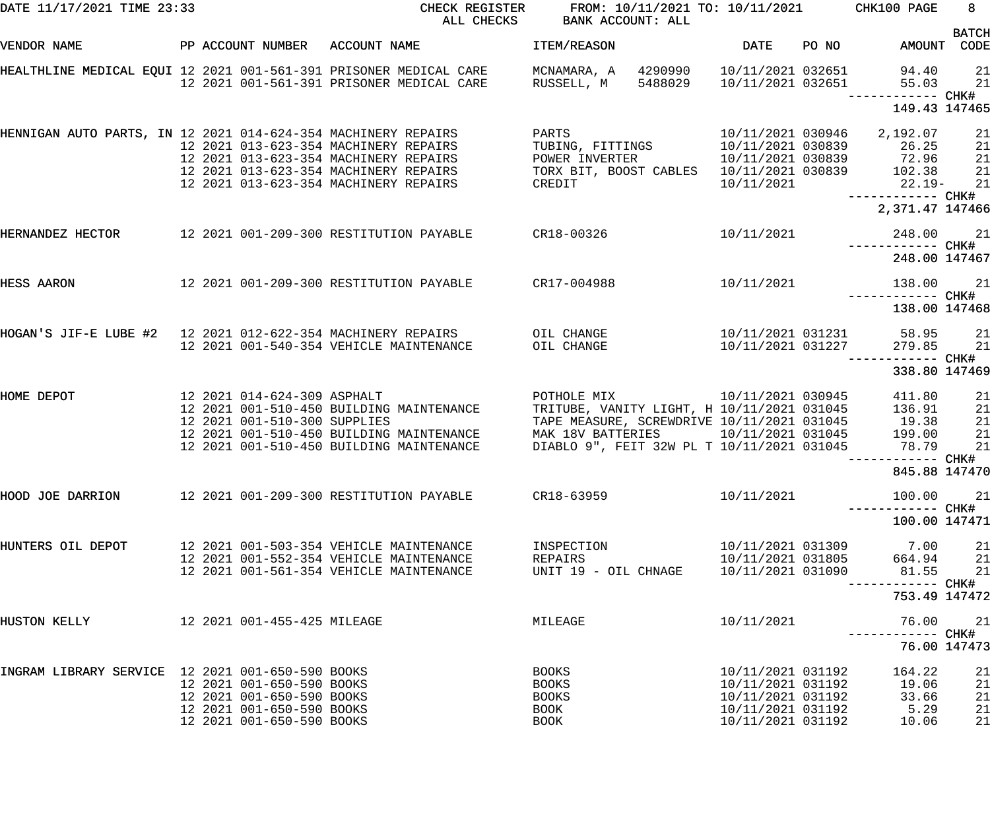| DATE 11/17/2021 TIME 23:33                                    |                                                                                                                  |                                                                                                                                                                  | CHECK REGISTER FROM: 10/11/2021 TO: 10/11/2021 CHK100 PAGE<br>ALL CHECKS BANK ACCOUNT: ALL                                                                                                                                            |                                                                                                       |                                                                         | $8 -$                      |
|---------------------------------------------------------------|------------------------------------------------------------------------------------------------------------------|------------------------------------------------------------------------------------------------------------------------------------------------------------------|---------------------------------------------------------------------------------------------------------------------------------------------------------------------------------------------------------------------------------------|-------------------------------------------------------------------------------------------------------|-------------------------------------------------------------------------|----------------------------|
| VENDOR NAME                                                   |                                                                                                                  | PP ACCOUNT NUMBER ACCOUNT NAME                                                                                                                                   | <b>ITEM/REASON</b>                                                                                                                                                                                                                    | DATE PO NO                                                                                            | AMOUNT CODE                                                             | <b>BATCH</b>               |
|                                                               |                                                                                                                  | HEALTHLINE MEDICAL EQUI 12 2021 001-561-391 PRISONER MEDICAL CARE      MCNAMARA, A   4290990<br>12  2021  001-561-391  PRISONER MEDICAL CARE RUSSELL, M          | 5488029                                                                                                                                                                                                                               |                                                                                                       | 10/11/2021 032651 94.40<br>10/11/2021 032651 55.03<br>------------ CHK# | 21<br>21                   |
|                                                               |                                                                                                                  |                                                                                                                                                                  |                                                                                                                                                                                                                                       |                                                                                                       | 149.43 147465                                                           |                            |
| HENNIGAN AUTO PARTS, IN 12 2021 014-624-354 MACHINERY REPAIRS |                                                                                                                  | 12 2021 013-623-354 MACHINERY REPAIRS<br>12 2021 013-623-354 MACHINERY REPAIRS<br>12 2021 013-623-354 MACHINERY REPAIRS<br>12 2021 013-623-354 MACHINERY REPAIRS | <b>PARTS</b><br>TUBING, FITTINGS 10/11/2021 030839 26.25<br>POWER INVERTER<br>TORX BIT, BOOST CABLES  10/11/2021 030839  102.38<br>CREDIT                                                                                             | 10/11/2021                                                                                            | 10/11/2021 030839 72.96<br>$22.19-$                                     | 21<br>21<br>21<br>21<br>21 |
|                                                               |                                                                                                                  |                                                                                                                                                                  |                                                                                                                                                                                                                                       |                                                                                                       | ------------ CHK#<br>2,371.47 147466                                    |                            |
| HERNANDEZ HECTOR                                              |                                                                                                                  | 12 2021 001-209-300 RESTITUTION PAYABLE  CR18-00326  10/11/2021  248.00  21                                                                                      |                                                                                                                                                                                                                                       |                                                                                                       |                                                                         |                            |
|                                                               |                                                                                                                  |                                                                                                                                                                  |                                                                                                                                                                                                                                       |                                                                                                       | 248.00 147467                                                           |                            |
| <b>HESS AARON</b>                                             |                                                                                                                  | 12  2021  001-209-300  RESTITUTION PAYABLE   CR17-004988                                                                                                         |                                                                                                                                                                                                                                       | 10/11/2021                                                                                            | 138.00                                                                  | 21                         |
|                                                               |                                                                                                                  |                                                                                                                                                                  |                                                                                                                                                                                                                                       |                                                                                                       | 138.00 147468                                                           |                            |
|                                                               |                                                                                                                  | 12 2021 001-540-354 VEHICLE MAINTENANCE                                                                                                                          | OIL CHANGE                                                                                                                                                                                                                            |                                                                                                       | 10/11/2021 031231 58.95 21<br>10/11/2021 031227 279.85                  | 21                         |
|                                                               |                                                                                                                  |                                                                                                                                                                  |                                                                                                                                                                                                                                       |                                                                                                       | 338.80 147469                                                           |                            |
| 12 2021 014-624-309 ASPHALT<br>HOME DEPOT                     | 12 2021 001-510-300 SUPPLIES                                                                                     | 12 2021 001-510-450 BUILDING MAINTENANCE<br>12 2021 001-510-450 BUILDING MAINTENANCE<br>12 2021 001-510-450 BUILDING MAINTENANCE                                 | 10/11/2021 030945<br>POTHOLE MIX<br>TRITUBE, VANITY LIGHT, H 10/11/2021 031045 136.91<br>TAPE MEASURE, SCREWDRIVE 10/11/2021 031045 19.38<br>MAK 18V BATTERIES 10/11/2021 031045 199.00<br>DIABLO 9", FEIT 32W PL T 10/11/2021 031045 |                                                                                                       | 411.80<br>78.79                                                         | 21<br>21<br>21<br>21<br>21 |
|                                                               |                                                                                                                  |                                                                                                                                                                  |                                                                                                                                                                                                                                       |                                                                                                       | 845.88 147470                                                           |                            |
| HOOD JOE DARRION                                              |                                                                                                                  | 12 2021 001-209-300 RESTITUTION PAYABLE                                                                                                                          | CR18-63959                                                                                                                                                                                                                            | 10/11/2021                                                                                            | 100.00<br>------------ CHK#                                             | 21                         |
|                                                               |                                                                                                                  |                                                                                                                                                                  |                                                                                                                                                                                                                                       |                                                                                                       | 100.00 147471                                                           |                            |
| HUNTERS OIL DEPOT                                             |                                                                                                                  | 12 2021 001-503-354 VEHICLE MAINTENANCE<br>12 2021 001-552-354 VEHICLE MAINTENANCE<br>12 2021 001-561-354 VEHICLE MAINTENANCE                                    | INSPECTION<br>REPAIRS<br>UNIT 19 - OIL CHNAGE                                                                                                                                                                                         | 10/11/2021 031805<br>10/11/2021 031090                                                                | 10/11/2021 031309 7.00<br>664.94<br>81.55                               | 21<br>21<br>21             |
|                                                               |                                                                                                                  |                                                                                                                                                                  |                                                                                                                                                                                                                                       |                                                                                                       | 753.49 147472                                                           |                            |
| HUSTON KELLY                                                  | 12 2021 001-455-425 MILEAGE                                                                                      |                                                                                                                                                                  | MILEAGE                                                                                                                                                                                                                               | 10/11/2021                                                                                            | 76.00                                                                   | 21                         |
|                                                               |                                                                                                                  |                                                                                                                                                                  |                                                                                                                                                                                                                                       |                                                                                                       | 76.00 147473                                                            |                            |
| INGRAM LIBRARY SERVICE 12 2021 001-650-590 BOOKS              | 12 2021 001-650-590 BOOKS<br>12 2021 001-650-590 BOOKS<br>12 2021 001-650-590 BOOKS<br>12 2021 001-650-590 BOOKS |                                                                                                                                                                  | <b>BOOKS</b><br>BOOKS<br>BOOKS<br>BOOK<br>BOOK                                                                                                                                                                                        | 10/11/2021 031192<br>10/11/2021 031192<br>10/11/2021 031192<br>10/11/2021 031192<br>10/11/2021 031192 | 164.22<br>19.06<br>33.66<br>5.29<br>10.06                               | 21<br>21<br>21<br>21<br>21 |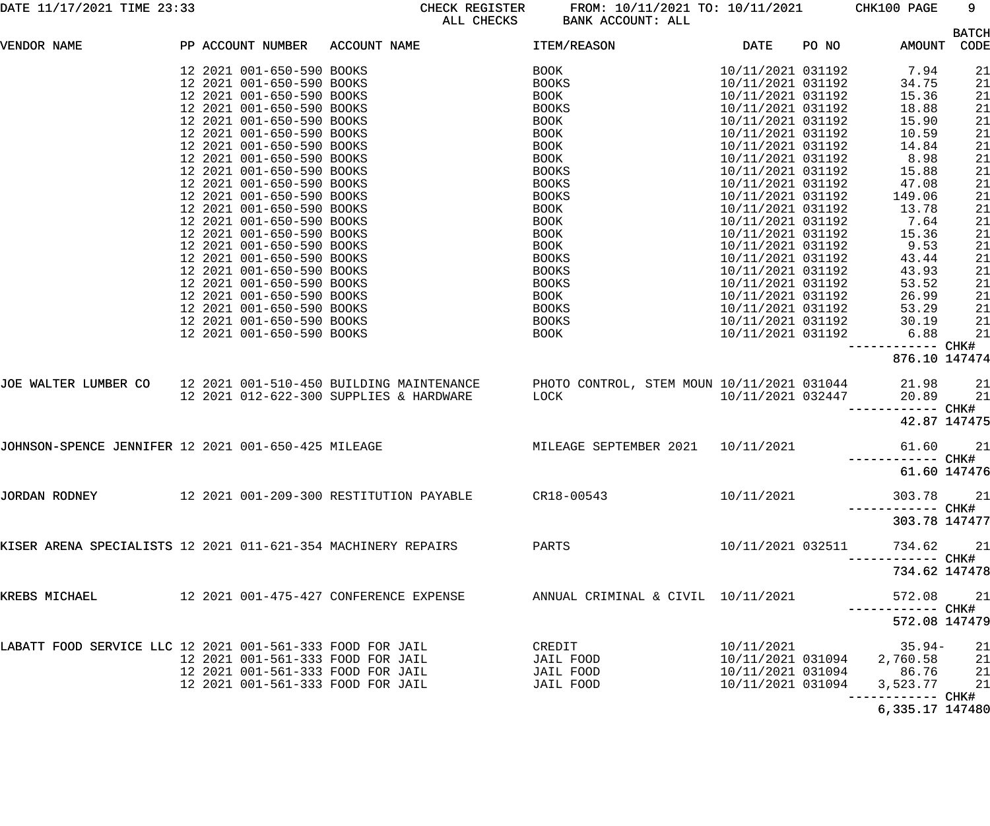|                                                               |  |                           |                                                                                                          |                                    |                   |       |                                    | <b>BATCH</b>                            |
|---------------------------------------------------------------|--|---------------------------|----------------------------------------------------------------------------------------------------------|------------------------------------|-------------------|-------|------------------------------------|-----------------------------------------|
| VENDOR NAME                                                   |  |                           | PP ACCOUNT NUMBER ACCOUNT NAME                                                                           | ITEM/REASON                        | DATE              | PO NO |                                    | AMOUNT CODE                             |
|                                                               |  | 12 2021 001-650-590 BOOKS |                                                                                                          | BOOK                               | 10/11/2021 031192 |       | 7.94                               |                                         |
|                                                               |  | 12 2021 001-650-590 BOOKS |                                                                                                          | <b>BOOKS</b>                       | 10/11/2021 031192 |       | 34.75                              |                                         |
|                                                               |  | 12 2021 001-650-590 BOOKS |                                                                                                          | BOOK                               | 10/11/2021 031192 |       | 15.36                              |                                         |
|                                                               |  | 12 2021 001-650-590 BOOKS |                                                                                                          | <b>BOOKS</b>                       | 10/11/2021 031192 |       | 18.88                              |                                         |
|                                                               |  | 12 2021 001-650-590 BOOKS |                                                                                                          | BOOK                               | 10/11/2021 031192 |       | 15.90                              |                                         |
|                                                               |  | 12 2021 001-650-590 BOOKS |                                                                                                          | BOOK                               | 10/11/2021 031192 |       | 10.59                              |                                         |
|                                                               |  | 12 2021 001-650-590 BOOKS |                                                                                                          | BOOK                               | 10/11/2021 031192 |       | 14.84                              |                                         |
|                                                               |  | 12 2021 001-650-590 BOOKS |                                                                                                          | BOOK                               | 10/11/2021 031192 |       | 8.98                               |                                         |
|                                                               |  | 12 2021 001-650-590 BOOKS |                                                                                                          | <b>BOOKS</b>                       | 10/11/2021 031192 |       | 15.88                              |                                         |
|                                                               |  | 12 2021 001-650-590 BOOKS |                                                                                                          | BOOKS                              | 10/11/2021 031192 |       | 47.08                              |                                         |
|                                                               |  | 12 2021 001-650-590 BOOKS |                                                                                                          | BOOKS                              | 10/11/2021 031192 |       | 149.06                             |                                         |
|                                                               |  | 12 2021 001-650-590 BOOKS |                                                                                                          | BOOK                               | 10/11/2021 031192 |       | 13.78                              |                                         |
|                                                               |  | 12 2021 001-650-590 BOOKS |                                                                                                          | BOOK                               | 10/11/2021 031192 |       | 7.64                               |                                         |
|                                                               |  | 12 2021 001-650-590 BOOKS |                                                                                                          | BOOK                               | 10/11/2021 031192 |       | 15.36                              |                                         |
|                                                               |  | 12 2021 001-650-590 BOOKS |                                                                                                          | BOOK                               | 10/11/2021 031192 |       | 9.53                               |                                         |
|                                                               |  | 12 2021 001-650-590 BOOKS |                                                                                                          | <b>BOOKS</b>                       | 10/11/2021 031192 |       | 43.44                              |                                         |
|                                                               |  | 12 2021 001-650-590 BOOKS |                                                                                                          | BOOKS                              | 10/11/2021 031192 |       | 43.93                              |                                         |
|                                                               |  | 12 2021 001-650-590 BOOKS |                                                                                                          | BOOKS                              | 10/11/2021 031192 |       | 53.52                              |                                         |
|                                                               |  | 12 2021 001-650-590 BOOKS |                                                                                                          | BOOK                               | 10/11/2021 031192 |       | 26.99                              |                                         |
|                                                               |  | 12 2021 001-650-590 BOOKS |                                                                                                          | BOOKS                              | 10/11/2021 031192 |       | 53.29                              |                                         |
|                                                               |  | 12 2021 001-650-590 BOOKS |                                                                                                          | BOOKS                              | 10/11/2021 031192 |       | 30.19                              |                                         |
|                                                               |  | 12 2021 001-650-590 BOOKS |                                                                                                          | BOOK                               | 10/11/2021 031192 |       | 6.88                               | 21                                      |
|                                                               |  |                           |                                                                                                          |                                    |                   |       | ----------- CHK#                   |                                         |
|                                                               |  |                           |                                                                                                          |                                    |                   |       | 876.10 147474                      |                                         |
|                                                               |  |                           | JOE WALTER LUMBER CO 12 2021 001-510-450 BUILDING MAINTENANCE PHOTO CONTROL, STEM MOUN 10/11/2021 031044 |                                    |                   |       | 21.98                              | 21                                      |
|                                                               |  |                           | 12 2021 012-622-300 SUPPLIES & HARDWARE LOCK                                                             |                                    | 10/11/2021 032447 |       | 20.89                              | 21                                      |
|                                                               |  |                           |                                                                                                          |                                    |                   |       | ----------- CHK#                   |                                         |
|                                                               |  |                           |                                                                                                          |                                    |                   |       |                                    | 42.87 147475                            |
|                                                               |  |                           |                                                                                                          |                                    |                   |       |                                    |                                         |
| JOHNSON-SPENCE JENNIFER 12 2021 001-650-425 MILEAGE           |  |                           |                                                                                                          | MILEAGE SEPTEMBER 2021             | 10/11/2021        |       | 61.60                              | 21                                      |
|                                                               |  |                           |                                                                                                          |                                    |                   |       | ------------ CHK#                  |                                         |
|                                                               |  |                           |                                                                                                          |                                    |                   |       |                                    | 61.60 147476                            |
| JORDAN RODNEY                                                 |  |                           | 12 2021 001-209-300 RESTITUTION PAYABLE                                                                  | CR18-00543                         | 10/11/2021        |       |                                    |                                         |
|                                                               |  |                           |                                                                                                          |                                    |                   |       | 303.78 21                          |                                         |
|                                                               |  |                           |                                                                                                          |                                    |                   |       | 303.78 147477                      |                                         |
|                                                               |  |                           |                                                                                                          |                                    |                   |       |                                    |                                         |
| KISER ARENA SPECIALISTS 12 2021 011-621-354 MACHINERY REPAIRS |  |                           |                                                                                                          | PARTS                              | 10/11/2021 032511 |       | 734.62                             | 21                                      |
|                                                               |  |                           |                                                                                                          |                                    |                   |       |                                    |                                         |
|                                                               |  |                           |                                                                                                          |                                    |                   |       | 734.62 147478                      |                                         |
|                                                               |  |                           |                                                                                                          |                                    |                   |       |                                    |                                         |
| KREBS MICHAEL                                                 |  |                           | 12 2021 001-475-427 CONFERENCE EXPENSE                                                                   | ANNUAL CRIMINAL & CIVIL 10/11/2021 |                   |       | 572.08                             | 21                                      |
|                                                               |  |                           |                                                                                                          |                                    |                   |       | ------------ CHK#<br>572.08 147479 |                                         |
|                                                               |  |                           |                                                                                                          |                                    |                   |       |                                    |                                         |
| LABATT FOOD SERVICE LLC 12 2021 001-561-333 FOOD FOR JAIL     |  |                           |                                                                                                          | CREDIT                             | 10/11/2021        |       | $35.94-$                           | 21                                      |
|                                                               |  |                           | 12 2021 001-561-333 FOOD FOR JAIL                                                                        | JAIL FOOD                          | 10/11/2021 031094 |       | 2,760.58                           |                                         |
|                                                               |  |                           | 12 2021 001-561-333 FOOD FOR JAIL                                                                        | JAIL FOOD                          | 10/11/2021 031094 |       | 86.76                              | $\begin{array}{c} 21 \\ 21 \end{array}$ |
|                                                               |  |                           | 12 2021 001-561-333 FOOD FOR JAIL                                                                        | JAIL FOOD                          | 10/11/2021 031094 |       | 3,523.77                           | 21                                      |
|                                                               |  |                           |                                                                                                          |                                    |                   |       |                                    |                                         |
|                                                               |  |                           |                                                                                                          |                                    |                   |       |                                    |                                         |

6,335.17 147480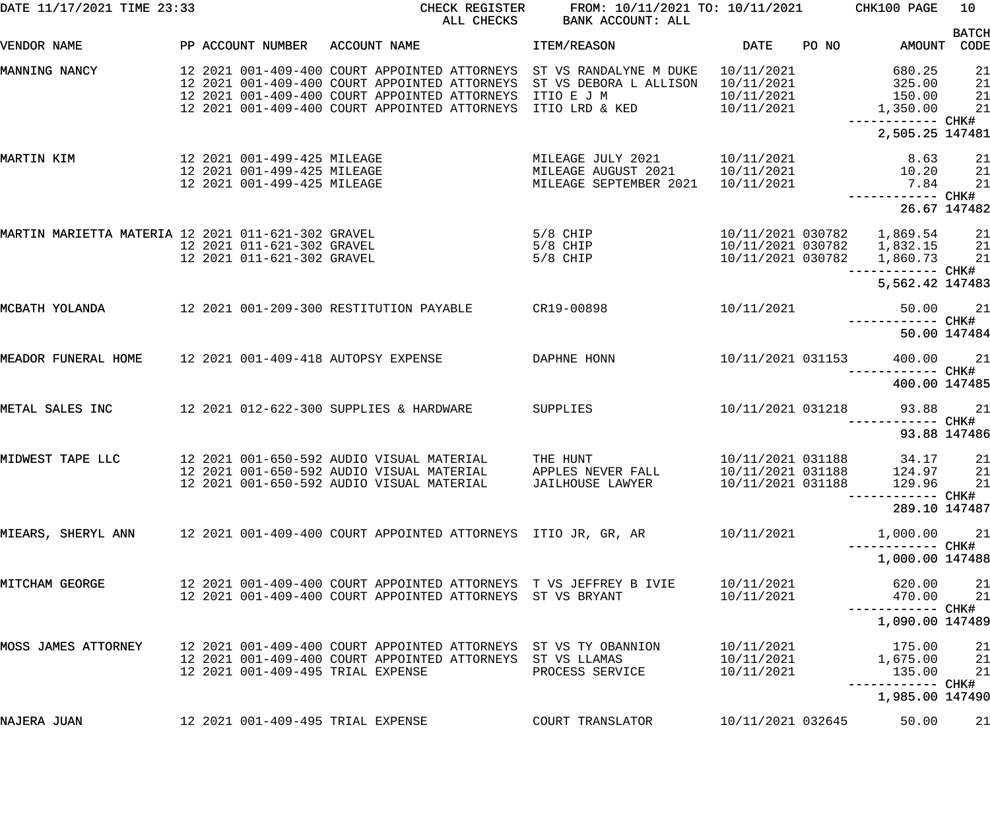| DATE 11/17/2021 TIME 23:33                         |                                                                                           | CHECK REGISTER<br>ALL CHECKS                                                                                                                                                                     | FROM: 10/11/2021 TO: 10/11/2021<br>BANK ACCOUNT: ALL                             |                                                             |       | CHK100 PAGE                                                    | 10                   |
|----------------------------------------------------|-------------------------------------------------------------------------------------------|--------------------------------------------------------------------------------------------------------------------------------------------------------------------------------------------------|----------------------------------------------------------------------------------|-------------------------------------------------------------|-------|----------------------------------------------------------------|----------------------|
| VENDOR NAME                                        | PP ACCOUNT NUMBER                                                                         | ACCOUNT NAME                                                                                                                                                                                     | ITEM/REASON                                                                      | <b>DATE</b>                                                 | PO NO | AMOUNT                                                         | <b>BATCH</b><br>CODE |
| MANNING NANCY                                      |                                                                                           | 12 2021 001-409-400 COURT APPOINTED ATTORNEYS<br>12 2021 001-409-400 COURT APPOINTED ATTORNEYS<br>12 2021 001-409-400 COURT APPOINTED ATTORNEYS<br>12 2021 001-409-400 COURT APPOINTED ATTORNEYS | ST VS RANDALYNE M DUKE<br>ST VS DEBORA L ALLISON<br>ITIO E J M<br>ITIO LRD & KED | 10/11/2021<br>10/11/2021<br>10/11/2021<br>10/11/2021        |       | 680.25<br>325.00<br>150.00<br>1,350.00<br>------------ CHK#    | 21<br>21<br>21<br>21 |
|                                                    |                                                                                           |                                                                                                                                                                                                  |                                                                                  |                                                             |       | 2,505.25 147481                                                |                      |
| MARTIN KIM                                         | 12 2021 001-499-425 MILEAGE<br>12 2021 001-499-425 MILEAGE<br>12 2021 001-499-425 MILEAGE |                                                                                                                                                                                                  | MILEAGE JULY 2021<br>MILEAGE AUGUST 2021<br>MILEAGE SEPTEMBER 2021               | 10/11/2021<br>10/11/2021<br>10/11/2021                      |       | 8.63<br>10.20<br>7.84<br>------------ CHK#                     | 21<br>21<br>21       |
|                                                    |                                                                                           |                                                                                                                                                                                                  |                                                                                  |                                                             |       | 26.67 147482                                                   |                      |
| MARTIN MARIETTA MATERIA 12 2021 011-621-302 GRAVEL | 12 2021 011-621-302 GRAVEL<br>12 2021 011-621-302 GRAVEL                                  |                                                                                                                                                                                                  | 5/8 CHIP<br>$5/8$ CHIP<br>$5/8$ CHIP                                             | 10/11/2021 030782<br>10/11/2021 030782<br>10/11/2021 030782 |       | 1,869.54<br>1,832.15<br>1,860.73<br>------------ CHK#          | 21<br>21<br>21       |
|                                                    |                                                                                           |                                                                                                                                                                                                  |                                                                                  |                                                             |       | 5,562.42 147483                                                |                      |
| MCBATH YOLANDA                                     |                                                                                           | 12 2021 001-209-300 RESTITUTION PAYABLE                                                                                                                                                          | CR19-00898                                                                       | 10/11/2021                                                  |       | 50.00<br>------------ CHK#                                     | 21                   |
|                                                    |                                                                                           |                                                                                                                                                                                                  |                                                                                  |                                                             |       | 50.00 147484                                                   |                      |
| MEADOR FUNERAL HOME                                |                                                                                           | 12 2021 001-409-418 AUTOPSY EXPENSE                                                                                                                                                              | DAPHNE HONN                                                                      | 10/11/2021 031153                                           |       | 400.00<br>400.00 147485                                        | 21                   |
| METAL SALES INC                                    |                                                                                           | 12 2021 012-622-300 SUPPLIES & HARDWARE                                                                                                                                                          | SUPPLIES                                                                         | 10/11/2021 031218                                           |       | 93.88                                                          | 21<br>-- CHK#        |
| MIDWEST TAPE LLC                                   |                                                                                           | 12 2021 001-650-592 AUDIO VISUAL MATERIAL<br>12 2021 001-650-592 AUDIO VISUAL MATERIAL APPLES NEVER FALL<br>12 2021 001-650-592 AUDIO VISUAL MATERIAL                                            | THE HUNT<br>JAILHOUSE LAWYER                                                     | 10/11/2021 031188<br>10/11/2021 031188                      |       | 93.88 147486<br>34.17<br>10/11/2021 031188 124.97 21<br>129.96 | 21<br>21             |
|                                                    |                                                                                           |                                                                                                                                                                                                  |                                                                                  |                                                             |       | 289.10 147487                                                  |                      |
|                                                    |                                                                                           | MIEARS, SHERYL ANN       12 2021 001-409-400 COURT APPOINTED ATTORNEYS  ITIO JR, GR, AR                                                                                                          |                                                                                  | 10/11/2021                                                  |       | 1,000.00<br>----------- CHK#                                   | 21                   |
|                                                    |                                                                                           |                                                                                                                                                                                                  |                                                                                  |                                                             |       | 1,000.00 147488                                                |                      |
| MITCHAM GEORGE                                     |                                                                                           | 12 2021 001-409-400 COURT APPOINTED ATTORNEYS T VS JEFFREY B IVIE<br>12 2021 001-409-400 COURT APPOINTED ATTORNEYS ST VS BRYANT                                                                  |                                                                                  | 10/11/2021<br>10/11/2021                                    |       | 620.00<br>470.00                                               | 21<br>21             |
|                                                    |                                                                                           |                                                                                                                                                                                                  |                                                                                  |                                                             |       | 1,090.00 147489                                                |                      |
| MOSS JAMES ATTORNEY                                |                                                                                           | 12 2021 001-409-400 COURT APPOINTED ATTORNEYS ST VS TY OBANNION<br>12 2021 001-409-400 COURT APPOINTED ATTORNEYS ST VS LLAMAS<br>12 2021 001-409-495 TRIAL EXPENSE                               | PROCESS SERVICE                                                                  | 10/11/2021<br>10/11/2021<br>10/11/2021                      |       | 175.00<br>1,675.00<br>135.00<br>—————————— CHK#                | 21<br>21<br>21       |
|                                                    |                                                                                           |                                                                                                                                                                                                  |                                                                                  |                                                             |       | 1,985.00 147490                                                |                      |
| NAJERA JUAN                                        |                                                                                           | 12 2021 001-409-495 TRIAL EXPENSE                                                                                                                                                                | COURT TRANSLATOR                                                                 | 10/11/2021 032645                                           |       | 50.00                                                          | 21                   |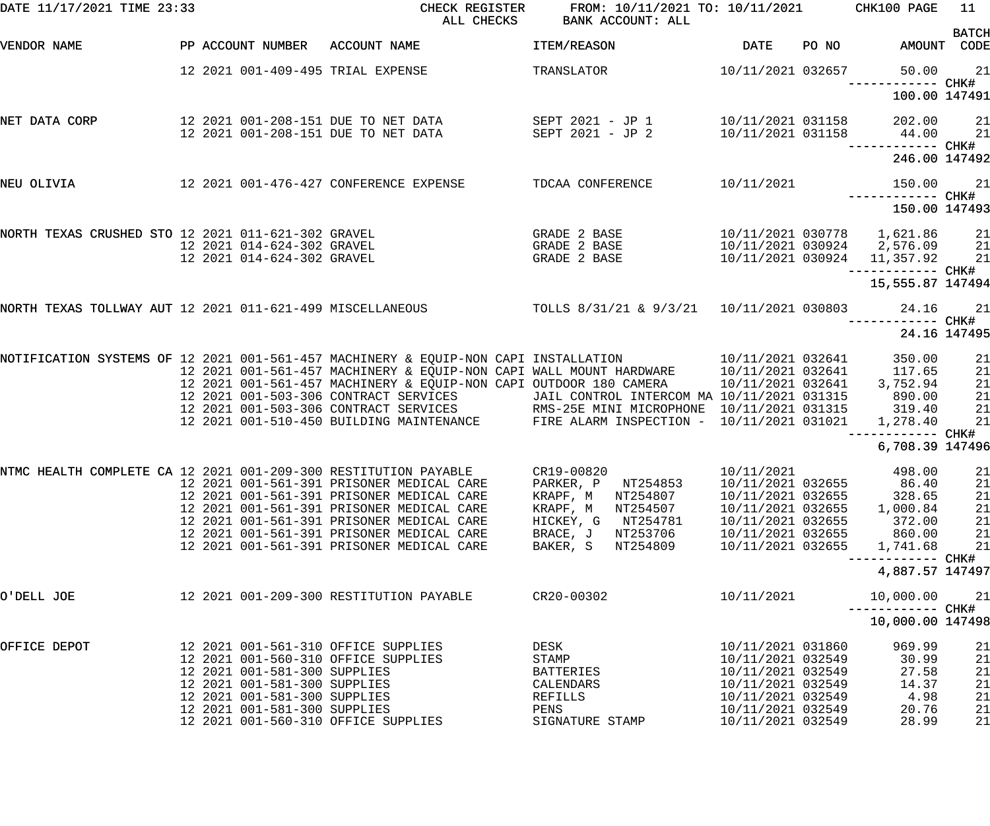| DATE 11/17/2021 TIME 23:33                         |                                                              | CHECK REGISTER<br>ALL CHECKS                                                                                                                                                | FROM: 10/11/2021 TO: 10/11/2021 CHK100 PAGE<br>BANK ACCOUNT: ALL |                                        |       |                                                                 | 11           |
|----------------------------------------------------|--------------------------------------------------------------|-----------------------------------------------------------------------------------------------------------------------------------------------------------------------------|------------------------------------------------------------------|----------------------------------------|-------|-----------------------------------------------------------------|--------------|
| VENDOR NAME                                        |                                                              | PP ACCOUNT NUMBER ACCOUNT NAME                                                                                                                                              | ITEM/REASON                                                      | <b>DATE</b>                            | PO NO | AMOUNT CODE                                                     | <b>BATCH</b> |
|                                                    | 12 2021 001-409-495 TRIAL EXPENSE                            |                                                                                                                                                                             | TRANSLATOR                                                       | 10/11/2021 032657                      |       | 50.00                                                           | 21           |
|                                                    |                                                              |                                                                                                                                                                             |                                                                  |                                        |       | 100.00 147491                                                   |              |
| NET DATA CORP                                      |                                                              |                                                                                                                                                                             |                                                                  | 10/11/2021 031158<br>10/11/2021 031158 |       | 202.00 21<br>44.00                                              | 21           |
|                                                    |                                                              |                                                                                                                                                                             |                                                                  |                                        |       |                                                                 |              |
|                                                    |                                                              |                                                                                                                                                                             |                                                                  |                                        |       | 246.00 147492                                                   |              |
| NEU OLIVIA                                         | 12  2021  001-476-427  CONFERENCE EXPENSE                    |                                                                                                                                                                             | TDCAA CONFERENCE 10/11/2021                                      |                                        |       | 150.00 21                                                       |              |
|                                                    |                                                              |                                                                                                                                                                             |                                                                  |                                        |       | 150.00 147493                                                   |              |
| NORTH TEXAS CRUSHED STO 12 2021 011-621-302 GRAVEL | 12 2021 014-624-302 GRAVEL                                   |                                                                                                                                                                             | GRADE 2 BASE<br>GRADE 2 BASE                                     |                                        |       | 10/11/2021 030778   1,621.86                                    | 21<br>21     |
|                                                    | 12 2021 014-624-302 GRAVEL                                   |                                                                                                                                                                             | GRADE 2 BASE                                                     |                                        |       | 10/11/2021 030924     2,576.09<br>10/11/2021 030924   11,357.92 | 21           |
|                                                    |                                                              |                                                                                                                                                                             |                                                                  |                                        |       | 15,555.87 147494                                                |              |
|                                                    |                                                              | NORTH TEXAS TOLLWAY AUT 12 2021 011-621-499 MISCELLANEOUS TOLLS 8/31/21 & 9/3/21 10/11/2021 030803                                                                          |                                                                  |                                        |       | 24.16                                                           | 21           |
|                                                    |                                                              |                                                                                                                                                                             |                                                                  |                                        |       | 24.16 147495                                                    |              |
|                                                    |                                                              | NOTIFICATION SYSTEMS OF 12 2021 001-561-457 MACHINERY & EQUIP-NON CAPI INSTALLATION $10/11/2021$ 032641                                                                     |                                                                  |                                        |       | 350.00                                                          | 21           |
|                                                    |                                                              | 12 2021 001-561-457 MACHINERY & EQUIP-NON CAPI WALL MOUNT HARDWARE 10/11/2021 032641<br>12 2021 001-561-457 MACHINERY & EQUIP-NON CAPI OUTDOOR 180 CAMERA 10/11/2021 032641 |                                                                  |                                        |       | 117.65<br>3,752.94                                              | 21<br>21     |
|                                                    |                                                              | 12  2021  001-503-306  CONTRACT SERVICES                                                                                                                                    | JAIL CONTROL INTERCOM MA 10/11/2021 031315                       |                                        |       | 890.00                                                          | 21           |
|                                                    |                                                              | 12 2021 001-503-306 CONTRACT SERVICES<br>12 2021 001-510-450 BUILDING MAINTENANCE FIRE ALARM INSPECTION - 10/11/2021 031315                                                 |                                                                  |                                        |       | 319.40<br>1,278.40                                              | 21<br>21     |
|                                                    |                                                              |                                                                                                                                                                             |                                                                  |                                        |       |                                                                 |              |
|                                                    |                                                              |                                                                                                                                                                             |                                                                  |                                        |       | 6,708.39 147496                                                 |              |
|                                                    |                                                              | NTMC HEALTH COMPLETE CA 12 2021 001-209-300 RESTITUTION PAYABLE      CR19-00820<br>12 2021 001-561-391 PRISONER MEDICAL CARE                                                | PARKER, P NT254853                                               | 10/11/2021<br>10/11/2021 032655        |       | 498.00 21<br>86.40                                              | 21           |
|                                                    |                                                              | 12 2021 001-561-391 PRISONER MEDICAL CARE                                                                                                                                   | KRAPF, M NT254807                                                | 10/11/2021 032655                      |       | 328.65                                                          | 21           |
|                                                    |                                                              | 12 2021 001-561-391 PRISONER MEDICAL CARE                                                                                                                                   | NT254507<br>KRAPF, M                                             | 10/11/2021 032655                      |       | 1,000.84                                                        | 21           |
|                                                    |                                                              | 12 2021 001-561-391 PRISONER MEDICAL CARE                                                                                                                                   | HICKEY, G NT254781                                               | 10/11/2021 032655                      |       | 372.00                                                          | 21           |
|                                                    |                                                              | 12 2021 001-561-391 PRISONER MEDICAL CARE<br>12 2021 001-561-391 PRISONER MEDICAL CARE                                                                                      | BRACE, J NT253706<br>BAKER, S<br>NT254809                        | 10/11/2021 032655<br>10/11/2021 032655 |       | 860.00<br>1,741.68                                              | 21<br>21     |
|                                                    |                                                              |                                                                                                                                                                             |                                                                  |                                        |       | ------------ CHK#<br>4,887.57 147497                            |              |
| O'DELL JOE                                         |                                                              | 12 2021 001-209-300 RESTITUTION PAYABLE                                                                                                                                     | CR20-00302                                                       | 10/11/2021                             |       | 10,000.00                                                       | 21           |
|                                                    |                                                              |                                                                                                                                                                             |                                                                  |                                        |       | 10,000.00 147498                                                |              |
| OFFICE DEPOT                                       | 12 2021 001-561-310 OFFICE SUPPLIES                          |                                                                                                                                                                             | DESK                                                             | 10/11/2021 031860                      |       | 969.99                                                          | 21           |
|                                                    | 12 2021 001-560-310 OFFICE SUPPLIES                          |                                                                                                                                                                             | STAMP                                                            | 10/11/2021 032549                      |       | 30.99                                                           | 21           |
|                                                    | 12 2021 001-581-300 SUPPLIES<br>12 2021 001-581-300 SUPPLIES |                                                                                                                                                                             | BATTERIES<br>CALENDARS                                           | 10/11/2021 032549<br>10/11/2021 032549 |       | 27.58<br>14.37                                                  | 21<br>21     |
|                                                    | 12 2021 001-581-300 SUPPLIES                                 |                                                                                                                                                                             | REFILLS                                                          | 10/11/2021 032549                      |       | 4.98                                                            | 21           |
|                                                    | 12 2021 001-581-300 SUPPLIES                                 |                                                                                                                                                                             | PENS                                                             | 10/11/2021 032549                      |       | 20.76                                                           | 21           |
|                                                    | 12 2021 001-560-310 OFFICE SUPPLIES                          |                                                                                                                                                                             | SIGNATURE STAMP                                                  | 10/11/2021 032549                      |       | 28.99                                                           | 21           |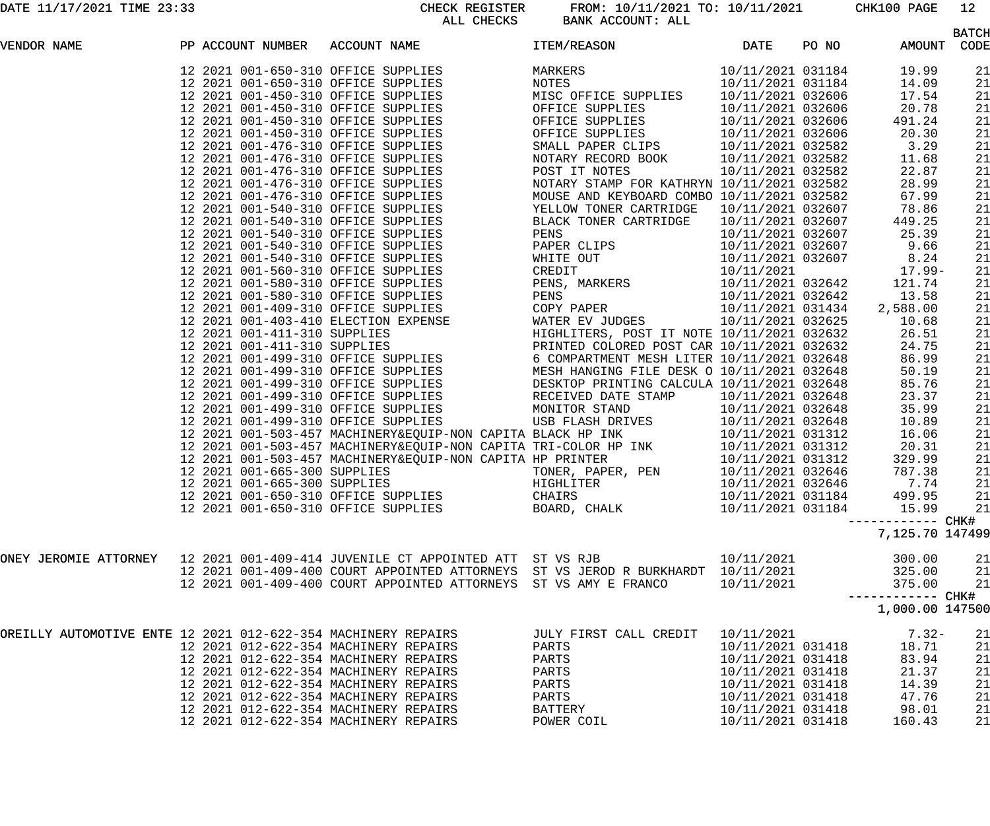DATE 11/17/2021 TIME 23:33 CHECK REGISTER FROM: 10/11/2021 TO: 10/11/2021 CHK100 PAGE 12 BANK ACCOUNT: ALL

|                                                                               |  |                                       | סעהמהר חחש                                                       | DANA ACCOUNT . AUU                                                                                                                                                                                                                      |                   |       |                                     | <b>BATCH</b> |
|-------------------------------------------------------------------------------|--|---------------------------------------|------------------------------------------------------------------|-----------------------------------------------------------------------------------------------------------------------------------------------------------------------------------------------------------------------------------------|-------------------|-------|-------------------------------------|--------------|
| VENDOR NAME                                                                   |  |                                       | PP ACCOUNT NUMBER ACCOUNT NAME                                   | <b>ITEM/REASON</b>                                                                                                                                                                                                                      | DATE              | PO NO | AMOUNT CODE                         |              |
|                                                                               |  |                                       |                                                                  | PP ACCOUNT NUMBER ACCOUNT NAMES ITEM(FREE)<br>19 2021 001-650-310 OFFICE SUPPLIES<br>19 2021 001-650-310 OFFICE SUPPLIES<br>19 2021 001-650-310 OFFICE SUPPLIES<br>19 2021 001-450-310 OFFICE SUPPLIES<br>19 2021 001-450-310 OFFICE SU |                   |       | 19.99                               | 21           |
|                                                                               |  |                                       |                                                                  |                                                                                                                                                                                                                                         |                   |       | 14.09                               | 21           |
|                                                                               |  |                                       |                                                                  |                                                                                                                                                                                                                                         |                   |       | 17.54                               | 21           |
|                                                                               |  |                                       |                                                                  |                                                                                                                                                                                                                                         |                   |       | 20.78                               | 21           |
|                                                                               |  |                                       |                                                                  |                                                                                                                                                                                                                                         |                   |       | 491.24                              | 21           |
|                                                                               |  |                                       |                                                                  |                                                                                                                                                                                                                                         |                   |       | 20.30                               | 21           |
|                                                                               |  |                                       |                                                                  |                                                                                                                                                                                                                                         |                   |       | 3.29                                | 21           |
|                                                                               |  |                                       |                                                                  |                                                                                                                                                                                                                                         |                   |       | 11.68                               | 21           |
|                                                                               |  |                                       |                                                                  |                                                                                                                                                                                                                                         |                   |       | 22.87                               | 21           |
|                                                                               |  |                                       |                                                                  |                                                                                                                                                                                                                                         |                   |       | 28.99                               | 21           |
|                                                                               |  |                                       |                                                                  |                                                                                                                                                                                                                                         |                   |       | 67.99                               | 21           |
|                                                                               |  |                                       |                                                                  |                                                                                                                                                                                                                                         |                   |       | 78.86                               | 21           |
|                                                                               |  |                                       |                                                                  |                                                                                                                                                                                                                                         |                   |       | 449.25                              | 21           |
|                                                                               |  |                                       |                                                                  |                                                                                                                                                                                                                                         |                   |       | 25.39                               |              |
|                                                                               |  |                                       |                                                                  |                                                                                                                                                                                                                                         |                   |       |                                     | 21           |
|                                                                               |  |                                       |                                                                  |                                                                                                                                                                                                                                         |                   |       | 9.66                                | 21           |
|                                                                               |  |                                       |                                                                  |                                                                                                                                                                                                                                         |                   |       | 8.24                                | 21           |
|                                                                               |  |                                       |                                                                  |                                                                                                                                                                                                                                         |                   |       | 17.99-                              | 21           |
|                                                                               |  |                                       |                                                                  |                                                                                                                                                                                                                                         |                   |       | 121.74                              | 21           |
|                                                                               |  |                                       |                                                                  |                                                                                                                                                                                                                                         |                   |       | 13.58                               | 21           |
|                                                                               |  |                                       |                                                                  |                                                                                                                                                                                                                                         |                   |       | 2,588.00                            | 21           |
|                                                                               |  |                                       |                                                                  |                                                                                                                                                                                                                                         |                   |       | 10.68                               | 21           |
|                                                                               |  |                                       |                                                                  |                                                                                                                                                                                                                                         |                   |       | 26.51                               | 21           |
|                                                                               |  |                                       |                                                                  |                                                                                                                                                                                                                                         |                   |       | 24.75                               | 21           |
|                                                                               |  |                                       |                                                                  |                                                                                                                                                                                                                                         |                   |       | 86.99                               | 21           |
|                                                                               |  |                                       |                                                                  |                                                                                                                                                                                                                                         |                   |       | 50.19                               | 21           |
|                                                                               |  |                                       |                                                                  |                                                                                                                                                                                                                                         |                   |       | 85.76                               | 21           |
|                                                                               |  |                                       |                                                                  |                                                                                                                                                                                                                                         |                   |       | 23.37                               | 21           |
|                                                                               |  |                                       |                                                                  |                                                                                                                                                                                                                                         |                   |       | 35.99                               | 21           |
|                                                                               |  |                                       |                                                                  | 12 2021 001-499-310 OFFICE SUPPLIES<br>12 2021 001-503-457 MACHINERY&EQUIP-NON CAPITA BLACK HP INK<br>12 2021 001-503-457 MACHINERY&EQUIP-NON CAPITA TRI-COLOR HP INK<br>12 2021 001-503-457 MACHINERY&EQUIP-NON CAPITA TRI-COLOR HP    |                   |       | 10.89                               | 21           |
|                                                                               |  |                                       |                                                                  |                                                                                                                                                                                                                                         |                   |       | 16.06                               | 21           |
|                                                                               |  |                                       |                                                                  |                                                                                                                                                                                                                                         |                   |       | 20.31                               |              |
|                                                                               |  |                                       |                                                                  |                                                                                                                                                                                                                                         |                   |       |                                     | 21           |
|                                                                               |  |                                       |                                                                  |                                                                                                                                                                                                                                         |                   |       | 329.99                              | 21           |
|                                                                               |  |                                       |                                                                  |                                                                                                                                                                                                                                         |                   |       | 787.38                              | 21           |
|                                                                               |  |                                       |                                                                  |                                                                                                                                                                                                                                         |                   |       | 7.74                                | 21           |
|                                                                               |  |                                       |                                                                  |                                                                                                                                                                                                                                         |                   |       | 499.95                              | 21           |
|                                                                               |  | 12 2021 001-650-310 OFFICE SUPPLIES   |                                                                  | BOARD, CHALK                                                                                                                                                                                                                            | 10/11/2021 031184 |       | 15.99                               | 21           |
|                                                                               |  |                                       |                                                                  |                                                                                                                                                                                                                                         |                   |       | ----------- CHK#<br>7,125.70 147499 |              |
|                                                                               |  |                                       |                                                                  |                                                                                                                                                                                                                                         |                   |       |                                     |              |
| ONEY JEROMIE ATTORNEY 12 2021 001-409-414 JUVENILE CT APPOINTED ATT ST VS RJB |  |                                       |                                                                  |                                                                                                                                                                                                                                         | 10/11/2021        |       | 300.00                              | 21           |
|                                                                               |  |                                       |                                                                  | 12 2021 001-409-400 COURT APPOINTED ATTORNEYS ST VS JEROD R BURKHARDT 10/11/2021                                                                                                                                                        |                   |       | 325.00                              | 21           |
|                                                                               |  |                                       | 12 2021 001-409-400 COURT APPOINTED ATTORNEYS ST VS AMY E FRANCO |                                                                                                                                                                                                                                         | 10/11/2021        |       | 375.00<br>----------- CHK#          | 21           |
|                                                                               |  |                                       |                                                                  |                                                                                                                                                                                                                                         |                   |       | 1,000.00 147500                     |              |
| OREILLY AUTOMOTIVE ENTE 12 2021 012-622-354 MACHINERY REPAIRS                 |  |                                       |                                                                  | JULY FIRST CALL CREDIT                                                                                                                                                                                                                  | 10/11/2021        |       | $7.32-$                             | 21           |
|                                                                               |  | 12 2021 012-622-354 MACHINERY REPAIRS |                                                                  | PARTS                                                                                                                                                                                                                                   | 10/11/2021 031418 |       | 18.71                               | 21           |
|                                                                               |  | 12 2021 012-622-354 MACHINERY REPAIRS |                                                                  | PARTS                                                                                                                                                                                                                                   | 10/11/2021 031418 |       | 83.94                               | 21           |
|                                                                               |  | 12 2021 012-622-354 MACHINERY REPAIRS |                                                                  | PARTS                                                                                                                                                                                                                                   | 10/11/2021 031418 |       | 21.37                               | 21           |
|                                                                               |  | 12 2021 012-622-354 MACHINERY REPAIRS |                                                                  | PARTS                                                                                                                                                                                                                                   | 10/11/2021 031418 |       | 14.39                               | 21           |
|                                                                               |  | 12 2021 012-622-354 MACHINERY REPAIRS |                                                                  | PARTS                                                                                                                                                                                                                                   | 10/11/2021 031418 |       | 47.76                               | 21           |
|                                                                               |  | 12 2021 012-622-354 MACHINERY REPAIRS |                                                                  | BATTERY                                                                                                                                                                                                                                 | 10/11/2021 031418 |       | 98.01                               | 21           |
|                                                                               |  | 12 2021 012-622-354 MACHINERY REPAIRS |                                                                  | POWER COIL                                                                                                                                                                                                                              | 10/11/2021 031418 |       | 160.43                              | 21           |
|                                                                               |  |                                       |                                                                  |                                                                                                                                                                                                                                         |                   |       |                                     |              |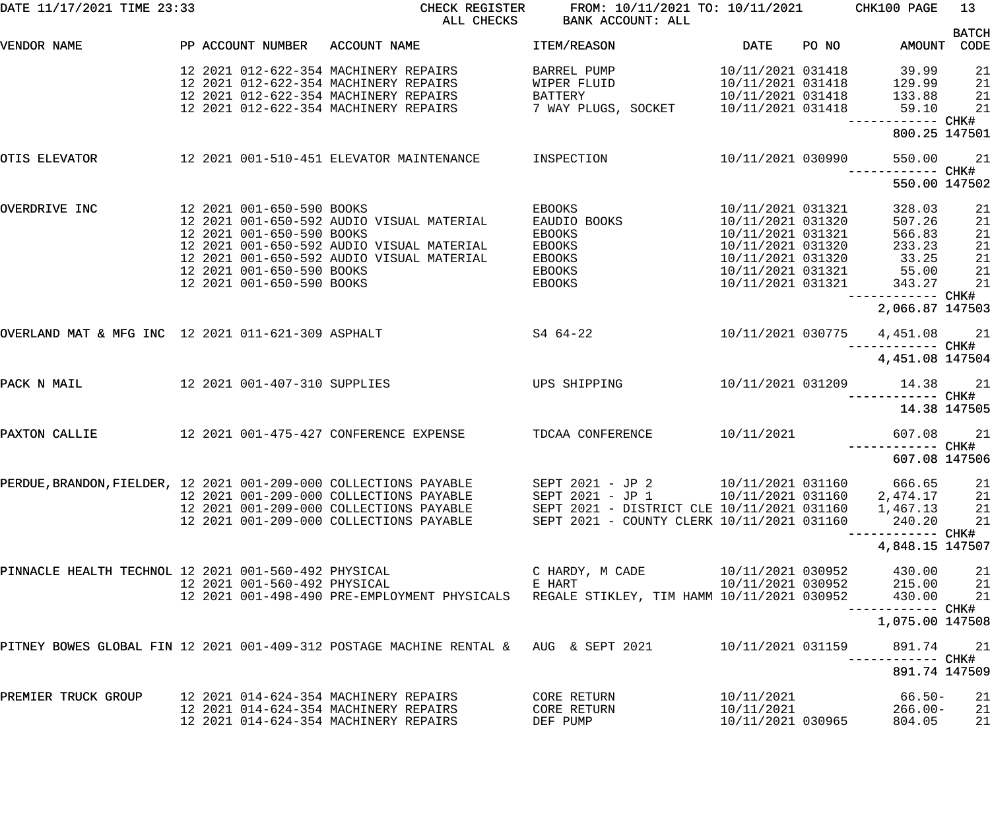| DATE 11/17/2021 TIME 23:33                                        |                              | CHECK REGISTER<br>ALL CHECKS                                                         | FROM: 10/11/2021 TO: 10/11/2021 CHK100 PAGE<br>BANK ACCOUNT: ALL |                   |       |                                                     | 13                   |
|-------------------------------------------------------------------|------------------------------|--------------------------------------------------------------------------------------|------------------------------------------------------------------|-------------------|-------|-----------------------------------------------------|----------------------|
| VENDOR NAME                                                       |                              | PP ACCOUNT NUMBER ACCOUNT NAME                                                       | ITEM/REASON                                                      | DATE              | PO NO | AMOUNT                                              | <b>BATCH</b><br>CODE |
|                                                                   |                              |                                                                                      |                                                                  |                   |       |                                                     |                      |
|                                                                   |                              | 12 2021 012-622-354 MACHINERY REPAIRS                                                | BARREL PUMP                                                      |                   |       | 10/11/2021 031418 39.99<br>10/11/2021 031418 129.99 | 21                   |
|                                                                   |                              | 12 2021 012-622-354 MACHINERY REPAIRS                                                | WIPER FLUID                                                      |                   |       |                                                     | 21                   |
|                                                                   |                              | 12 2021 012-622-354 MACHINERY REPAIRS                                                | BATTERY                                                          | 10/11/2021 031418 |       | 133.88                                              | 21                   |
|                                                                   |                              | 12 2021 012-622-354 MACHINERY REPAIRS                                                |                                                                  |                   |       | 59.10                                               | 21                   |
|                                                                   |                              |                                                                                      |                                                                  |                   |       | ------------ CHK#<br>800.25 147501                  |                      |
| OTIS ELEVATOR                                                     |                              | 12 2021 001-510-451 ELEVATOR MAINTENANCE INSPECTION                                  |                                                                  | 10/11/2021 030990 |       | 550.00                                              | 21                   |
|                                                                   |                              |                                                                                      |                                                                  |                   |       | ------------ CHK#<br>550.00 147502                  |                      |
| OVERDRIVE INC                                                     | 12 2021 001-650-590 BOOKS    |                                                                                      | EBOOKS                                                           | 10/11/2021 031321 |       | 328.03                                              | 21                   |
|                                                                   |                              | 12 2021 001-650-592 AUDIO VISUAL MATERIAL                                            | EAUDIO BOOKS                                                     | 10/11/2021 031320 |       | 507.26                                              | 21                   |
|                                                                   | 12 2021 001-650-590 BOOKS    |                                                                                      | <b>EBOOKS</b>                                                    | 10/11/2021 031321 |       | 566.83                                              | 21                   |
|                                                                   |                              | 12 2021 001-650-592 AUDIO VISUAL MATERIAL                                            | EBOOKS                                                           | 10/11/2021 031320 |       | 233.23                                              | 21                   |
|                                                                   |                              | 12 2021 001-650-592 AUDIO VISUAL MATERIAL                                            | EBOOKS                                                           | 10/11/2021 031320 |       | 33.25                                               | 21                   |
|                                                                   | 12 2021 001-650-590 BOOKS    |                                                                                      | EBOOKS                                                           | 10/11/2021 031321 |       |                                                     | 21                   |
|                                                                   | 12 2021 001-650-590 BOOKS    |                                                                                      | EBOOKS                                                           | 10/11/2021 031321 |       | 55.00<br>343.27                                     | 21                   |
|                                                                   |                              |                                                                                      |                                                                  |                   |       | ------------ CHK#                                   |                      |
|                                                                   |                              |                                                                                      |                                                                  |                   |       | 2,066.87 147503                                     |                      |
| OVERLAND MAT & MFG INC 12 2021 011-621-309 ASPHALT                |                              | $S464-22$                                                                            |                                                                  |                   |       | 10/11/2021 030775 4,451.08 21                       |                      |
|                                                                   |                              |                                                                                      |                                                                  |                   |       | ------------ CHK#<br>4,451.08 147504                |                      |
| PACK N MAIL                                                       |                              | 12 2021 001-407-310 SUPPLIES UPS SHIPPING                                            |                                                                  |                   |       | 10/11/2021 031209 14.38 21                          |                      |
|                                                                   |                              |                                                                                      |                                                                  |                   |       |                                                     | 14.38 147505         |
| PAXTON CALLIE                                                     |                              | 12 2021 001-475-427 CONFERENCE EXPENSE TDCAA CONFERENCE                              |                                                                  | 10/11/2021        |       | 607.08                                              | 21                   |
|                                                                   |                              |                                                                                      |                                                                  |                   |       | ------------ CHK#                                   |                      |
|                                                                   |                              |                                                                                      |                                                                  |                   |       | 607.08 147506                                       |                      |
| PERDUE, BRANDON, FIELDER, 12 2021 001-209-000 COLLECTIONS PAYABLE |                              |                                                                                      | SEPT 2021 - JP 2                                                 | 10/11/2021 031160 |       | 666.65                                              | 21                   |
|                                                                   |                              | 12 2021 001-209-000 COLLECTIONS PAYABLE                                              | SEPT 2021 - JP 1                                                 |                   |       | 10/11/2021 031160 2,474.17                          | 21                   |
|                                                                   |                              | 12 2021 001-209-000 COLLECTIONS PAYABLE                                              | SEPT 2021 - DISTRICT CLE 10/11/2021 031160                       |                   |       | 1,467.13                                            | 21                   |
|                                                                   |                              | 12 2021 001-209-000 COLLECTIONS PAYABLE                                              | SEPT 2021 - COUNTY CLERK 10/11/2021 031160                       |                   |       | 240.20                                              | 21                   |
|                                                                   |                              |                                                                                      |                                                                  |                   |       |                                                     |                      |
|                                                                   |                              |                                                                                      |                                                                  |                   |       | 4,848.15 147507                                     |                      |
| PINNACLE HEALTH TECHNOL 12 2021 001-560-492 PHYSICAL              |                              |                                                                                      | C HARDY, M CADE                                                  | 10/11/2021 030952 |       | 430.00                                              | 21                   |
|                                                                   | 12 2021 001-560-492 PHYSICAL |                                                                                      | E HART                                                           | 10/11/2021 030952 |       | 215.00                                              | 21                   |
|                                                                   |                              | 12 2021 001-498-490 PRE-EMPLOYMENT PHYSICALS                                         | REGALE STIKLEY, TIM HAMM 10/11/2021 030952                       |                   |       | 430.00                                              | 21                   |
|                                                                   |                              |                                                                                      |                                                                  |                   |       | 1,075.00 147508                                     |                      |
|                                                                   |                              | PITNEY BOWES GLOBAL FIN 12 2021 001-409-312 POSTAGE MACHINE RENTAL & AUG & SEPT 2021 |                                                                  | 10/11/2021 031159 |       | 891.74                                              | 21                   |
|                                                                   |                              |                                                                                      |                                                                  |                   |       |                                                     |                      |
|                                                                   |                              |                                                                                      |                                                                  |                   |       | 891.74 147509                                       |                      |
| PREMIER TRUCK GROUP                                               |                              |                                                                                      | CORE RETURN                                                      | 10/11/2021        |       | $66.50 -$                                           | 21                   |
|                                                                   |                              | 12 2021 014-624-354 MACHINERY REPAIRS                                                | CORE RETURN                                                      | 10/11/2021        |       | $266.00 -$                                          | 21                   |
|                                                                   |                              | 12 2021 014-624-354 MACHINERY REPAIRS                                                | DEF PUMP                                                         | 10/11/2021 030965 |       | 804.05                                              | 21                   |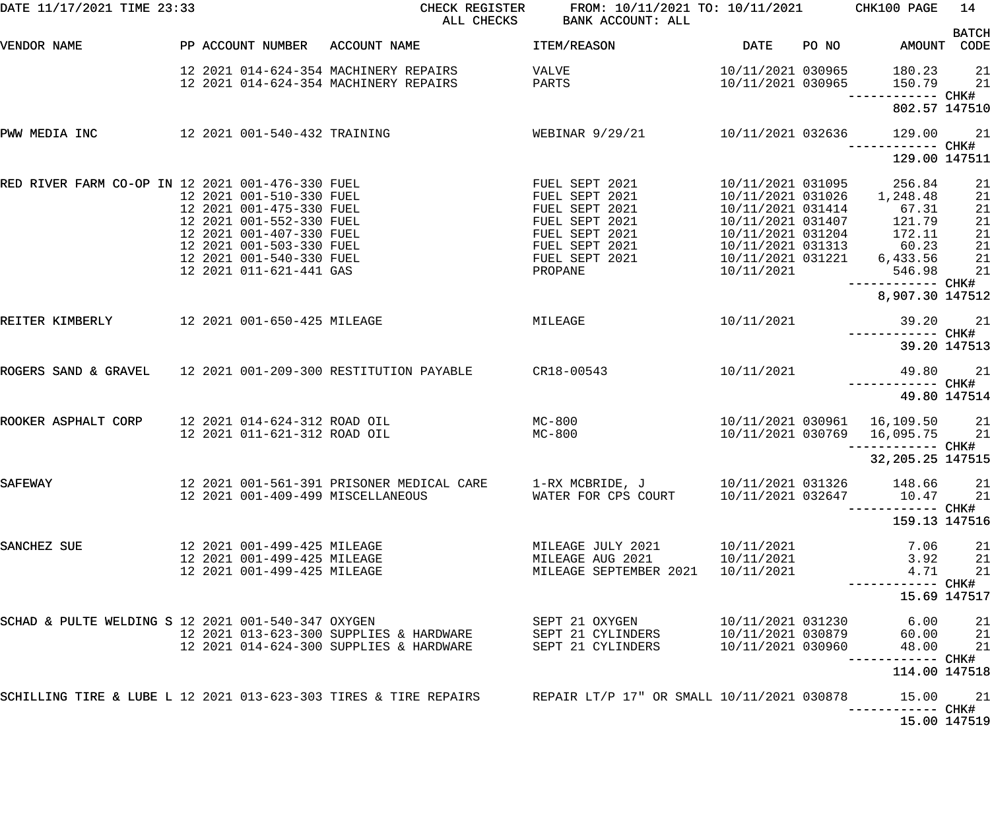| DATE 11/17/2021 TIME 23:33                                   |                                                                                                                                                                                                 | CHECK REGISTER<br>ALL CHECKS                                                                                | FROM: 10/11/2021 TO: 10/11/2021<br>BANK ACCOUNT: ALL                                                                                  |                                                                                                                                                               |       | CHK100 PAGE                                                                    | 14                                           |
|--------------------------------------------------------------|-------------------------------------------------------------------------------------------------------------------------------------------------------------------------------------------------|-------------------------------------------------------------------------------------------------------------|---------------------------------------------------------------------------------------------------------------------------------------|---------------------------------------------------------------------------------------------------------------------------------------------------------------|-------|--------------------------------------------------------------------------------|----------------------------------------------|
| VENDOR NAME                                                  | PP ACCOUNT NUMBER                                                                                                                                                                               | ACCOUNT NAME                                                                                                | ITEM/REASON                                                                                                                           | <b>DATE</b>                                                                                                                                                   | PO NO | AMOUNT                                                                         | <b>BATCH</b><br>CODE                         |
|                                                              |                                                                                                                                                                                                 | 12 2021 014-624-354 MACHINERY REPAIRS<br>12 2021 014-624-354 MACHINERY REPAIRS                              | VALVE<br>PARTS                                                                                                                        | 10/11/2021 030965<br>10/11/2021 030965                                                                                                                        |       | 180.23<br>150.79<br>------------ CHK#                                          | 21<br>21                                     |
|                                                              |                                                                                                                                                                                                 |                                                                                                             |                                                                                                                                       |                                                                                                                                                               |       | 802.57 147510                                                                  |                                              |
| PWW MEDIA INC                                                | 12 2021 001-540-432 TRAINING                                                                                                                                                                    |                                                                                                             | WEBINAR 9/29/21                                                                                                                       | 10/11/2021 032636                                                                                                                                             |       | 129.00                                                                         | 21                                           |
|                                                              |                                                                                                                                                                                                 |                                                                                                             |                                                                                                                                       |                                                                                                                                                               |       | 129.00 147511                                                                  |                                              |
| RED RIVER FARM CO-OP IN 12 2021 001-476-330 FUEL             | 12 2021 001-510-330 FUEL<br>12 2021 001-475-330 FUEL<br>12 2021 001-552-330 FUEL<br>12 2021 001-407-330 FUEL<br>12 2021 001-503-330 FUEL<br>12 2021 001-540-330 FUEL<br>12 2021 011-621-441 GAS |                                                                                                             | FUEL SEPT 2021<br>FUEL SEPT 2021<br>FUEL SEPT 2021<br>FUEL SEPT 2021<br>FUEL SEPT 2021<br>FUEL SEPT 2021<br>FUEL SEPT 2021<br>PROPANE | 10/11/2021 031095<br>10/11/2021 031026<br>10/11/2021 031414<br>10/11/2021 031407<br>10/11/2021 031204<br>10/11/2021 031313<br>10/11/2021 031221<br>10/11/2021 |       | 256.84<br>1,248.48<br>67.31<br>121.79<br>172.11<br>60.23<br>6,433.56<br>546.98 | 21<br>21<br>21<br>21<br>21<br>21<br>21<br>21 |
|                                                              |                                                                                                                                                                                                 |                                                                                                             |                                                                                                                                       |                                                                                                                                                               |       | 8,907.30 147512                                                                |                                              |
| REITER KIMBERLY                                              | 12 2021 001-650-425 MILEAGE                                                                                                                                                                     |                                                                                                             | MILEAGE                                                                                                                               | 10/11/2021                                                                                                                                                    |       | 39.20<br>------------ CHK#                                                     | 21                                           |
|                                                              |                                                                                                                                                                                                 |                                                                                                             |                                                                                                                                       |                                                                                                                                                               |       | 39.20 147513                                                                   |                                              |
| ROGERS SAND & GRAVEL 12 2021 001-209-300 RESTITUTION PAYABLE |                                                                                                                                                                                                 |                                                                                                             | CR18-00543                                                                                                                            | 10/11/2021                                                                                                                                                    |       | 49.80                                                                          | 21                                           |
|                                                              |                                                                                                                                                                                                 |                                                                                                             |                                                                                                                                       |                                                                                                                                                               |       | 49.80 147514                                                                   |                                              |
| ROOKER ASPHALT CORP                                          | 12 2021 014-624-312 ROAD OIL<br>12 2021 011-621-312 ROAD OIL                                                                                                                                    |                                                                                                             | MC-800<br>MC-800                                                                                                                      |                                                                                                                                                               |       | 10/11/2021 030961  16,109.50<br>10/11/2021 030769 16,095.75                    | 21<br>21                                     |
|                                                              |                                                                                                                                                                                                 |                                                                                                             |                                                                                                                                       |                                                                                                                                                               |       | 32, 205. 25 147515                                                             |                                              |
| SAFEWAY                                                      |                                                                                                                                                                                                 | 12 2021 001-561-391 PRISONER MEDICAL CARE<br>12 2021 001-409-499 MISCELLANEOUS                              | WATER FOR CPS COURT                                                                                                                   | 10/11/2021 032647                                                                                                                                             |       | 148.66<br>10.47                                                                | 21<br>21                                     |
|                                                              |                                                                                                                                                                                                 |                                                                                                             |                                                                                                                                       |                                                                                                                                                               |       | 159.13 147516                                                                  |                                              |
| SANCHEZ SUE                                                  | 12 2021 001-499-425 MILEAGE<br>12 2021 001-499-425 MILEAGE<br>12 2021 001-499-425 MILEAGE                                                                                                       |                                                                                                             | MILEAGE JULY 2021<br>MILEAGE AUG 2021 10/11/2021<br>MILEAGE SEPTEMBER 2021 10/11/2021                                                 | 10/11/2021                                                                                                                                                    |       | 7.06<br>3.92<br>4.71                                                           | 21<br>21<br>21                               |
|                                                              |                                                                                                                                                                                                 |                                                                                                             |                                                                                                                                       |                                                                                                                                                               |       | 15.69 147517                                                                   |                                              |
| SCHAD & PULTE WELDING S 12 2021 001-540-347 OXYGEN           |                                                                                                                                                                                                 | 12 2021 013-623-300 SUPPLIES & HARDWARE<br>12 2021 014-624-300 SUPPLIES & HARDWARE                          | SEPT 21 OXYGEN<br>SEPT 21 CYLINDERS<br>SEPT 21 CYLINDERS                                                                              | 10/11/2021 031230<br>10/11/2021 030879<br>10/11/2021 030960                                                                                                   |       | 6.00<br>60.00<br>48.00                                                         | 21<br>21<br>21                               |
|                                                              |                                                                                                                                                                                                 |                                                                                                             |                                                                                                                                       |                                                                                                                                                               |       | 114.00 147518                                                                  |                                              |
|                                                              |                                                                                                                                                                                                 | SCHILLING TIRE & LUBE L 12 2021 013-623-303 TIRES & TIRE REPAIRS REPAIR LT/P 17" OR SMALL 10/11/2021 030878 |                                                                                                                                       |                                                                                                                                                               |       | 15.00                                                                          | 21                                           |
|                                                              |                                                                                                                                                                                                 |                                                                                                             |                                                                                                                                       |                                                                                                                                                               |       | 15.00 147519                                                                   |                                              |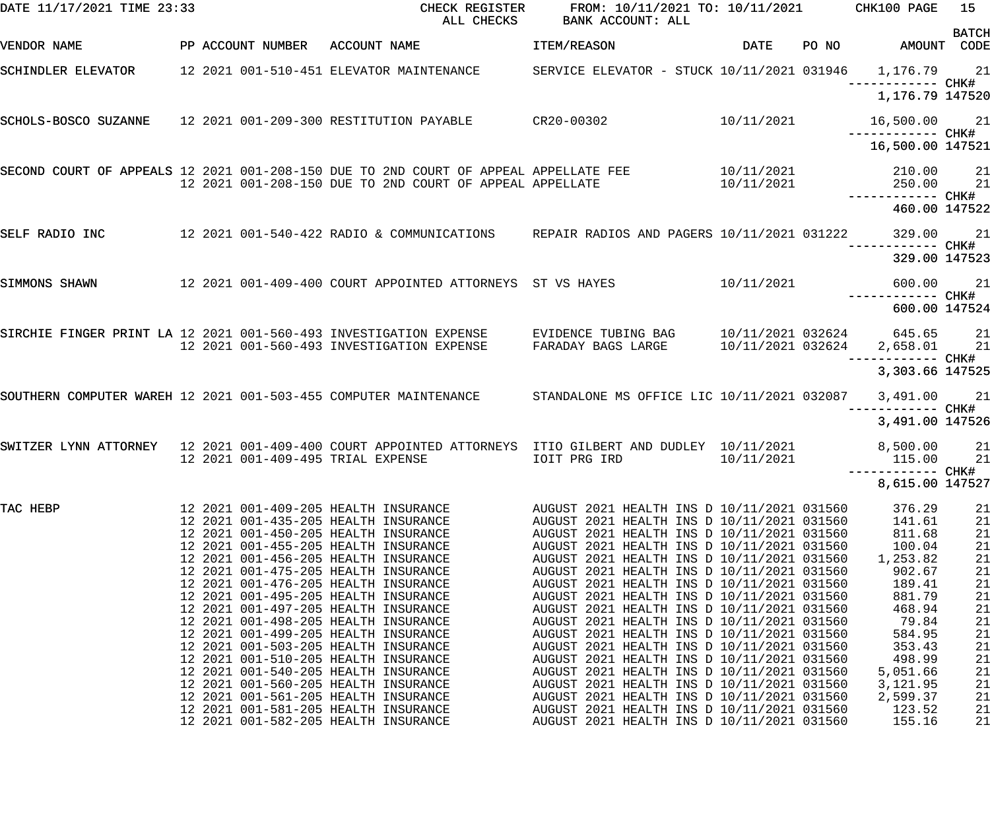| DATE 11/17/2021 TIME 23:33                                        |  |                   | CHECK REGISTER<br>ALL CHECKS                                                                                                                                                                                                                                                                                                                                         | FROM: 10/11/2021 TO: 10/11/2021<br>BANK ACCOUNT: ALL                                                                                                                                                                                                                                                                                                                                                                       |                          |       | CHK100 PAGE                                                                                 | 15                                                 |
|-------------------------------------------------------------------|--|-------------------|----------------------------------------------------------------------------------------------------------------------------------------------------------------------------------------------------------------------------------------------------------------------------------------------------------------------------------------------------------------------|----------------------------------------------------------------------------------------------------------------------------------------------------------------------------------------------------------------------------------------------------------------------------------------------------------------------------------------------------------------------------------------------------------------------------|--------------------------|-------|---------------------------------------------------------------------------------------------|----------------------------------------------------|
| VENDOR NAME                                                       |  | PP ACCOUNT NUMBER | ACCOUNT NAME                                                                                                                                                                                                                                                                                                                                                         | ITEM/REASON                                                                                                                                                                                                                                                                                                                                                                                                                | DATE                     | PO NO | AMOUNT CODE                                                                                 | <b>BATCH</b>                                       |
| SCHINDLER ELEVATOR 12 2021 001-510-451 ELEVATOR MAINTENANCE       |  |                   |                                                                                                                                                                                                                                                                                                                                                                      | SERVICE ELEVATOR - STUCK 10/11/2021 031946 1,176.79 21                                                                                                                                                                                                                                                                                                                                                                     |                          |       | —————————— CHK#                                                                             |                                                    |
|                                                                   |  |                   |                                                                                                                                                                                                                                                                                                                                                                      |                                                                                                                                                                                                                                                                                                                                                                                                                            |                          |       | 1,176.79 147520                                                                             |                                                    |
| SCHOLS-BOSCO SUZANNE 12 2021 001-209-300 RESTITUTION PAYABLE      |  |                   |                                                                                                                                                                                                                                                                                                                                                                      | $CR20 - 00302$                                                                                                                                                                                                                                                                                                                                                                                                             | 10/11/2021               |       | 16,500.00 21<br>——————————— CHK#                                                            |                                                    |
|                                                                   |  |                   |                                                                                                                                                                                                                                                                                                                                                                      |                                                                                                                                                                                                                                                                                                                                                                                                                            |                          |       | 16,500.00 147521                                                                            |                                                    |
|                                                                   |  |                   | SECOND COURT OF APPEALS 12 2021 001-208-150 DUE TO 2ND COURT OF APPEAL APPELLATE FEE<br>12 2021 001-208-150 DUE TO 2ND COURT OF APPEAL APPELLATE                                                                                                                                                                                                                     |                                                                                                                                                                                                                                                                                                                                                                                                                            | 10/11/2021<br>10/11/2021 |       | 210.00<br>250.00                                                                            | 21<br>21                                           |
|                                                                   |  |                   |                                                                                                                                                                                                                                                                                                                                                                      |                                                                                                                                                                                                                                                                                                                                                                                                                            |                          |       | 460.00 147522                                                                               |                                                    |
| SELF RADIO INC                                                    |  |                   | 12 2021 001-540-422 RADIO & COMMUNICATIONS REPAIR RADIOS AND PAGERS 10/11/2021 031222                                                                                                                                                                                                                                                                                |                                                                                                                                                                                                                                                                                                                                                                                                                            |                          |       | 329.00                                                                                      | 21                                                 |
|                                                                   |  |                   |                                                                                                                                                                                                                                                                                                                                                                      |                                                                                                                                                                                                                                                                                                                                                                                                                            |                          |       | 329.00 147523                                                                               |                                                    |
| SIMMONS SHAWN                                                     |  |                   | 12 2021 001-409-400 COURT APPOINTED ATTORNEYS ST VS HAYES                                                                                                                                                                                                                                                                                                            |                                                                                                                                                                                                                                                                                                                                                                                                                            | 10/11/2021               |       | 600.00<br>------------ CHK#                                                                 | 21                                                 |
|                                                                   |  |                   |                                                                                                                                                                                                                                                                                                                                                                      |                                                                                                                                                                                                                                                                                                                                                                                                                            |                          |       | 600.00 147524                                                                               |                                                    |
| SIRCHIE FINGER PRINT LA 12 2021 001-560-493 INVESTIGATION EXPENSE |  |                   | 12 2021 001-560-493 INVESTIGATION EXPENSE                                                                                                                                                                                                                                                                                                                            | EVIDENCE TUBING BAG<br>FARADAY BAGS LARGE                                                                                                                                                                                                                                                                                                                                                                                  | 10/11/2021 032624        |       | 10/11/2021 032624 645.65 21<br>2,658.01<br>----------- CHK#                                 | 21                                                 |
|                                                                   |  |                   |                                                                                                                                                                                                                                                                                                                                                                      |                                                                                                                                                                                                                                                                                                                                                                                                                            |                          |       | 3,303.66 147525                                                                             |                                                    |
| SOUTHERN COMPUTER WAREH 12 2021 001-503-455 COMPUTER MAINTENANCE  |  |                   |                                                                                                                                                                                                                                                                                                                                                                      | STANDALONE MS OFFICE LIC 10/11/2021 032087                                                                                                                                                                                                                                                                                                                                                                                 |                          |       | 3,491.00 21<br>—————————— CHK#                                                              |                                                    |
|                                                                   |  |                   |                                                                                                                                                                                                                                                                                                                                                                      |                                                                                                                                                                                                                                                                                                                                                                                                                            |                          |       | 3,491.00 147526                                                                             |                                                    |
| SWITZER LYNN ATTORNEY                                             |  |                   | 12 2021 001-409-400 COURT APPOINTED ATTORNEYS ITIO GILBERT AND DUDLEY 10/11/2021<br>12 2021 001-409-495 TRIAL EXPENSE                                                                                                                                                                                                                                                | IOIT PRG IRD                                                                                                                                                                                                                                                                                                                                                                                                               | 10/11/2021               |       | 8,500.00<br>115.00                                                                          | 21<br>21                                           |
|                                                                   |  |                   |                                                                                                                                                                                                                                                                                                                                                                      |                                                                                                                                                                                                                                                                                                                                                                                                                            |                          |       | ------ CHK#<br>8,615.00 147527                                                              |                                                    |
| TAC HEBP                                                          |  |                   | 12 2021 001-409-205 HEALTH INSURANCE<br>12 2021 001-435-205 HEALTH INSURANCE<br>12 2021 001-450-205 HEALTH INSURANCE<br>12 2021 001-455-205 HEALTH INSURANCE<br>12 2021 001-456-205 HEALTH INSURANCE<br>12 2021 001-475-205 HEALTH INSURANCE<br>12 2021 001-476-205 HEALTH INSURANCE<br>12 2021 001-495-205 HEALTH INSURANCE<br>12 2021 001-497-205 HEALTH INSURANCE | AUGUST 2021 HEALTH INS D 10/11/2021 031560<br>AUGUST 2021 HEALTH INS D 10/11/2021 031560<br>AUGUST 2021 HEALTH INS D 10/11/2021 031560<br>AUGUST 2021 HEALTH INS D 10/11/2021 031560<br>AUGUST 2021 HEALTH INS D 10/11/2021 031560<br>AUGUST 2021 HEALTH INS D 10/11/2021 031560<br>AUGUST 2021 HEALTH INS D 10/11/2021 031560<br>AUGUST 2021 HEALTH INS D 10/11/2021 031560<br>AUGUST 2021 HEALTH INS D 10/11/2021 031560 |                          |       | 376.29<br>141.61<br>811.68<br>100.04<br>1,253.82<br>902.67<br>189.41<br>881.79<br>468.94    | 21<br>21<br>21<br>21<br>21<br>21<br>21<br>21<br>21 |
|                                                                   |  |                   | 12 2021 001-498-205 HEALTH INSURANCE<br>12 2021 001-499-205 HEALTH INSURANCE<br>12 2021 001-503-205 HEALTH INSURANCE<br>12 2021 001-510-205 HEALTH INSURANCE<br>12 2021 001-540-205 HEALTH INSURANCE<br>12 2021 001-560-205 HEALTH INSURANCE<br>12 2021 001-561-205 HEALTH INSURANCE<br>12 2021 001-581-205 HEALTH INSURANCE<br>12 2021 001-582-205 HEALTH INSURANCE | AUGUST 2021 HEALTH INS D 10/11/2021 031560<br>AUGUST 2021 HEALTH INS D 10/11/2021 031560<br>AUGUST 2021 HEALTH INS D 10/11/2021 031560<br>AUGUST 2021 HEALTH INS D 10/11/2021 031560<br>AUGUST 2021 HEALTH INS D 10/11/2021 031560<br>AUGUST 2021 HEALTH INS D 10/11/2021 031560<br>AUGUST 2021 HEALTH INS D 10/11/2021 031560<br>AUGUST 2021 HEALTH INS D 10/11/2021 031560<br>AUGUST 2021 HEALTH INS D 10/11/2021 031560 |                          |       | 79.84<br>584.95<br>353.43<br>498.99<br>5,051.66<br>3,121.95<br>2,599.37<br>123.52<br>155.16 | 21<br>21<br>21<br>21<br>21<br>21<br>21<br>21<br>21 |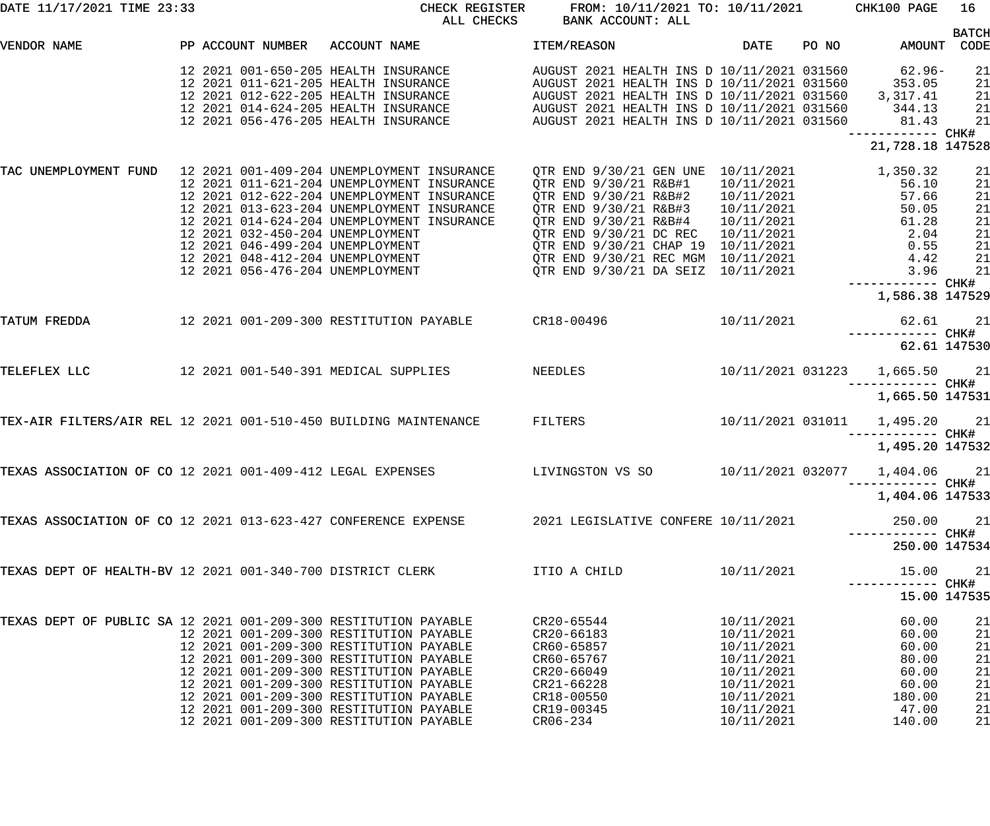| DATE 11/17/2021 TIME 23:33                                       |  |                   | CHECK REGISTER<br>ALL CHECKS                                                                                                                                                                                                                                                                                                                         | FROM: 10/11/2021 TO: 10/11/2021 CHK100 PAGE<br>BANK ACCOUNT: ALL                                                                                                                                                                                                                              |                                                                                                                            |       |                                                                                 | 16                                                 |
|------------------------------------------------------------------|--|-------------------|------------------------------------------------------------------------------------------------------------------------------------------------------------------------------------------------------------------------------------------------------------------------------------------------------------------------------------------------------|-----------------------------------------------------------------------------------------------------------------------------------------------------------------------------------------------------------------------------------------------------------------------------------------------|----------------------------------------------------------------------------------------------------------------------------|-------|---------------------------------------------------------------------------------|----------------------------------------------------|
| VENDOR NAME                                                      |  | PP ACCOUNT NUMBER | ACCOUNT NAME                                                                                                                                                                                                                                                                                                                                         | ITEM/REASON                                                                                                                                                                                                                                                                                   | DATE                                                                                                                       | PO NO | AMOUNT                                                                          | <b>BATCH</b><br>CODE                               |
|                                                                  |  |                   | 12 2021 001-650-205 HEALTH INSURANCE<br>12 2021 011-621-205 HEALTH INSURANCE<br>12 2021 012-622-205 HEALTH INSURANCE<br>12 2021 014-624-205 HEALTH INSURANCE<br>12 2021 056-476-205 HEALTH INSURANCE                                                                                                                                                 | AUGUST 2021 HEALTH INS D 10/11/2021 031560<br>AUGUST 2021 HEALTH INS D 10/11/2021 031560<br>AUGUST 2021 HEALTH INS D 10/11/2021 031560<br>AUGUST 2021 HEALTH INS D 10/11/2021 031560<br>AUGUST 2021 HEALTH INS D 10/11/2021 031560                                                            |                                                                                                                            |       | $62.96-$<br>353.05<br>3,317.41<br>344.13<br>81.43<br>----------- CHK#           | 21<br>21<br>21<br>21<br>21                         |
|                                                                  |  |                   |                                                                                                                                                                                                                                                                                                                                                      |                                                                                                                                                                                                                                                                                               |                                                                                                                            |       | 21,728.18 147528                                                                |                                                    |
| TAC UNEMPLOYMENT FUND 12 2021 001-409-204 UNEMPLOYMENT INSURANCE |  |                   | 12 2021 011-621-204 UNEMPLOYMENT INSURANCE<br>12 2021 012-622-204 UNEMPLOYMENT INSURANCE<br>12 2021 013-623-204 UNEMPLOYMENT INSURANCE<br>12 2021 014-624-204 UNEMPLOYMENT INSURANCE<br>12 2021 032-450-204 UNEMPLOYMENT<br>12 2021 046-499-204 UNEMPLOYMENT<br>12  2021  048-412-204  UNEMPLOYMENT                                                  | QTR END 9/30/21 GEN UNE 10/11/2021<br>QTR END 9/30/21 R&B#1<br>QTR END 9/30/21 R&B#2<br>QTR END 9/30/21 R&B#3<br>QTR END 9/30/21 R&B#4<br>QTR END 9/30/21 DC REC 10/11/2021<br>QTR END 9/30/21 CHAP 19 10/11/2021<br>QTR END 9/30/21 REC MGM 10/11/2021<br>OTR END 9/30/21 DA SEIZ 10/11/2021 | $10/11/2021$<br>$10/11/2021$<br>$10/11/2021$<br>10/11/2021                                                                 |       | 1,350.32<br>56.10<br>57.66<br>50.05<br>61.28<br>$2.04$<br>0.55<br>4.42<br>3.96  | 21<br>21<br>21<br>21<br>21<br>21<br>21<br>21<br>21 |
|                                                                  |  |                   |                                                                                                                                                                                                                                                                                                                                                      |                                                                                                                                                                                                                                                                                               |                                                                                                                            |       | ------------ CHK#<br>1,586.38 147529                                            |                                                    |
| TATUM FREDDA                                                     |  |                   | 12 2021 001-209-300 RESTITUTION PAYABLE CR18-00496                                                                                                                                                                                                                                                                                                   |                                                                                                                                                                                                                                                                                               | 10/11/2021                                                                                                                 |       | 62.61                                                                           | 21                                                 |
|                                                                  |  |                   |                                                                                                                                                                                                                                                                                                                                                      |                                                                                                                                                                                                                                                                                               |                                                                                                                            |       | 62.61 147530                                                                    |                                                    |
| TELEFLEX LLC                                                     |  |                   | 12 2021 001-540-391 MEDICAL SUPPLIES<br>NEEDLES                                                                                                                                                                                                                                                                                                      |                                                                                                                                                                                                                                                                                               |                                                                                                                            |       | 10/11/2021 031223 1,665.50<br>------------ CHK#                                 | 21                                                 |
|                                                                  |  |                   |                                                                                                                                                                                                                                                                                                                                                      |                                                                                                                                                                                                                                                                                               |                                                                                                                            |       | 1,665.50 147531                                                                 |                                                    |
| TEX-AIR FILTERS/AIR REL 12 2021 001-510-450 BUILDING MAINTENANCE |  |                   |                                                                                                                                                                                                                                                                                                                                                      | FILTERS                                                                                                                                                                                                                                                                                       |                                                                                                                            |       | 10/11/2021 031011  1,495.20  21<br>------------ CHK#                            |                                                    |
|                                                                  |  |                   |                                                                                                                                                                                                                                                                                                                                                      |                                                                                                                                                                                                                                                                                               |                                                                                                                            |       | 1,495.20 147532                                                                 |                                                    |
| TEXAS ASSOCIATION OF CO 12 2021 001-409-412 LEGAL EXPENSES       |  |                   |                                                                                                                                                                                                                                                                                                                                                      | LIVINGSTON VS SO                                                                                                                                                                                                                                                                              |                                                                                                                            |       | 10/11/2021 032077 1,404.06 21                                                   |                                                    |
|                                                                  |  |                   |                                                                                                                                                                                                                                                                                                                                                      |                                                                                                                                                                                                                                                                                               |                                                                                                                            |       | 1,404.06 147533                                                                 |                                                    |
| TEXAS ASSOCIATION OF CO 12 2021 013-623-427 CONFERENCE EXPENSE   |  |                   |                                                                                                                                                                                                                                                                                                                                                      | 2021 LEGISLATIVE CONFERE 10/11/2021                                                                                                                                                                                                                                                           |                                                                                                                            |       | 250.00<br>------------ CHK#                                                     | 21                                                 |
|                                                                  |  |                   |                                                                                                                                                                                                                                                                                                                                                      |                                                                                                                                                                                                                                                                                               |                                                                                                                            |       | 250.00 147534                                                                   |                                                    |
| TEXAS DEPT OF HEALTH-BV 12 2021 001-340-700 DISTRICT CLERK       |  |                   |                                                                                                                                                                                                                                                                                                                                                      | ITIO A CHILD                                                                                                                                                                                                                                                                                  | 10/11/2021                                                                                                                 |       | 15.00                                                                           | 21                                                 |
|                                                                  |  |                   |                                                                                                                                                                                                                                                                                                                                                      |                                                                                                                                                                                                                                                                                               |                                                                                                                            |       | 15.00 147535                                                                    |                                                    |
| TEXAS DEPT OF PUBLIC SA 12 2021 001-209-300 RESTITUTION PAYABLE  |  |                   | 12 2021 001-209-300 RESTITUTION PAYABLE<br>12 2021 001-209-300 RESTITUTION PAYABLE<br>12 2021 001-209-300 RESTITUTION PAYABLE<br>12 2021 001-209-300 RESTITUTION PAYABLE<br>12 2021 001-209-300 RESTITUTION PAYABLE<br>12 2021 001-209-300 RESTITUTION PAYABLE<br>12 2021 001-209-300 RESTITUTION PAYABLE<br>12 2021 001-209-300 RESTITUTION PAYABLE | CR20-65544<br>CR20-66183<br>CR60-65857<br>CR60-65767<br>CR20-66049<br>CR21-66228<br>CR18-00550<br>CR19-00345<br>$CR06 - 234$                                                                                                                                                                  | 10/11/2021<br>10/11/2021<br>10/11/2021<br>10/11/2021<br>10/11/2021<br>10/11/2021<br>10/11/2021<br>10/11/2021<br>10/11/2021 |       | 60.00<br>60.00<br>60.00<br>80.00<br>60.00<br>60.00<br>180.00<br>47.00<br>140.00 | 21<br>21<br>21<br>21<br>21<br>21<br>21<br>21<br>21 |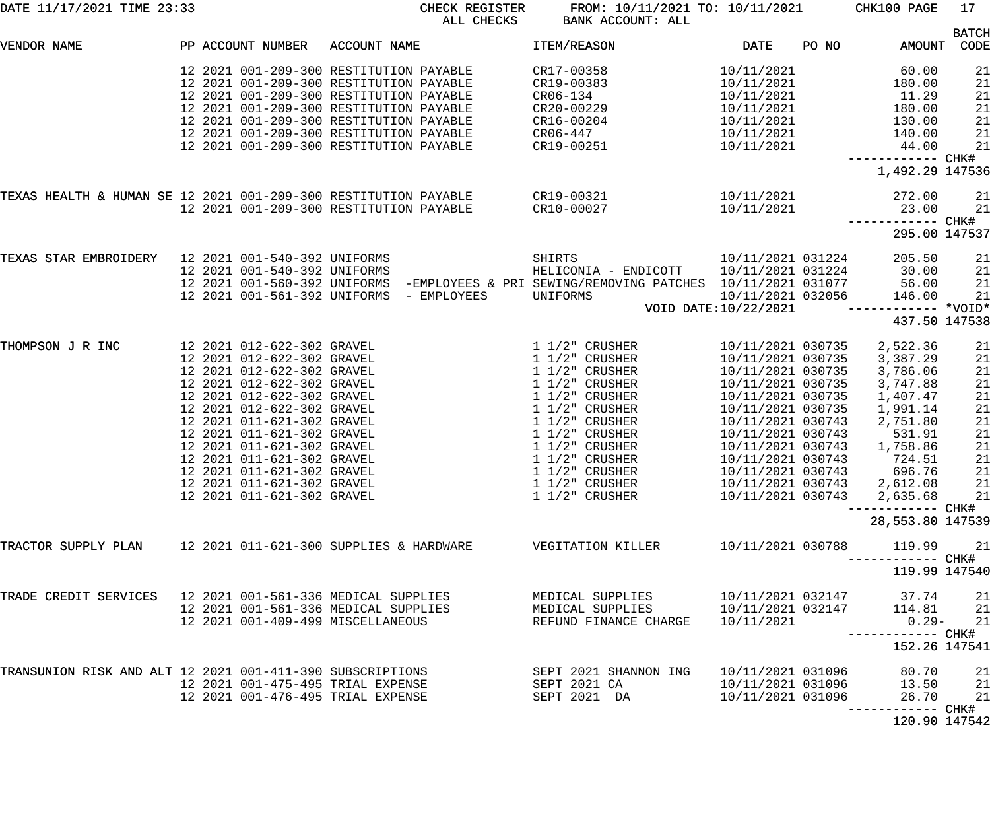| DATE 11/17/2021 TIME 23:33                                      |                                                                                                                                                                                                                                                                                                                                                                                                    | CHECK REGISTER<br>ALL CHECKS                                                                                                                                                                                                                                                                              | FROM: 10/11/2021 TO: 10/11/2021<br>BANK ACCOUNT: ALL                                                                                                                                                                                                                                     |                                                                                                                                                                                                                                                                                               | CHK100 PAGE                                                                                                                                      | 17                                                                         |
|-----------------------------------------------------------------|----------------------------------------------------------------------------------------------------------------------------------------------------------------------------------------------------------------------------------------------------------------------------------------------------------------------------------------------------------------------------------------------------|-----------------------------------------------------------------------------------------------------------------------------------------------------------------------------------------------------------------------------------------------------------------------------------------------------------|------------------------------------------------------------------------------------------------------------------------------------------------------------------------------------------------------------------------------------------------------------------------------------------|-----------------------------------------------------------------------------------------------------------------------------------------------------------------------------------------------------------------------------------------------------------------------------------------------|--------------------------------------------------------------------------------------------------------------------------------------------------|----------------------------------------------------------------------------|
| VENDOR NAME                                                     | PP ACCOUNT NUMBER                                                                                                                                                                                                                                                                                                                                                                                  | ACCOUNT NAME                                                                                                                                                                                                                                                                                              | ITEM/REASON                                                                                                                                                                                                                                                                              | <b>DATE</b><br>PO NO                                                                                                                                                                                                                                                                          | AMOUNT                                                                                                                                           | <b>BATCH</b><br>CODE                                                       |
|                                                                 |                                                                                                                                                                                                                                                                                                                                                                                                    | 12 2021 001-209-300 RESTITUTION PAYABLE<br>12 2021 001-209-300 RESTITUTION PAYABLE<br>12 2021 001-209-300 RESTITUTION PAYABLE<br>12 2021 001-209-300 RESTITUTION PAYABLE<br>12 2021 001-209-300 RESTITUTION PAYABLE<br>12 2021 001-209-300 RESTITUTION PAYABLE<br>12 2021 001-209-300 RESTITUTION PAYABLE | CR17-00358<br>CR19-00383<br>CR06-134<br>CR20-00229<br>CR16-00204<br>CR06-447<br>CR19-00251                                                                                                                                                                                               | 10/11/2021<br>10/11/2021<br>10/11/2021<br>10/11/2021<br>10/11/2021<br>10/11/2021<br>10/11/2021                                                                                                                                                                                                | 60.00<br>180.00<br>11.29<br>180.00<br>130.00<br>140.00<br>44.00<br>------------ CHK#                                                             | 21<br>21<br>21<br>21<br>21<br>21<br>21                                     |
|                                                                 |                                                                                                                                                                                                                                                                                                                                                                                                    |                                                                                                                                                                                                                                                                                                           |                                                                                                                                                                                                                                                                                          |                                                                                                                                                                                                                                                                                               | 1,492.29 147536                                                                                                                                  |                                                                            |
| TEXAS HEALTH & HUMAN SE 12 2021 001-209-300 RESTITUTION PAYABLE |                                                                                                                                                                                                                                                                                                                                                                                                    | 12 2021 001-209-300 RESTITUTION PAYABLE                                                                                                                                                                                                                                                                   | CR19-00321<br>CR10-00027                                                                                                                                                                                                                                                                 | 10/11/2021<br>10/11/2021                                                                                                                                                                                                                                                                      | 272.00<br>23.00<br>------------ CHK#                                                                                                             | 21<br>21                                                                   |
|                                                                 |                                                                                                                                                                                                                                                                                                                                                                                                    |                                                                                                                                                                                                                                                                                                           |                                                                                                                                                                                                                                                                                          |                                                                                                                                                                                                                                                                                               | 295.00 147537                                                                                                                                    |                                                                            |
| TEXAS STAR EMBROIDERY                                           | 12 2021 001-540-392 UNIFORMS<br>12 2021 001-540-392 UNIFORMS                                                                                                                                                                                                                                                                                                                                       | 12 2021 001-561-392 UNIFORMS - EMPLOYEES                                                                                                                                                                                                                                                                  | SHIRTS<br>HELICONIA - ENDICOTT<br>12 2021 001-560-392 UNIFORMS -EMPLOYEES & PRI SEWING/REMOVING PATCHES 10/11/2021 031077<br>UNIFORMS                                                                                                                                                    | 10/11/2021 031224<br>10/11/2021 031224<br>10/11/2021 032056<br>VOID DATE:10/22/2021                                                                                                                                                                                                           | 205.50<br>30.00<br>56.00<br>146.00                                                                                                               | 21<br>21<br>21<br>21                                                       |
|                                                                 |                                                                                                                                                                                                                                                                                                                                                                                                    |                                                                                                                                                                                                                                                                                                           |                                                                                                                                                                                                                                                                                          |                                                                                                                                                                                                                                                                                               | 437.50 147538                                                                                                                                    |                                                                            |
| THOMPSON J R INC                                                | 12 2021 012-622-302 GRAVEL<br>12 2021 012-622-302 GRAVEL<br>12 2021 012-622-302 GRAVEL<br>12 2021 012-622-302 GRAVEL<br>12 2021 012-622-302 GRAVEL<br>12 2021 012-622-302 GRAVEL<br>12 2021 011-621-302 GRAVEL<br>12 2021 011-621-302 GRAVEL<br>12 2021 011-621-302 GRAVEL<br>12 2021 011-621-302 GRAVEL<br>12 2021 011-621-302 GRAVEL<br>12 2021 011-621-302 GRAVEL<br>12 2021 011-621-302 GRAVEL |                                                                                                                                                                                                                                                                                                           | $1\;1/2"$ CRUSHER<br>$1\ 1/2"$ CRUSHER<br>$1\ 1/2$ " CRUSHER<br>$1\ 1/2$ " CRUSHER<br>$1\ 1/2$ " CRUSHER<br>$1\ 1/2$ " CRUSHER<br>$1\ 1/2$ " CRUSHER<br>$1\ 1/2$ " CRUSHER<br>$1\frac{1}{2}$ CRUSHER<br>1 1/2" CRUSHER<br>$1\ 1/2$ " CRUSHER<br>$1\ 1/2$ " CRUSHER<br>$1\ 1/2$ " CRUSHER | 10/11/2021 030735<br>10/11/2021 030735<br>10/11/2021 030735<br>10/11/2021 030735<br>10/11/2021 030735<br>10/11/2021 030735<br>10/11/2021 030743<br>10/11/2021 030743<br>10/11/2021 030743<br>10/11/2021 030743<br>10/11/2021 030743 696.76<br>10/11/2021 030743 2,612.08<br>10/11/2021 030743 | 2,522.36<br>3,387.29<br>3,786.06<br>3,747.88<br>1,407.47<br>1,991.14<br>2,751.80<br>531.91<br>1,758.86<br>724.51<br>2,635.68<br>28,553.80 147539 | 21<br>21<br>21<br>21<br>21<br>21<br>21<br>21<br>21<br>21<br>21<br>21<br>21 |
| TRACTOR SUPPLY PLAN 12 2021 011-621-300 SUPPLIES & HARDWARE     |                                                                                                                                                                                                                                                                                                                                                                                                    |                                                                                                                                                                                                                                                                                                           | VEGITATION KILLER                                                                                                                                                                                                                                                                        | 10/11/2021 030788                                                                                                                                                                                                                                                                             | 119.99<br>119.99 147540                                                                                                                          | 21                                                                         |
| TRADE CREDIT SERVICES 12 2021 001-561-336 MEDICAL SUPPLIES      | 12 2021 001-561-336 MEDICAL SUPPLIES<br>12 2021 001-409-499 MISCELLANEOUS                                                                                                                                                                                                                                                                                                                          |                                                                                                                                                                                                                                                                                                           | MEDICAL SUPPLIES<br>MEDICAL SUPPLIES<br>REFUND FINANCE CHARGE                                                                                                                                                                                                                            | 10/11/2021 032147<br>10/11/2021 032147<br>10/11/2021                                                                                                                                                                                                                                          | 37.74<br>114.81<br>$0.29-$<br>152.26 147541                                                                                                      | 21<br>21<br>21                                                             |
| TRANSUNION RISK AND ALT 12 2021 001-411-390 SUBSCRIPTIONS       | 12 2021 001-475-495 TRIAL EXPENSE<br>12 2021 001-476-495 TRIAL EXPENSE                                                                                                                                                                                                                                                                                                                             |                                                                                                                                                                                                                                                                                                           | SEPT 2021 SHANNON ING<br>SEPT 2021 CA<br>SEPT 2021 DA                                                                                                                                                                                                                                    | 10/11/2021 031096<br>10/11/2021 031096<br>10/11/2021 031096                                                                                                                                                                                                                                   | 80.70<br>13.50<br>26.70<br>------- CHK#                                                                                                          | 21<br>21<br>21                                                             |
|                                                                 |                                                                                                                                                                                                                                                                                                                                                                                                    |                                                                                                                                                                                                                                                                                                           |                                                                                                                                                                                                                                                                                          |                                                                                                                                                                                                                                                                                               | 120.90 147542                                                                                                                                    |                                                                            |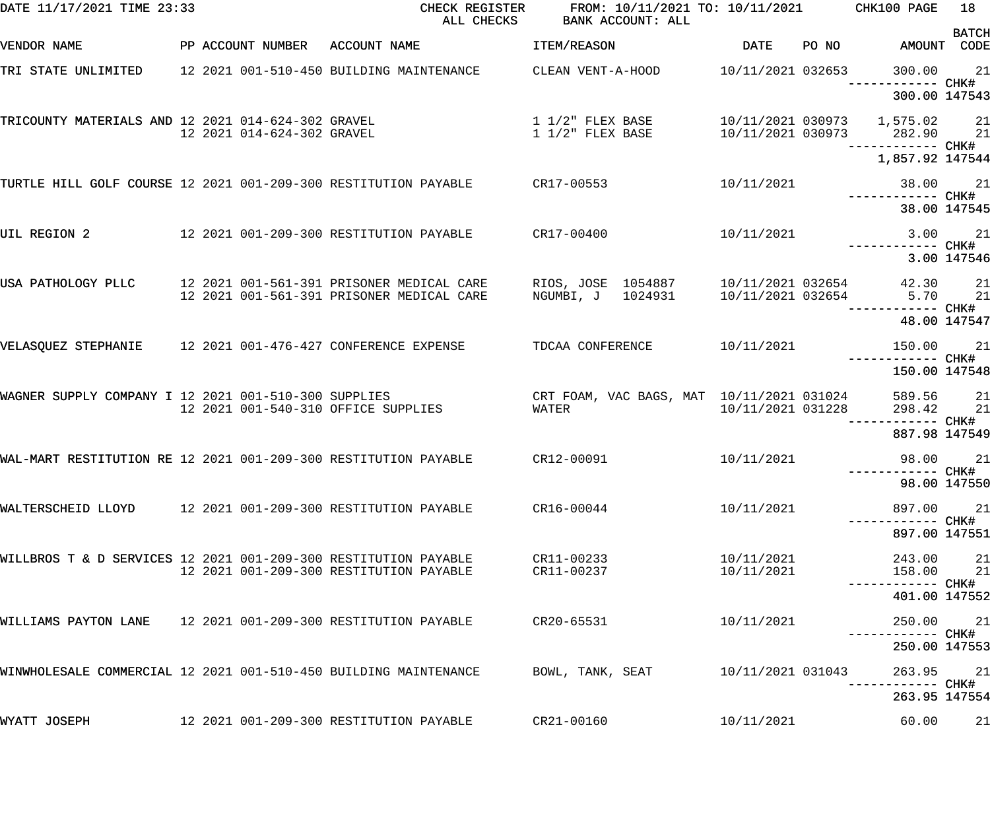| DATE 11/17/2021 TIME 23:33                                       |                            | CHECK REGISTER<br>ALL CHECKS                                                           | FROM: 10/11/2021 TO: 10/11/2021<br>BANK ACCOUNT: ALL |                          | CHK100 PAGE                                                  | 18           |
|------------------------------------------------------------------|----------------------------|----------------------------------------------------------------------------------------|------------------------------------------------------|--------------------------|--------------------------------------------------------------|--------------|
| VENDOR NAME                                                      |                            | PP ACCOUNT NUMBER ACCOUNT NAME                                                         | ITEM/REASON                                          | DATE                     | PO NO AMOUNT CODE                                            | <b>BATCH</b> |
| TRI STATE UNLIMITED                                              |                            | 12 2021 001-510-450 BUILDING MAINTENANCE                                               | CLEAN VENT-A-HOOD                                    | 10/11/2021 032653        | 300.00<br>------------ CHK#                                  | 21           |
|                                                                  |                            |                                                                                        |                                                      |                          | 300.00 147543                                                |              |
| TRICOUNTY MATERIALS AND 12 2021 014-624-302 GRAVEL               | 12 2021 014-624-302 GRAVEL | $1/2$ " FLEX BASE                                                                      | $1\ 1/2$ " FLEX BASE                                 |                          | 10/11/2021 030973 1,575.02 21<br>10/11/2021 030973 282.90 21 |              |
|                                                                  |                            |                                                                                        |                                                      |                          | ------------ CHK#<br>1,857.92 147544                         |              |
| TURTLE HILL GOLF COURSE 12 2021 001-209-300 RESTITUTION PAYABLE  |                            |                                                                                        | CR17-00553                                           | 10/11/2021               | 38.00                                                        | 21           |
|                                                                  |                            |                                                                                        |                                                      |                          | ------------ CHK#<br>38.00 147545                            |              |
| UIL REGION 2                                                     |                            | 12 2021 001-209-300 RESTITUTION PAYABLE                                                | CR17-00400                                           | 10/11/2021               | 3.00                                                         | 21           |
|                                                                  |                            |                                                                                        |                                                      |                          |                                                              | 3.00 147546  |
| USA PATHOLOGY PLLC                                               |                            | 12 2021 001-561-391 PRISONER MEDICAL CARE<br>12 2021 001-561-391 PRISONER MEDICAL CARE | RIOS, JOSE 1054887<br>NGUMBI, J 1024931              | 10/11/2021 032654        | 42.30<br>10/11/2021 032654 5.70                              | 21<br>21     |
|                                                                  |                            |                                                                                        |                                                      |                          | ------------ CHK#                                            | 48.00 147547 |
| VELASQUEZ STEPHANIE                                              |                            | 12 2021 001-476-427 CONFERENCE EXPENSE                                                 | TDCAA CONFERENCE                                     | 10/11/2021               | 150.00<br>------------ CHK#                                  | 21           |
|                                                                  |                            |                                                                                        |                                                      |                          | 150.00 147548                                                |              |
| WAGNER SUPPLY COMPANY I 12 2021 001-510-300 SUPPLIES             |                            | 12 2021 001-540-310 OFFICE SUPPLIES                                                    | CRT FOAM, VAC BAGS, MAT 10/11/2021 031024<br>WATER   | 10/11/2021 031228        | 589.56<br>298.42<br>------------ CHK#                        | 21<br>21     |
|                                                                  |                            |                                                                                        |                                                      |                          | 887.98 147549                                                |              |
| WAL-MART RESTITUTION RE 12 2021 001-209-300 RESTITUTION PAYABLE  |                            |                                                                                        | CR12-00091                                           | 10/11/2021               | 98.00                                                        | 21           |
|                                                                  |                            |                                                                                        |                                                      |                          | 98.00 147550                                                 |              |
| WALTERSCHEID LLOYD 12 2021 001-209-300 RESTITUTION PAYABLE       |                            |                                                                                        | CR16-00044                                           | 10/11/2021               | 897.00<br>------------ CHK#                                  | 21           |
|                                                                  |                            |                                                                                        |                                                      |                          | 897.00 147551                                                |              |
| WILLBROS T & D SERVICES 12 2021 001-209-300 RESTITUTION PAYABLE  |                            | 12 2021 001-209-300 RESTITUTION PAYABLE                                                | CR11-00233<br>CR11-00237                             | 10/11/2021<br>10/11/2021 | 243.00<br>158.00 21                                          | 21           |
|                                                                  |                            |                                                                                        |                                                      |                          | 401.00 147552                                                |              |
| WILLIAMS PAYTON LANE 12 2021 001-209-300 RESTITUTION PAYABLE     |                            |                                                                                        | CR20-65531                                           | 10/11/2021               | 250.00                                                       | 21           |
|                                                                  |                            |                                                                                        |                                                      |                          | 250.00 147553                                                |              |
| WINWHOLESALE COMMERCIAL 12 2021 001-510-450 BUILDING MAINTENANCE |                            |                                                                                        | BOWL, TANK, SEAT                                     | 10/11/2021 031043        | 263.95                                                       | 21           |
|                                                                  |                            |                                                                                        |                                                      |                          | 263.95 147554                                                |              |
| WYATT JOSEPH                                                     |                            | 12 2021 001-209-300 RESTITUTION PAYABLE                                                | CR21-00160                                           | 10/11/2021               | 60.00                                                        | 21           |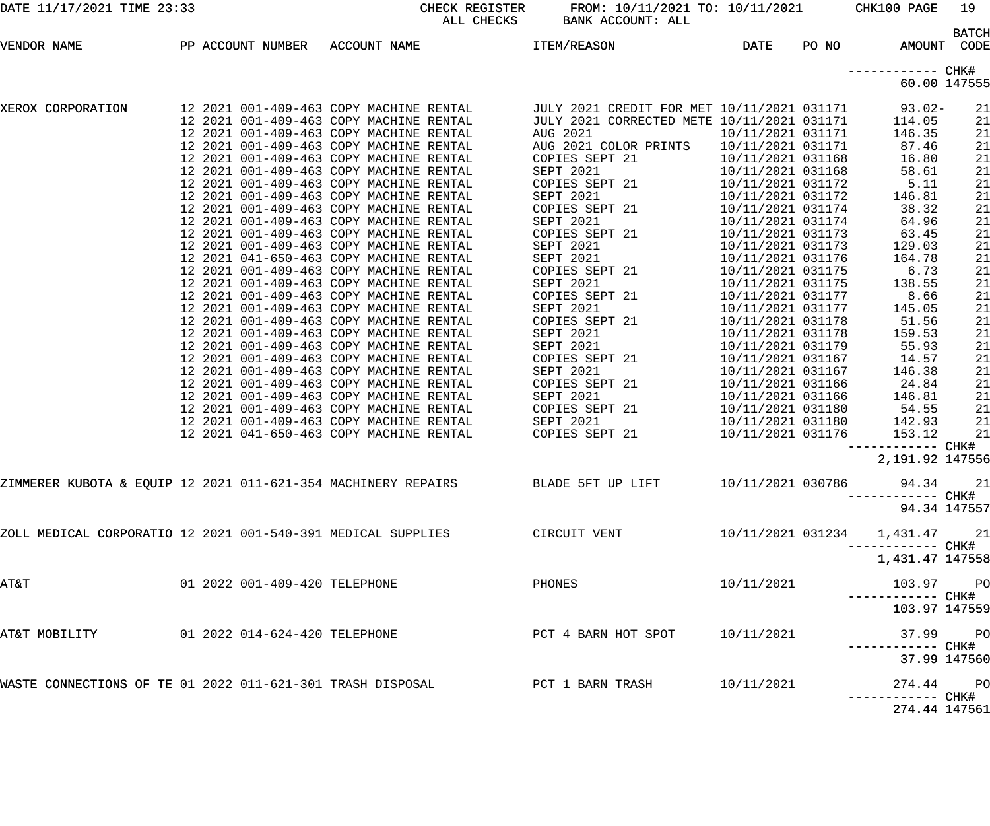| DATE 11/17/2021 TIME 23:33                                   |                                                                                    | ALL CHECKS | CHECK REGISTER FROM: 10/11/2021 TO: 10/11/2021 CHK100 PAGE<br>BANK ACCOUNT: ALL             |                                        |       |                                 | 19           |
|--------------------------------------------------------------|------------------------------------------------------------------------------------|------------|---------------------------------------------------------------------------------------------|----------------------------------------|-------|---------------------------------|--------------|
|                                                              |                                                                                    |            | ITEM/REASON                                                                                 | DATE                                   | PO NO | AMOUNT CODE                     | <b>BATCH</b> |
|                                                              |                                                                                    |            |                                                                                             |                                        |       |                                 |              |
|                                                              |                                                                                    |            |                                                                                             |                                        |       | 60.00 147555                    |              |
| XEROX CORPORATION                                            |                                                                                    |            | JULY 2021 CREDIT FOR MET 10/11/2021 031171 93.02-                                           |                                        |       |                                 | 21           |
|                                                              | 12 2021 001-409-463 COPY MACHINE RENTAL                                            |            | JULY 2021 CORRECTED METE 10/11/2021 031171                                                  |                                        |       | 114.05                          | 21           |
|                                                              | 12 2021 001-409-463 COPY MACHINE RENTAL                                            |            | AUG 2021                                                                                    | 10/11/2021 031171                      |       | 146.35                          | 21           |
|                                                              | 12 2021 001-409-463 COPY MACHINE RENTAL                                            |            | AUG 2021 COLOR PRINTS                                                                       | 10/11/2021 031171                      |       | 87.46                           | 21           |
|                                                              | 12 2021 001-409-463 COPY MACHINE RENTAL                                            |            | COPIES SEPT 21                                                                              | 10/11/2021 031168                      |       | 16.80                           | 21           |
|                                                              | 12 2021 001-409-463 COPY MACHINE RENTAL                                            |            | SEPT 2021                                                                                   | 10/11/2021 031168                      |       | 58.61                           | 21           |
|                                                              | 12 2021 001-409-463 COPY MACHINE RENTAL<br>12 2021 001-409-463 COPY MACHINE RENTAL |            | COPIES SEPT 21<br>SEPT 2021                                                                 | 10/11/2021 031172<br>10/11/2021 031172 |       | 5.11<br>146.81                  | 21<br>21     |
|                                                              | 12 2021 001-409-463 COPY MACHINE RENTAL                                            |            | COPIES SEPT 21                                                                              | 10/11/2021 031174                      |       | 38.32                           | 21           |
|                                                              | 12 2021 001-409-463 COPY MACHINE RENTAL                                            |            | SEPT 2021                                                                                   | 10/11/2021 031174                      |       | 64.96                           | 21           |
|                                                              | 12 2021 001-409-463 COPY MACHINE RENTAL                                            |            | COPIES SEPT 21                                                                              | 10/11/2021 031173                      |       | 63.45                           | 21           |
|                                                              | 12 2021 001-409-463 COPY MACHINE RENTAL                                            |            | SEPT 2021                                                                                   | 10/11/2021 031173                      |       | 129.03                          | 21           |
|                                                              | 12 2021 041-650-463 COPY MACHINE RENTAL                                            |            | SEPT 2021                                                                                   | 10/11/2021 031176                      |       | 164.78                          | 21           |
|                                                              | 12 2021 001-409-463 COPY MACHINE RENTAL                                            |            | COPIES SEPT 21                                                                              | 10/11/2021 031175                      |       | 6.73                            | 21           |
|                                                              | 12 2021 001-409-463 COPY MACHINE RENTAL                                            |            | SEPT 2021                                                                                   | 10/11/2021 031175                      |       | 138.55                          | 21           |
|                                                              | 12 2021 001-409-463 COPY MACHINE RENTAL                                            |            | COPIES SEPT 21                                                                              | 10/11/2021 031177                      |       | 8.66                            | 21           |
|                                                              | 12 2021 001-409-463 COPY MACHINE RENTAL                                            |            | SEPT 2021                                                                                   | 10/11/2021 031177                      |       | 145.05                          | 21           |
|                                                              | 12 2021 001-409-463 COPY MACHINE RENTAL                                            |            | COPIES SEPT 21                                                                              | 10/11/2021 031178                      |       | 51.56                           | 21           |
|                                                              | 12 2021 001-409-463 COPY MACHINE RENTAL                                            |            | SEPT 2021                                                                                   | 10/11/2021 031178                      |       | 159.53                          | 21           |
|                                                              | 12 2021 001-409-463 COPY MACHINE RENTAL                                            |            | SEPT 2021                                                                                   | 10/11/2021 031179                      |       | 55.93                           | 21           |
|                                                              | 12 2021 001-409-463 COPY MACHINE RENTAL<br>12 2021 001-409-463 COPY MACHINE RENTAL |            | COPIES SEPT 21<br>SEPT 2021                                                                 | 10/11/2021 031167<br>10/11/2021 031167 |       | 14.57                           | 21<br>21     |
|                                                              | 12 2021 001-409-463 COPY MACHINE RENTAL                                            |            | COPIES SEPT 21                                                                              | 10/11/2021 031166                      |       | 146.38<br>24.84                 | 21           |
|                                                              | 12 2021 001-409-463 COPY MACHINE RENTAL                                            |            | SEPT 2021                                                                                   | 10/11/2021 031166                      |       | 146.81                          | 21           |
|                                                              | 12 2021 001-409-463 COPY MACHINE RENTAL                                            |            | COPIES SEPT 21                                                                              | 10/11/2021 031180                      |       | 54.55                           | 21           |
|                                                              | 12 2021 001-409-463 COPY MACHINE RENTAL                                            |            | SEPT 2021                                                                                   | 10/11/2021 031180                      |       | 142.93                          | 21           |
|                                                              | 12 2021 041-650-463 COPY MACHINE RENTAL                                            |            | COPIES SEPT 21                                                                              | 10/11/2021 031176                      |       | 153.12                          | 21           |
|                                                              |                                                                                    |            |                                                                                             |                                        |       | ------------ CHK#               |              |
|                                                              |                                                                                    |            |                                                                                             |                                        |       | 2,191.92 147556                 |              |
|                                                              |                                                                                    |            | ZIMMERER KUBOTA & EQUIP 12 2021 011-621-354 MACHINERY REPAIRS             BLADE 5FT UP LIFT | 10/11/2021 030786                      |       | 94.34 21                        |              |
|                                                              |                                                                                    |            |                                                                                             |                                        |       | 94.34 147557                    |              |
| ZOLL MEDICAL CORPORATIO 12 2021 001-540-391 MEDICAL SUPPLIES |                                                                                    |            | CIRCUIT VENT                                                                                |                                        |       |                                 |              |
|                                                              |                                                                                    |            |                                                                                             |                                        |       | 10/11/2021 031234  1,431.47  21 |              |
|                                                              |                                                                                    |            |                                                                                             |                                        |       | 1,431.47 147558                 |              |
| AT&T                                                         | 01 2022 001-409-420 TELEPHONE                                                      |            | PHONES                                                                                      | 10/11/2021                             |       | 103.97 PO                       |              |
|                                                              |                                                                                    |            |                                                                                             |                                        |       | 103.97 147559                   |              |
| AT&T MOBILITY                                                | 01 2022 014-624-420 TELEPHONE                                                      |            | PCT 4 BARN HOT SPOT 10/11/2021                                                              |                                        |       | 37.99 PO                        |              |
|                                                              |                                                                                    |            |                                                                                             |                                        |       | 37.99 147560                    |              |
|                                                              |                                                                                    |            |                                                                                             |                                        |       |                                 |              |
| WASTE CONNECTIONS OF TE 01 2022 011-621-301 TRASH DISPOSAL   |                                                                                    |            | PCT 1 BARN TRASH                                                                            | 10/11/2021                             |       | 274.44 PO<br>----- CHK#         |              |
|                                                              |                                                                                    |            |                                                                                             |                                        |       | 274.44 147561                   |              |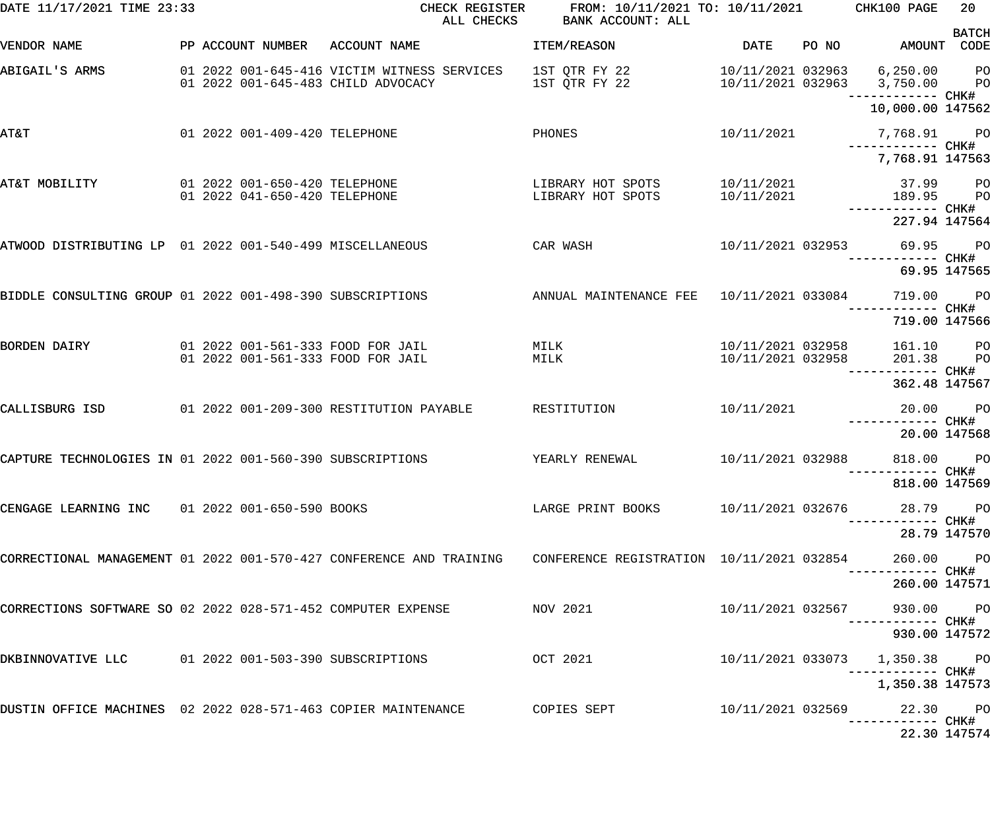| DATE 11/17/2021 TIME 23:33                                    |  |                                                                | CHECK REGISTER<br>ALL CHECKS                                                                                  | FROM: 10/11/2021 TO: 10/11/2021<br>BANK ACCOUNT: ALL |                                        |       | CHK100 PAGE                                                                    | 20 <sub>o</sub> |
|---------------------------------------------------------------|--|----------------------------------------------------------------|---------------------------------------------------------------------------------------------------------------|------------------------------------------------------|----------------------------------------|-------|--------------------------------------------------------------------------------|-----------------|
| VENDOR NAME                                                   |  | PP ACCOUNT NUMBER                                              | ACCOUNT NAME                                                                                                  | ITEM/REASON                                          | DATE                                   | PO NO | AMOUNT CODE                                                                    | <b>BATCH</b>    |
| ABIGAIL'S ARMS                                                |  |                                                                | 01 2022 001-645-416 VICTIM WITNESS SERVICES<br>01 2022 001-645-483 CHILD ADVOCACY                             | 1ST QTR FY 22<br>1ST QTR FY 22                       | 10/11/2021 032963                      |       | 6,250.00<br>10/11/2021 032963 3,750.00 PO                                      | <b>PO</b>       |
|                                                               |  |                                                                |                                                                                                               |                                                      |                                        |       | ------------ CHK#<br>10,000.00 147562                                          |                 |
| AT&T                                                          |  | 01 2022 001-409-420 TELEPHONE                                  |                                                                                                               | PHONES                                               | 10/11/2021                             |       | 7,768.91 PO<br>------------ CHK#                                               |                 |
|                                                               |  |                                                                |                                                                                                               |                                                      |                                        |       | 7,768.91 147563                                                                |                 |
| AT&T MOBILITY                                                 |  | 01 2022 001-650-420 TELEPHONE<br>01 2022 041-650-420 TELEPHONE |                                                                                                               | LIBRARY HOT SPOTS<br>LIBRARY HOT SPOTS               | 10/11/2021<br>10/11/2021               |       | 37.99 PO<br>189.95                                                             | <b>PO</b>       |
|                                                               |  |                                                                |                                                                                                               |                                                      |                                        |       | ------------ CHK#<br>227.94 147564                                             |                 |
| ATWOOD DISTRIBUTING LP 01 2022 001-540-499 MISCELLANEOUS      |  |                                                                | CAR WASH                                                                                                      |                                                      | 10/11/2021 032953                      |       | 69.95 PO                                                                       |                 |
|                                                               |  |                                                                |                                                                                                               |                                                      |                                        |       | 69.95 147565                                                                   |                 |
| BIDDLE CONSULTING GROUP 01 2022 001-498-390 SUBSCRIPTIONS     |  |                                                                |                                                                                                               | ANNUAL MAINTENANCE FEE                               | 10/11/2021 033084                      |       | 719.00                                                                         | <b>PO</b>       |
|                                                               |  |                                                                |                                                                                                               |                                                      |                                        |       | ----- CHK#<br>719.00 147566                                                    |                 |
| <b>BORDEN DAIRY</b>                                           |  |                                                                | 01 2022 001-561-333 FOOD FOR JAIL<br>01 2022 001-561-333 FOOD FOR JAIL                                        | MILK<br>MILK                                         | 10/11/2021 032958<br>10/11/2021 032958 |       | 161.10 PO<br>201.38                                                            | P <sub>O</sub>  |
|                                                               |  |                                                                |                                                                                                               |                                                      |                                        |       | ----- CHK#<br>362.48 147567                                                    |                 |
| CALLISBURG ISD                                                |  |                                                                | 01 2022 001-209-300 RESTITUTION PAYABLE                                                                       | RESTITUTION                                          | 10/11/2021                             |       | 20.00                                                                          | PO <sub>1</sub> |
|                                                               |  |                                                                |                                                                                                               |                                                      |                                        |       | ------------ CHK#<br>20.00 147568                                              |                 |
| CAPTURE TECHNOLOGIES IN 01 2022 001-560-390 SUBSCRIPTIONS     |  |                                                                |                                                                                                               | YEARLY RENEWAL                                       | 10/11/2021 032988                      |       | 818.00 PO                                                                      |                 |
|                                                               |  |                                                                |                                                                                                               |                                                      |                                        |       | 818.00 147569                                                                  |                 |
| CENGAGE LEARNING INC  01 2022 001-650-590 BOOKS               |  |                                                                |                                                                                                               |                                                      |                                        |       | ----------- CHK#                                                               |                 |
|                                                               |  |                                                                |                                                                                                               |                                                      |                                        |       | 28.79 147570                                                                   |                 |
|                                                               |  |                                                                | CORRECTIONAL MANAGEMENT 01 2022 001-570-427 CONFERENCE AND TRAINING CONFERENCE REGISTRATION 10/11/2021 032854 |                                                      |                                        |       | 260.00 PO                                                                      |                 |
|                                                               |  |                                                                |                                                                                                               |                                                      |                                        |       | 260.00 147571                                                                  |                 |
| CORRECTIONS SOFTWARE SO 02 2022 028-571-452 COMPUTER EXPENSE  |  |                                                                |                                                                                                               | NOV 2021                                             | 10/11/2021 032567                      |       | 930.00 PO<br>----------- CHK#                                                  |                 |
|                                                               |  |                                                                |                                                                                                               |                                                      |                                        |       | 930.00 147572                                                                  |                 |
| DKBINNOVATIVE LLC 01 2022 001-503-390 SUBSCRIPTIONS           |  |                                                                |                                                                                                               | OCT 2021                                             |                                        |       | 10/11/2021 033073  1,350.38  PO<br>-----------         CHK#<br>1,350.38 147573 |                 |
| DUSTIN OFFICE MACHINES 02 2022 028-571-463 COPIER MAINTENANCE |  |                                                                |                                                                                                               | COPIES SEPT                                          |                                        |       | 10/11/2021 032569 22.30 PO                                                     |                 |
|                                                               |  |                                                                |                                                                                                               |                                                      |                                        |       | -----------         CHK#<br>22.30 147574                                       |                 |
|                                                               |  |                                                                |                                                                                                               |                                                      |                                        |       |                                                                                |                 |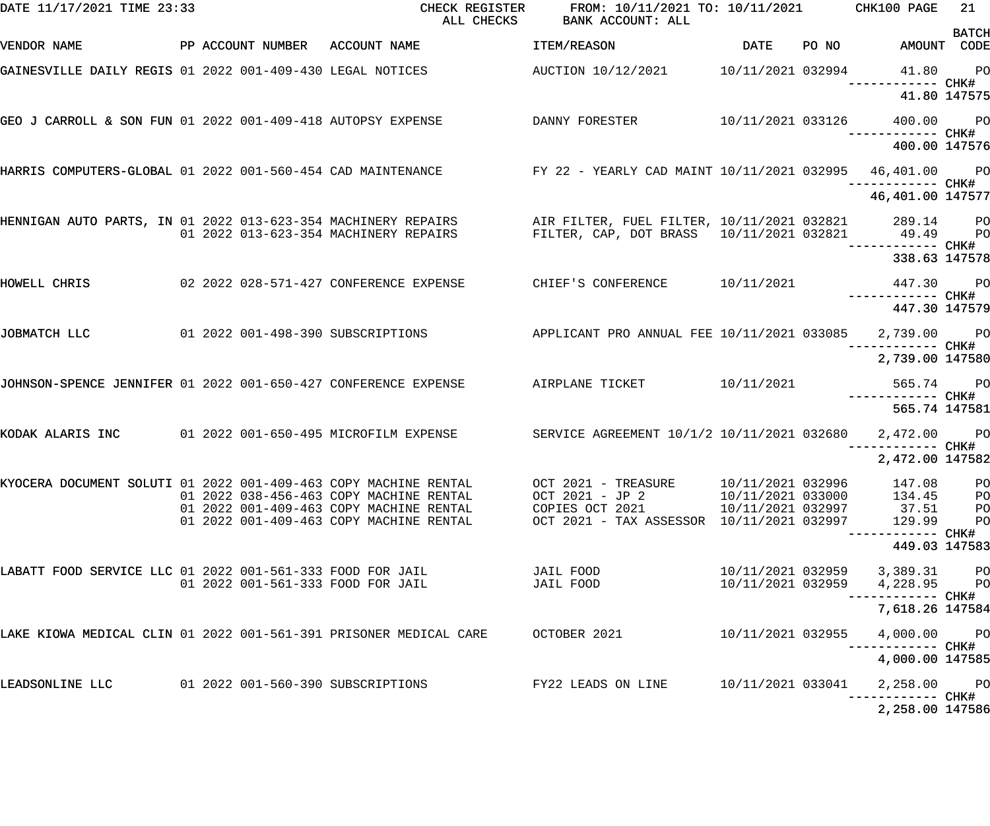| DATE 11/17/2021 TIME 23:33                                        |  |                                                                                                                                                             | CHECK REGISTER FROM: 10/11/2021 TO: 10/11/2021 CHK100 PAGE<br>ALL CHECKS BANK ACCOUNT: ALL                                                                   |                   |                                              | 21                               |
|-------------------------------------------------------------------|--|-------------------------------------------------------------------------------------------------------------------------------------------------------------|--------------------------------------------------------------------------------------------------------------------------------------------------------------|-------------------|----------------------------------------------|----------------------------------|
| VENDOR NAME                                                       |  | PP ACCOUNT NUMBER ACCOUNT NAME                                                                                                                              | <b>ITEM/REASON</b>                                                                                                                                           |                   | DATE PO NO AMOUNT CODE                       | <b>BATCH</b>                     |
|                                                                   |  | GAINESVILLE DAILY REGIS 01 2022 001-409-430 LEGAL NOTICES AUCTION 10/12/2021 10/11/2021 032994 41.80 PO                                                     |                                                                                                                                                              |                   |                                              |                                  |
|                                                                   |  |                                                                                                                                                             |                                                                                                                                                              |                   | 41.80 147575                                 |                                  |
|                                                                   |  | GEO J CARROLL & SON FUN 01 2022 001-409-418 AUTOPSY EXPENSE                 DANNY FORESTER           10/11/2021 033126      400.00     PO                   |                                                                                                                                                              |                   |                                              |                                  |
|                                                                   |  |                                                                                                                                                             |                                                                                                                                                              |                   | 400.00 147576                                |                                  |
|                                                                   |  | HARRIS COMPUTERS-GLOBAL 01 2022 001-560-454 CAD MAINTENANCE FY 22 - YEARLY CAD MAINT 10/11/2021 032995 46,401.00 PO                                         |                                                                                                                                                              |                   |                                              |                                  |
|                                                                   |  |                                                                                                                                                             |                                                                                                                                                              |                   | 46,401.00 147577                             |                                  |
|                                                                   |  | HENNIGAN AUTO PARTS, IN 01 2022 013-623-354 MACHINERY REPAIRS AIR FILTER, FUEL FILTER, 10/11/2021 032821 289.14 PO<br>01 2022 013-623-354 MACHINERY REPAIRS | FILTER, CAP, DOT BRASS  10/11/2021  032821  49.49  PO                                                                                                        |                   | ------------ CHK#                            |                                  |
|                                                                   |  |                                                                                                                                                             |                                                                                                                                                              |                   | 338.63 147578                                |                                  |
| HOWELL CHRIS                                                      |  |                                                                                                                                                             |                                                                                                                                                              |                   |                                              |                                  |
|                                                                   |  |                                                                                                                                                             |                                                                                                                                                              |                   | 447.30 147579                                |                                  |
| JOBMATCH LLC                                                      |  | 01 2022 001-498-390 SUBSCRIPTIONS           APPLICANT PRO ANNUAL FEE 10/11/2021 033085     2,739.00     PO                                                  |                                                                                                                                                              |                   |                                              |                                  |
|                                                                   |  |                                                                                                                                                             |                                                                                                                                                              |                   | 2,739.00 147580                              |                                  |
|                                                                   |  | JOHNSON-SPENCE JENNIFER 01 2022 001-650-427 CONFERENCE EXPENSE AIRPLANE TICKET 10/11/2021 565.74 565.74 PO                                                  |                                                                                                                                                              |                   |                                              |                                  |
|                                                                   |  |                                                                                                                                                             |                                                                                                                                                              |                   | 565.74 147581                                |                                  |
|                                                                   |  | KODAK ALARIS INC     01 2022 001-650-495 MICROFILM EXPENSE      SERVICE AGREEMENT 10/1/2 10/11/2021 032680   2,472.00   PO                                  |                                                                                                                                                              |                   |                                              |                                  |
|                                                                   |  |                                                                                                                                                             |                                                                                                                                                              |                   | 2,472.00 147582                              |                                  |
| KYOCERA DOCUMENT SOLUTI 01 2022 001-409-463 COPY MACHINE RENTAL   |  | 01 2022 038-456-463 COPY MACHINE RENTAL<br>01 2022 001-409-463 COPY MACHINE RENTAL<br>01 2022 001-409-463 COPY MACHINE RENTAL                               | OCT 2021 - TREASURE 10/11/2021 032996<br>OCT 2021 - JP 2 10/11/2021 033000<br>COPIES OCT 2021 10/11/2021 032997<br>OCT 2021 - TAX ASSESSOR 10/11/2021 032997 |                   | 147.08<br>134.45<br>37.51<br>129.99          | PO<br>PO<br>PO<br>P <sub>O</sub> |
|                                                                   |  |                                                                                                                                                             |                                                                                                                                                              |                   | 449.03 147583                                |                                  |
| LABATT FOOD SERVICE LLC 01 2022 001-561-333 FOOD FOR JAIL         |  | 01 2022 001-561-333 FOOD FOR JAIL                                                                                                                           | JAIL FOOD DEALL<br>JAIL FOOD DAIL                                                                                                                            | 10/11/2021 032959 | 10/11/2021 032959 3,389.31 PO<br>4,228.95 PO |                                  |
|                                                                   |  |                                                                                                                                                             |                                                                                                                                                              |                   | ----------- CHK#<br>7,618.26 147584          |                                  |
| LAKE KIOWA MEDICAL CLIN 01 2022 001-561-391 PRISONER MEDICAL CARE |  |                                                                                                                                                             | OCTOBER 2021                                                                                                                                                 | 10/11/2021 032955 | 4,000.00 PO                                  |                                  |
|                                                                   |  |                                                                                                                                                             |                                                                                                                                                              |                   | 4,000.00 147585                              |                                  |
| LEADSONLINE LLC                                                   |  |                                                                                                                                                             | FY22 LEADS ON LINE                                                                                                                                           | 10/11/2021 033041 | 2,258.00 PO                                  |                                  |
|                                                                   |  |                                                                                                                                                             |                                                                                                                                                              |                   | 2,258.00 147586                              |                                  |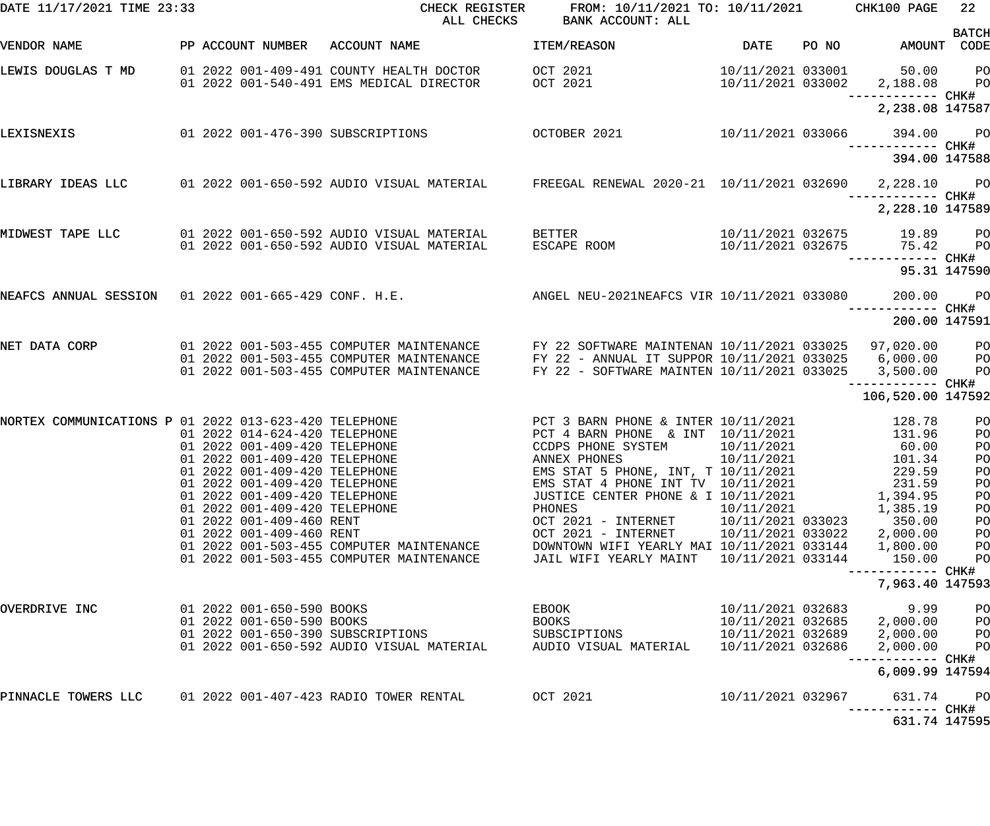| DATE 11/17/2021 TIME 23:33                            |                                                                | CHECK REGISTER<br>ALL CHECKS                                                           | FROM: 10/11/2021 TO: 10/11/2021<br>BANK ACCOUNT: ALL                                     |                                        |       | CHK100 PAGE                            | 22                               |
|-------------------------------------------------------|----------------------------------------------------------------|----------------------------------------------------------------------------------------|------------------------------------------------------------------------------------------|----------------------------------------|-------|----------------------------------------|----------------------------------|
| VENDOR NAME                                           | PP ACCOUNT NUMBER                                              | ACCOUNT NAME                                                                           | ITEM/REASON                                                                              | <b>DATE</b>                            | PO NO | AMOUNT                                 | <b>BATCH</b><br>CODE             |
| LEWIS DOUGLAS T MD                                    |                                                                | 01 2022 001-409-491 COUNTY HEALTH DOCTOR<br>01 2022 001-540-491 EMS MEDICAL DIRECTOR   | OCT 2021<br>OCT 2021                                                                     | 10/11/2021 033001<br>10/11/2021 033002 |       | 50.00<br>2,188.08<br>------------ CHK# | P <sub>O</sub><br>PO             |
|                                                       |                                                                |                                                                                        |                                                                                          |                                        |       | 2,238.08 147587                        |                                  |
| LEXISNEXIS                                            | 01  2022  001-476-390  SUBSCRIPTIONS                           |                                                                                        | OCTOBER 2021                                                                             | 10/11/2021 033066                      |       | 394.00                                 | PO <sub>1</sub>                  |
|                                                       |                                                                |                                                                                        |                                                                                          |                                        |       | 394.00 147588                          |                                  |
| LIBRARY IDEAS LLC                                     |                                                                | 01 2022 001-650-592 AUDIO VISUAL MATERIAL                                              | FREEGAL RENEWAL 2020-21 10/11/2021 032690                                                |                                        |       | 2,228.10<br>--------- CHK#             | <b>PO</b>                        |
|                                                       |                                                                |                                                                                        |                                                                                          |                                        |       | 2,228.10 147589                        |                                  |
| MIDWEST TAPE LLC                                      |                                                                | 01 2022 001-650-592 AUDIO VISUAL MATERIAL<br>01 2022 001-650-592 AUDIO VISUAL MATERIAL | BETTER<br>ESCAPE ROOM                                                                    | 10/11/2021 032675<br>10/11/2021 032675 |       | 19.89<br>75.42                         | P <sub>O</sub><br>PO             |
|                                                       |                                                                |                                                                                        |                                                                                          |                                        |       | ------ CHK#<br>95.31 147590            |                                  |
| NEAFCS ANNUAL SESSION 01 2022 001-665-429 CONF. H.E.  |                                                                |                                                                                        | ANGEL NEU-2021NEAFCS VIR 10/11/2021 033080                                               |                                        |       | 200.00                                 | P <sub>O</sub>                   |
|                                                       |                                                                |                                                                                        |                                                                                          |                                        |       | --------- CHK#<br>200.00 147591        |                                  |
| NET DATA CORP                                         |                                                                | 01 2022 001-503-455 COMPUTER MAINTENANCE<br>01 2022 001-503-455 COMPUTER MAINTENANCE   | FY 22 SOFTWARE MAINTENAN 10/11/2021 033025<br>FY 22 - ANNUAL IT SUPPOR 10/11/2021 033025 |                                        |       | 97,020.00<br>6,000.00                  | P <sub>O</sub><br>P <sub>O</sub> |
|                                                       |                                                                | 01 2022 001-503-455 COMPUTER MAINTENANCE                                               | FY 22 - SOFTWARE MAINTEN 10/11/2021 033025                                               |                                        |       | 3,500.00                               | PO                               |
|                                                       |                                                                |                                                                                        |                                                                                          |                                        |       | 106,520.00 147592                      |                                  |
| NORTEX COMMUNICATIONS P 01 2022 013-623-420 TELEPHONE | 01 2022 014-624-420 TELEPHONE                                  |                                                                                        | PCT 3 BARN PHONE & INTER 10/11/2021<br>PCT 4 BARN PHONE & INT 10/11/2021                 |                                        |       | 128.78<br>131.96                       | PO<br>PO                         |
|                                                       | 01 2022 001-409-420 TELEPHONE                                  |                                                                                        | CCDPS PHONE SYSTEM                                                                       | 10/11/2021                             |       | 60.00                                  | PO                               |
|                                                       | 01 2022 001-409-420 TELEPHONE<br>01 2022 001-409-420 TELEPHONE |                                                                                        | ANNEX PHONES<br>EMS STAT 5 PHONE, INT, T 10/11/2021                                      | 10/11/2021                             |       | 101.34<br>229.59                       | PO<br>P <sub>O</sub>             |
|                                                       | 01 2022 001-409-420 TELEPHONE                                  |                                                                                        | EMS STAT 4 PHONE INT TV 10/11/2021                                                       |                                        |       | 231.59                                 | PO                               |
|                                                       | 01 2022 001-409-420 TELEPHONE                                  |                                                                                        | JUSTICE CENTER PHONE & I 10/11/2021                                                      |                                        |       | 1,394.95                               | PO                               |
|                                                       | 01 2022 001-409-420 TELEPHONE                                  |                                                                                        | PHONES                                                                                   | 10/11/2021                             |       | 1,385.19                               | PO                               |
|                                                       | 01 2022 001-409-460 RENT                                       |                                                                                        | OCT 2021 - INTERNET                                                                      | 10/11/2021 033023                      |       | 350.00                                 | PO                               |
|                                                       | 01 2022 001-409-460 RENT                                       | 01 2022 001-503-455 COMPUTER MAINTENANCE                                               | OCT 2021 - INTERNET<br>DOWNTOWN WIFI YEARLY MAI 10/11/2021 033144                        | 10/11/2021 033022                      |       | 2,000.00<br>1,800.00                   | PO<br>PO                         |
|                                                       |                                                                | 01 2022 001-503-455 COMPUTER MAINTENANCE                                               | JAIL WIFI YEARLY MAINT                                                                   | 10/11/2021 033144                      |       | 150.00                                 | PO                               |
|                                                       |                                                                |                                                                                        |                                                                                          |                                        |       | 7,963.40 147593                        |                                  |
| OVERDRIVE INC                                         | 01 2022 001-650-590 BOOKS                                      |                                                                                        | EBOOK                                                                                    | 10/11/2021 032683                      |       | 9.99                                   | PO                               |
|                                                       | 01 2022 001-650-590 BOOKS                                      |                                                                                        | BOOKS                                                                                    | 10/11/2021 032685                      |       | 2,000.00                               | PO                               |
|                                                       | 01 2022 001-650-390 SUBSCRIPTIONS                              |                                                                                        | SUBSCIPTIONS                                                                             | 10/11/2021 032689                      |       | 2,000.00                               | PO                               |
|                                                       |                                                                | 01 2022 001-650-592 AUDIO VISUAL MATERIAL                                              | AUDIO VISUAL MATERIAL                                                                    | 10/11/2021 032686                      |       | 2,000.00<br>--------- CHK#             | PO                               |
|                                                       |                                                                |                                                                                        |                                                                                          |                                        |       | 6,009.99 147594                        |                                  |
| PINNACLE TOWERS LLC                                   | 01 2022 001-407-423 RADIO TOWER RENTAL                         |                                                                                        | OCT 2021                                                                                 | 10/11/2021 032967                      |       | 631.74<br>--------- CHK#               | P <sub>O</sub>                   |
|                                                       |                                                                |                                                                                        |                                                                                          |                                        |       | 631.74 147595                          |                                  |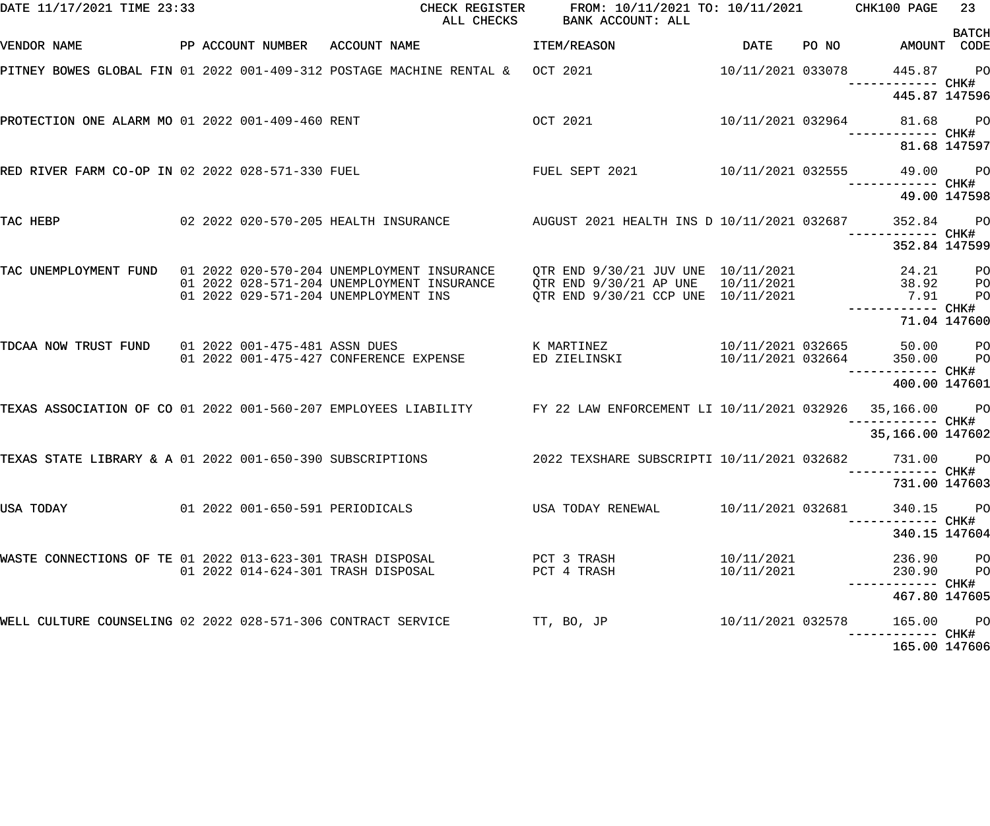| DATE 11/17/2021 TIME 23:33                                   |  |                                                                                                                                                                                                                                                  | CHECK REGISTER FROM: 10/11/2021 TO: 10/11/2021 CHK100 PAGE<br>ALL CHECKS BANK ACCOUNT: ALL |                          |                                           | 23           |
|--------------------------------------------------------------|--|--------------------------------------------------------------------------------------------------------------------------------------------------------------------------------------------------------------------------------------------------|--------------------------------------------------------------------------------------------|--------------------------|-------------------------------------------|--------------|
| VENDOR NAME                                                  |  | PP ACCOUNT NUMBER ACCOUNT NAME                                                                                                                                                                                                                   | <b>ITEM/REASON</b>                                                                         | DATE                     | PO NO AMOUNT CODE                         | <b>BATCH</b> |
|                                                              |  | PITNEY BOWES GLOBAL FIN 01 2022 001-409-312 POSTAGE MACHINE RENTAL & OCT 2021                                                                                                                                                                    |                                                                                            | 10/11/2021 033078        | 445.87 PO                                 |              |
|                                                              |  |                                                                                                                                                                                                                                                  |                                                                                            |                          | 445.87 147596                             |              |
| PROTECTION ONE ALARM MO 01 2022 001-409-460 RENT             |  |                                                                                                                                                                                                                                                  | OCT 2021 2021                                                                              |                          | 10/11/2021 032964 81.68 PO                |              |
|                                                              |  |                                                                                                                                                                                                                                                  |                                                                                            |                          | 81.68 147597                              |              |
| RED RIVER FARM CO-OP IN 02 2022 028-571-330 FUEL             |  |                                                                                                                                                                                                                                                  | FUEL SEPT 2021 10/11/2021 032555 49.00 PO                                                  |                          | ------------ CHK#                         |              |
|                                                              |  |                                                                                                                                                                                                                                                  |                                                                                            |                          | 49.00 147598                              |              |
| TAC HEBP                                                     |  | 02 2022 020-570-205 HEALTH INSURANCE         AUGUST 2021 HEALTH INS D 10/11/2021 032687                                                                                                                                                          |                                                                                            |                          | 352.84                                    | <b>PO</b>    |
|                                                              |  |                                                                                                                                                                                                                                                  |                                                                                            |                          | 352.84 147599                             |              |
|                                                              |  | TAC UNEMPLOYMENT FUND 01 2022 020-570-204 UNEMPLOYMENT INSURANCE QTR END 9/30/21 JUV UNE 10/11/2021 24.21 24.21<br>01 2022 028-571-204 UNEMPLOYMENT INSURANCE QTR END 9/30/21 AP UNE 10/11/2021 28.92 PO<br>01 2022 029-571-204 UNEMPLOYMENT INS | QTR END 9/30/21 CCP UNE 10/11/2021 ----------- CHK#                                        |                          |                                           |              |
|                                                              |  |                                                                                                                                                                                                                                                  |                                                                                            |                          | 71.04 147600                              |              |
|                                                              |  | TDCAA NOW TRUST FUND 01 2022 001-475-481 ASSN DUES KWARTINEZ 6 MARTINEZ 10/11/2021 032665 50.00 PO<br>01 2022 001-475-427 CONFERENCE EXPENSE                                                                                                     | ED ZIELINSKI                                                                               |                          | 10/11/2021 032664 350.00 PO               |              |
|                                                              |  |                                                                                                                                                                                                                                                  |                                                                                            |                          | 400.00 147601                             |              |
|                                                              |  | TEXAS ASSOCIATION OF CO 01 2022 001-560-207 EMPLOYEES LIABILITY FY 22 LAW ENFORCEMENT LI 10/11/2021 032926                                                                                                                                       |                                                                                            |                          | 35,166.00 PO                              |              |
|                                                              |  |                                                                                                                                                                                                                                                  |                                                                                            |                          | 35,166.00 147602                          |              |
|                                                              |  | TEXAS STATE LIBRARY & A 01 2022 001-650-390 SUBSCRIPTIONS                                                                                                                                                                                        | 2022 TEXSHARE SUBSCRIPTI 10/11/2021 032682 731.00                                          |                          |                                           | <b>PO</b>    |
|                                                              |  |                                                                                                                                                                                                                                                  |                                                                                            |                          | 731.00 147603                             |              |
| USA TODAY                                                    |  | 01  2022  001-650-591  PERIODICALS                                                                                                                                                                                                               | USA TODAY RENEWAL                                                                          | 10/11/2021 032681        | 340.15 PO<br>----------- CHK#             |              |
|                                                              |  |                                                                                                                                                                                                                                                  |                                                                                            |                          | 340.15 147604                             |              |
| WASTE CONNECTIONS OF TE 01 2022 013-623-301 TRASH DISPOSAL   |  | 01 2022 014-624-301 TRASH DISPOSAL                                                                                                                                                                                                               | PCT 3 TRASH<br>PCT 4 TRASH                                                                 | 10/11/2021<br>10/11/2021 | 236.90 PO<br>230.90 PO                    |              |
|                                                              |  |                                                                                                                                                                                                                                                  |                                                                                            |                          | -----------         CHK#<br>467.80 147605 |              |
| WELL CULTURE COUNSELING 02 2022 028-571-306 CONTRACT SERVICE |  |                                                                                                                                                                                                                                                  | TT, BO, JP                                                                                 | 10/11/2021 032578        | 165.00 PO                                 |              |
|                                                              |  |                                                                                                                                                                                                                                                  |                                                                                            |                          | 165.00 147606                             |              |